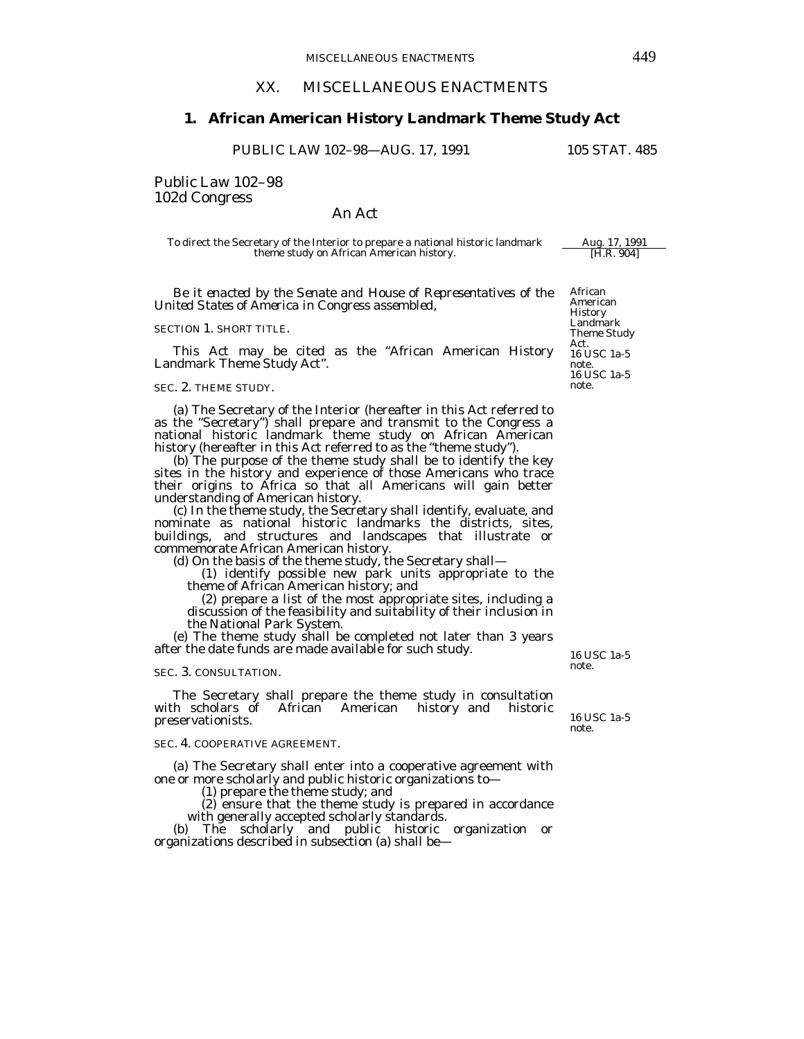# XX. MISCELLANEOUS ENACTMENTS

# **1. African American History Landmark Theme Study Act**

PUBLIC LAW 102-98-AUG. 17, 1991 105 STAT. 485

Public Law 102–98 102d Congress

# An Act

To direct the Secretary of the Interior to prepare a national historic landmark Aug. 17, 1991<br>theme study on African American history. [H.R. 904] theme study on African American history.

 *Be it enacted by the Senate and House of Representatives of the United States of America in Congress assembled,* 

SECTION 1. SHORT TITLE.

 This Act may be cited as the "African American History Landmark Theme Study Act".

## SEC. 2. THEME STUDY.

 (a) The Secretary of the Interior (hereafter in this Act referred to as the "Secretary") shall prepare and transmit to the Congress a national historic landmark theme study on African American history (hereafter in this Act referred to as the "theme study").

 (b) The purpose of the theme study shall be to identify the key sites in the history and experience of those Americans who trace their origins to Africa so that all Americans will gain better understanding of American history.

 (c) In the theme study, the Secretary shall identify, evaluate, and nominate as national historic landmarks the districts, sites, buildings, and structures and landscapes that illustrate or commemorate African American history.

(d) On the basis of the theme study, the Secretary shall—

 (1) identify possible new park units appropriate to the theme of African American history; and

 (2) prepare a list of the most appropriate sites, including a discussion of the feasibility and suitability of their inclusion in the National Park System. (e) The theme study shall be completed not later than 3 years

after the date funds are made available for such study.

#### SEC. 3. CONSULTATION.

 The Secretary shall prepare the theme study in consultation with scholars of African American history and historic preservationists.

## SEC. 4. COOPERATIVE AGREEMENT.

 (a) The Secretary shall enter into a cooperative agreement with one or more scholarly and public historic organizations to—

(1) prepare the theme study; and

 (2) ensure that the theme study is prepared in accordance with generally accepted scholarly standards.

 (b) The scholarly and public historic organization or organizations described in subsection (a) shall be—

American History Landmark Theme Study Act. 16 USC 1a-5 note.<br>16 USC 1a-5 note.

African

16 USC 1a-5 note.

16 USC 1a-5 note.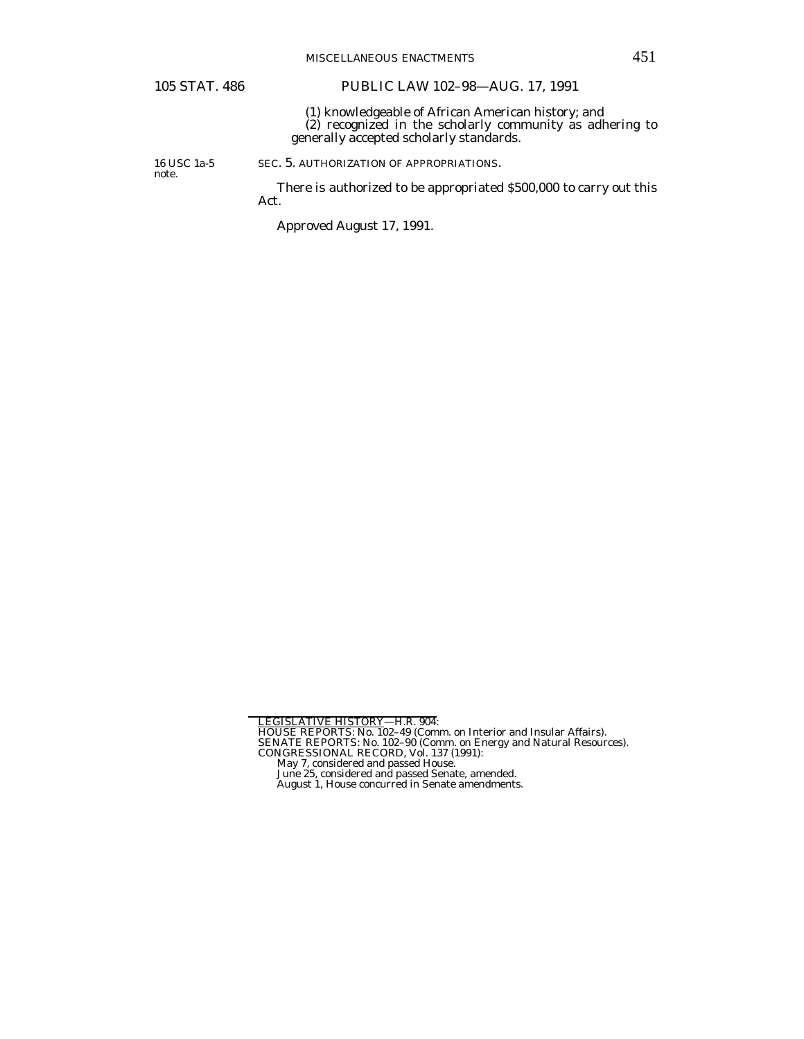# 105 STAT. 486 PUBLIC LAW 102–98—AUG. 17, 1991

 (1) knowledgeable of African American history; and (2) recognized in the scholarly community as adhering to generally accepted scholarly standards.

16 USC 1a-5 note.

SEC. 5. AUTHORIZATION OF APPROPRIATIONS.

 There is authorized to be appropriated \$500,000 to carry out this Act.

Approved August 17, 1991.

LEGISLATIVE HISTORY—H.R. 904:<br>HOUSE REPORTS: No. 102–49 (Comm. on Interior and Insular Affairs).<br>SENATE REPORTS: No. 102–90 (Comm. on Energy and Natural Resources).<br>CONGRESSIONAL RECORD, Vol. 137 (1991):<br>May 7, considered

- 
-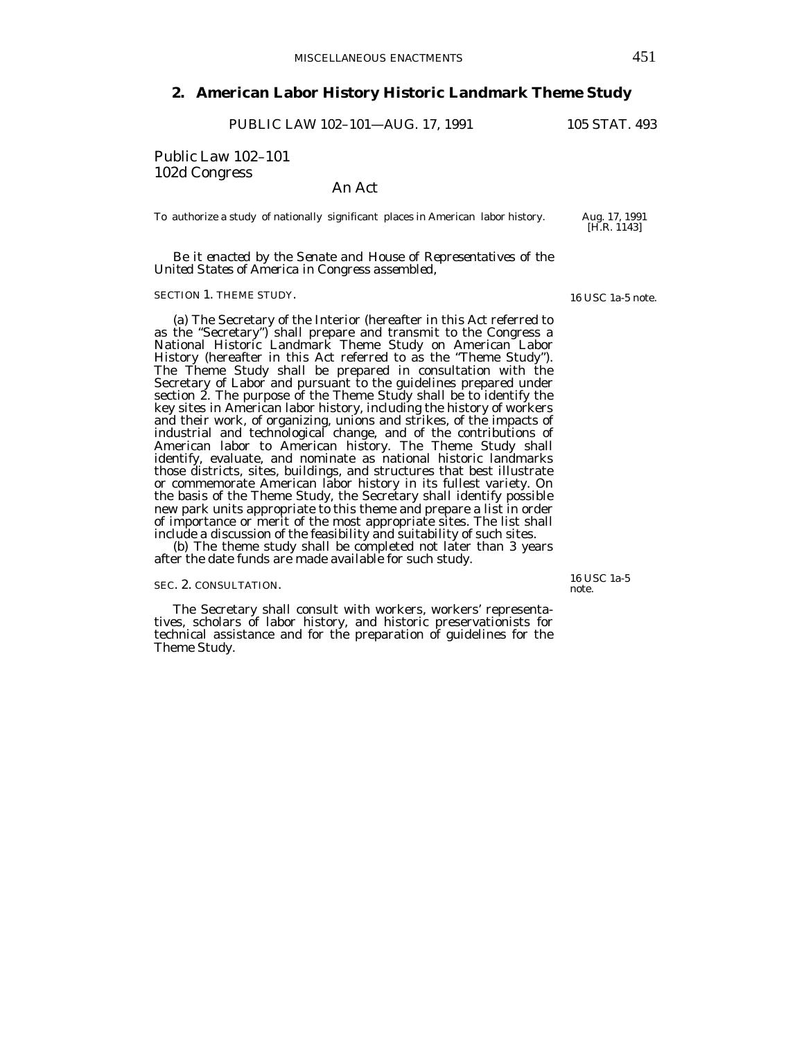# **2. American Labor History Historic Landmark Theme Study**

PUBLIC LAW 102-101-AUG. 17, 1991 105 STAT. 493

Public Law 102–101 102d Congress

An Act

To authorize a study of nationally significant places in American labor history. Aug. 17, 1991

 *Be it enacted by the Senate and House of Representatives of the United States of America in Congress assembled,* 

## SECTION 1. THEME STUDY.

 (a) The Secretary of the Interior (hereafter in this Act referred to as the "Secretary") shall prepare and transmit to the Congress a National Historic Landmark Theme Study on American Labor History (hereafter in this Act referred to as the "Theme Study"). The Theme Study shall be prepared in consultation with the Secretary of Labor and pursuant to the guidelines prepared under section 2. The purpose of the Theme Study shall be to identify the key sites in American labor history, including the history of workers and their work, of organizing, unions and strikes, of the impacts of industrial and technological change, and of the contributions of American labor to American history. The Theme Study shall identify, evaluate, and nominate as national historic landmarks those districts, sites, buildings, and structures that best illustrate or commemorate American labor history in its fullest variety. On the basis of the Theme Study, the Secretary shall identify possible new park units appropriate to this theme and prepare a list in order of importance or merit of the most appropriate sites. The list shall include a discussion of the feasibility and suitability of such sites.

 (b) The theme study shall be completed not later than 3 years after the date funds are made available for such study.

## SEC. 2. CONSULTATION.

 The Secretary shall consult with workers, workers' representatives, scholars of labor history, and historic preservationists for technical assistance and for the preparation of guidelines for the Theme Study.

16 USC 1a-5 note.

16 USC 1a-5 note.

[H.R. 1143]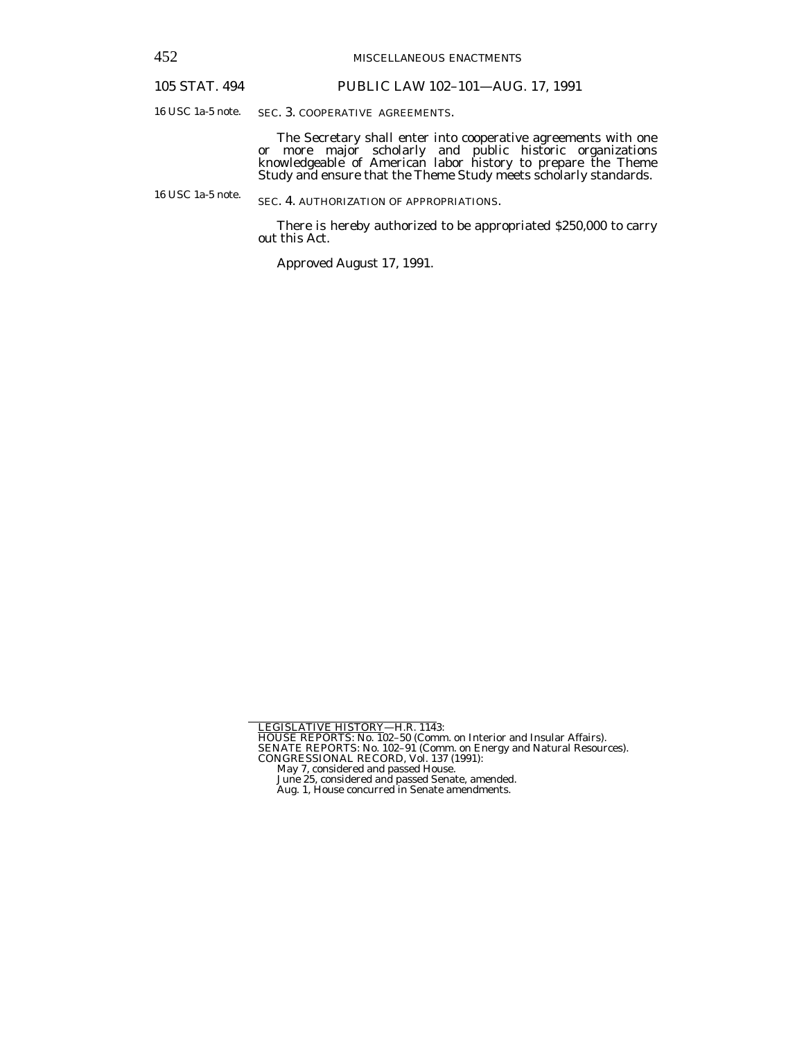452 MISCELLANEOUS ENACTMENTS

## 105 STAT. 494 PUBLIC LAW 102–101—AUG. 17, 1991

16 USC 1a-5 note.

SEC. 3. COOPERATIVE AGREEMENTS.

 The Secretary shall enter into cooperative agreements with one or more major scholarly and public historic organizations knowledgeable of American labor history to prepare the Theme Study and ensure that the Theme Study meets scholarly standards.

16 USC 1a-5 note. SEC. 4. AUTHORIZATION OF APPROPRIATIONS.

> There is hereby authorized to be appropriated \$250,000 to carry out this Act.

Approved August 17, 1991.

LEGISLATIVE HISTORY—H.R. 1143:<br>HOUSE REPORTS: No. 102–50 (Comm. on Interior and Insular Affairs).<br>SENATE REPORTS: No. 102–91 (Comm. on Energy and Natural Resources).<br>CONGRESSIONAL RECORD, Vol. 137 (1991):<br>May 7, considered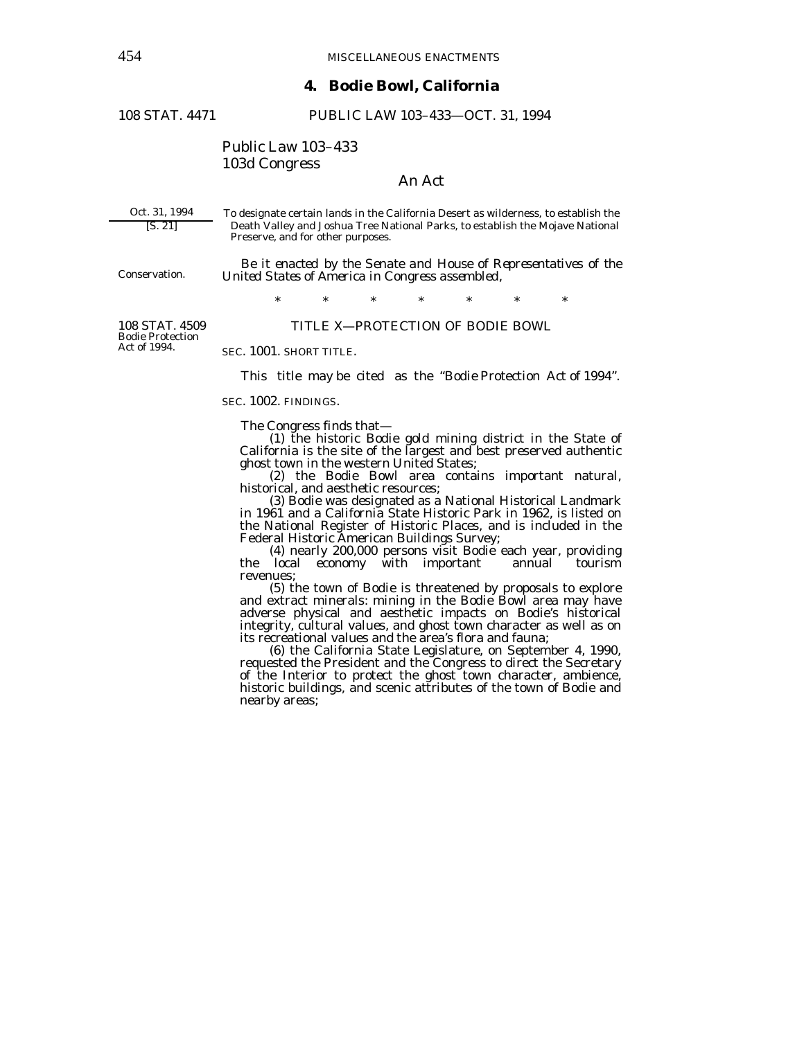# **4. Bodie Bowl, California**

108 STAT. 4471 PUBLIC LAW 103–433—OCT. 31, 1994

# Public Law 103–433 103d Congress

# An Act

Oct. 31, 1994 [S. 21]

Conservation.

To designate certain lands in the California Desert as wilderness, to establish the Death Valley and Joshua Tree National Parks, to establish the Mojave National Preserve, and for other purposes.

 *Be it enacted by the Senate and House of Representatives of the United States of America in Congress assembled*,

\* \* \* \* \* \* \*

108 STAT. 4509 Bodie Protection Act of 1994.

## TITLE X—PROTECTION OF BODIE BOWL

SEC. 1001. SHORT TITLE.

This title may be cited as the "Bodie Protection Act of 1994".

SEC. 1002. FINDINGS.

The Congress finds that—

 (1) the historic Bodie gold mining district in the State of California is the site of the largest and best preserved authentic ghost town in the western United States;

(2) the Bodie Bowl area contains important natural, historical, and aesthetic resources;

 (3) Bodie was designated as a National Historical Landmark in 1961 and a California State Historic Park in 1962, is listed on the National Register of Historic Places, and is included in the

(4) nearly 200,000 persons visit Bodie each year, providing<br>the local economy with important annual tourism local economy with important revenues;<br>(5) the town of Bodie is threatened by proposals to explore

and extract minerals: mining in the Bodie Bowl area may have adverse physical and aesthetic impacts on Bodie's historical integrity, cultural values, and ghost town character as well as on its recreational values and the area's flora and fauna;

 (6) the California State Legislature, on September 4, 1990, requested the President and the Congress to direct the Secretary of the Interior to protect the ghost town character, ambience, historic buildings, and scenic attributes of the town of Bodie and nearby areas;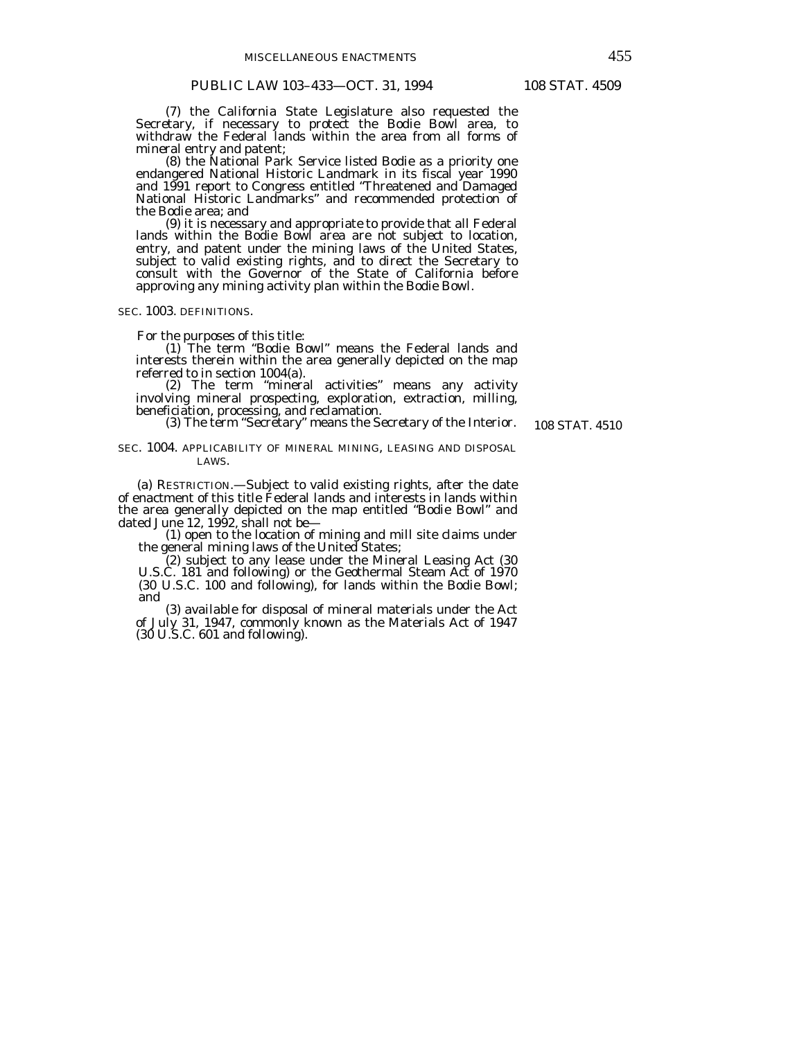(7) the California State Legislature also requested the Secretary, if necessary to protect the Bodie Bowl area, to withdraw the Federal lands within the area from all forms of mineral entry and patent;

 (8) the National Park Service listed Bodie as a priority one endangered National Historic Landmark in its fiscal year 1990 and 1991 report to Congress entitled "Threatened and Damaged National Historic Landmarks" and recommended protection of the Bodie area; and

 (9) it is necessary and appropriate to provide that all Federal lands within the Bodie Bowl area are not subject to location, entry, and patent under the mining laws of the United States, subject to valid existing rights, and to direct the Secretary to consult with the Governor of the State of California before approving any mining activity plan within the Bodie Bowl.

SEC. 1003. DEFINITIONS.

For the purposes of this title:

 (1) The term "Bodie Bowl" means the Federal lands and interests therein within the area generally depicted on the map referred to in section 1004(a).

 (2) The term "mineral activities" means any activity involving mineral prospecting, exploration, extraction, milling, beneficiation, processing, and reclamation.

(3) The term "Secretary" means the Secretary of the Interior.

108 STAT. 4510

SEC. 1004. APPLICABILITY OF MINERAL MINING, LEASING AND DISPOSAL LAWS.

 (a) RESTRICTION.—Subject to valid existing rights, after the date of enactment of this title Federal lands and interests in lands within the area generally depicted on the map entitled "Bodie Bowl" and

dated June 12, 1992, shall not be— (1) open to the location of mining and mill site claims under the general mining laws of the United States;

 (2) subject to any lease under the Mineral Leasing Act (30 U.S.C. 181 and following) or the Geothermal Steam Act of 1970 (30 U.S.C. 100 and following), for lands within the Bodie Bowl; and

 (3) available for disposal of mineral materials under the Act of July 31, 1947, commonly known as the Materials Act of 1947 (30 U.S.C. 601 and following).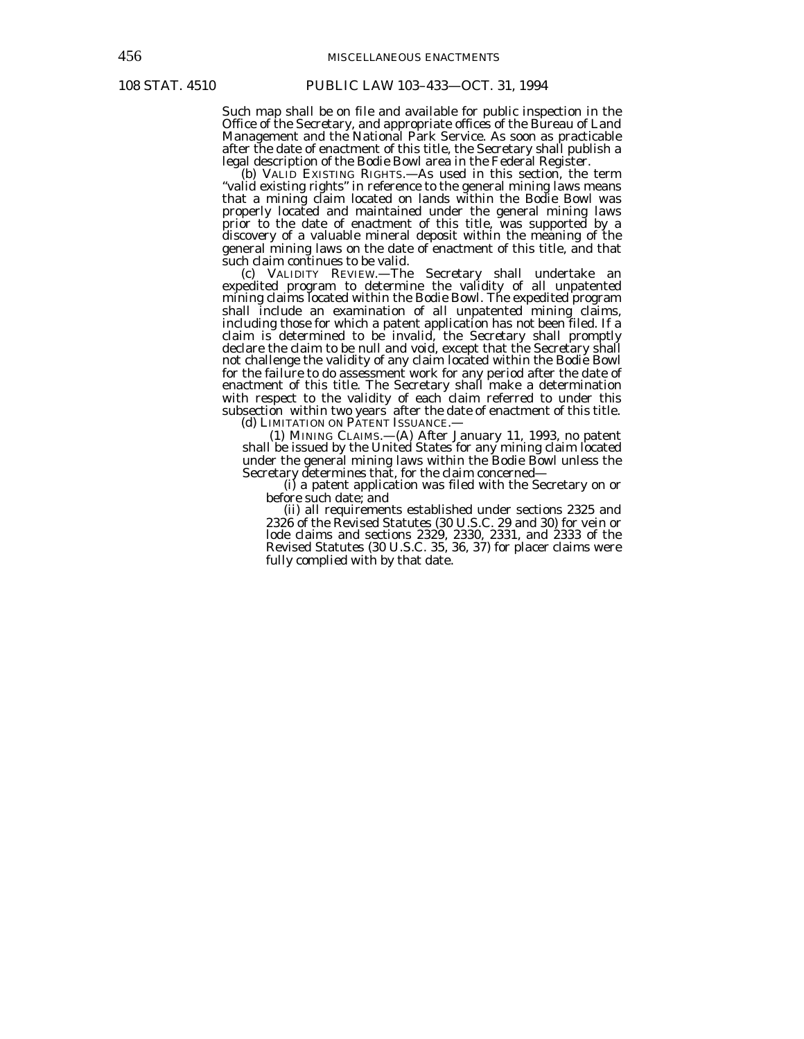Such map shall be on file and available for public inspection in the Office of the Secretary, and appropriate offices of the Bureau of Land Management and the National Park Service. As soon as practicable after the date of enactment of this title, the Secretary shall publish a legal description of the Bodie Bowl area in the Federal Register.

 (b) VALID EXISTING RIGHTS.—As used in this section, the term "valid existing rights" in reference to the general mining laws means that a mining claim located on lands within the Bodie Bowl was properly located and maintained under the general mining laws prior to the date of enactment of this title, was supported by a discovery of a valuable mineral deposit within the meaning of the general mining laws on the date of enactment of this title, and that such claim continues to be valid.

 (c) VALIDITY REVIEW.—The Secretary shall undertake an expedited program to determine the validity of all unpatented mining claims located within the Bodie Bowl. The expedited program shall include an examination of all unpatented mining claims, including those for which a patent application has not been filed. If a claim is determined to be invalid, the Secretary shall promptly declare the claim to be null and void, except that the Secretary shall not challenge the validity of any claim located within the Bodie Bowl for the failure to do assessment work for any period after the date of enactment of this title. The Secretary shall make a determination with respect to the validity of each claim referred to under this subsection within two years after the date of enactment of this title.

(d) LIMITATION ON PATENT ISSUANCE.-

 (1) MINING CLAIMS.—(A) After January 11, 1993, no patent shall be issued by the United States for any mining claim located under the general mining laws within the Bodie Bowl unless the Secretary determines that, for the claim concerned—

(i) a patent application was filed with the Secretary on or before such date; and

 (ii) all requirements established under sections 2325 and 2326 of the Revised Statutes (30 U.S.C. 29 and 30) for vein or lode claims and sections 2329, 2330, 2331, and 2333 of the Revised Statutes (30 U.S.C. 35, 36, 37) for placer claims were fully complied with by that date.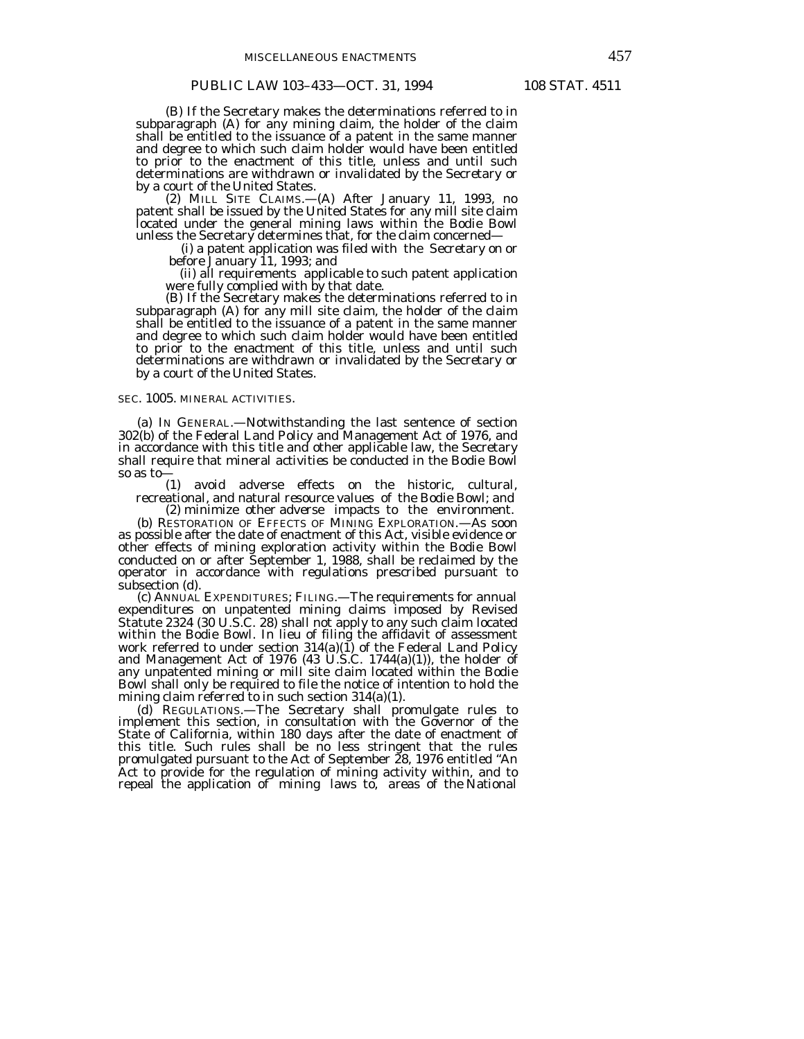## PUBLIC LAW 103-433-OCT. 31, 1994 108 STAT. 4511

 (B) If the Secretary makes the determinations referred to in subparagraph (A) for any mining claim, the holder of the claim shall be entitled to the issuance of a patent in the same manner and degree to which such claim holder would have been entitled to prior to the enactment of this title, unless and until such determinations are withdrawn or invalidated by the Secretary or by a court of the United States.

 (2) MILL SITE CLAIMS.—(A) After January 11, 1993, no patent shall be issued by the United States for any mill site claim located under the general mining laws within the Bodie Bowl

unless the Secretary determines that, for the claim concerned— (i) a patent application was filed with the Secretary on or

(ii) all requirements applicable to such patent application<br>were fully complied with by that date. were fully complied with by that date.<br>(B) If the Secretary makes the determinations referred to in

subparagraph (A) for any mill site claim, the holder of the claim shall be entitled to the issuance of a patent in the same manner and degree to which such claim holder would have been entitled to prior to the enactment of this title, unless and until such determinations are withdrawn or invalidated by the Secretary or by a court of the United States.

#### SEC. 1005. MINERAL ACTIVITIES.

 (a) IN GENERAL.—Notwithstanding the last sentence of section 302(b) of the Federal Land Policy and Management Act of 1976, and in accordance with this title and other applicable law, the Secretary shall require that mineral activities be conducted in the Bodie Bowl so as to—

 (1) avoid adverse effects on the historic, cultural, recreational, and natural resource values of the Bodie Bowl; and

 (2) minimize other adverse impacts to the environment. (b) RESTORATION OF EFFECTS OF MINING EXPLORATION.—As soon as possible after the date of enactment of this Act, visible evidence or other effects of mining exploration activity within the Bodie Bowl conducted on or after September 1, 1988, shall be reclaimed by the operator in accordance with regulations prescribed pursuant to subsection (d).

 (c) ANNUAL EXPENDITURES; FILING.—The requirements for annual expenditures on unpatented mining claims imposed by Revised Statute 2324 (30 U.S.C. 28) shall not apply to any such claim located within the Bodie Bowl. In lieu of filing the affidavit of assessment work referred to under section 314(a)(1) of the Federal Land Policy and Management Act of 1976 (43 U.S.C. 1744(a)(1)), the holder of any unpatented mining or mill site claim located within the Bodie Bowl shall only be required to file the notice of intention to hold the mining claim referred to in such section 314(a)(1).

 (d) REGULATIONS.—The Secretary shall promulgate rules to implement this section, in consultation with the Governor of the State of California, within 180 days after the date of enactment of this title. Such rules shall be no less stringent that the rules promulgated pursuant to the Act of September 28, 1976 entitled "An Act to provide for the regulation of mining activity within, and to repeal the application of mining laws to, areas of the National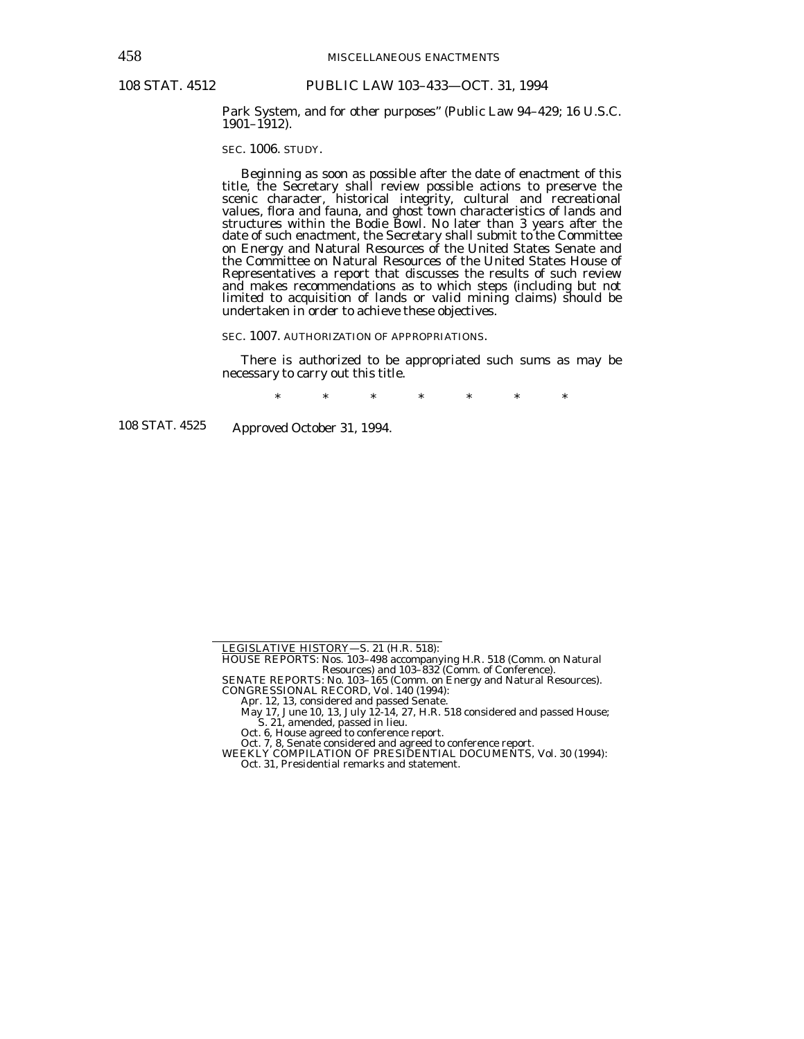Park System, and for other purposes" (Public Law 94–429; 16 U.S.C. 1901–1912).

SEC. 1006. STUDY.

 Beginning as soon as possible after the date of enactment of this title, the Secretary shall review possible actions to preserve the scenic character, historical integrity, cultural and recreational values, flora and fauna, and ghost town characteristics of lands and structures within the Bodie Bowl. No later than 3 years after the date of such enactment, the Secretary shall submit to the Committee on Energy and Natural Resources of the United States Senate and the Committee on Natural Resources of the United States House of Representatives a report that discusses the results of such review and makes recommendations as to which steps (including but not limited to acquisition of lands or valid mining claims) should be undertaken in order to achieve these objectives.

SEC. 1007. AUTHORIZATION OF APPROPRIATIONS.

 There is authorized to be appropriated such sums as may be necessary to carry out this title.

\* \* \* \* \* \* \*

108 STAT. 4525

Approved October 31, 1994.

LEGISLATIVE HISTORY—S. 21 (H.R. 518):

HOUSE REPORTS: Nos. 103–498 accompanying H.R. 518 (Comm. on Natural Resources) and 103–832 (Comm. of Conference).

SENATE REPORTS: No. 103–165 (Comm. on Energy and Natural Resources). CONGRESSIONAL RECORD, Vol. 140 (1994): Apr. 12, 13, considered and passed Senate.

May 17, June 10, 13, July 12-14, 27, H.R. 518 considered and passed House;

S. 21, amended, passed in lieu. Oct. 6, House agreed to conference report.

Oct. 7, 8, Senate considered and agreed to conference report. WEEKLY COMPILATION OF PRESIDENTIAL DOCUMENTS, Vol. 30 (1994):

Oct. 31, Presidential remarks and statement.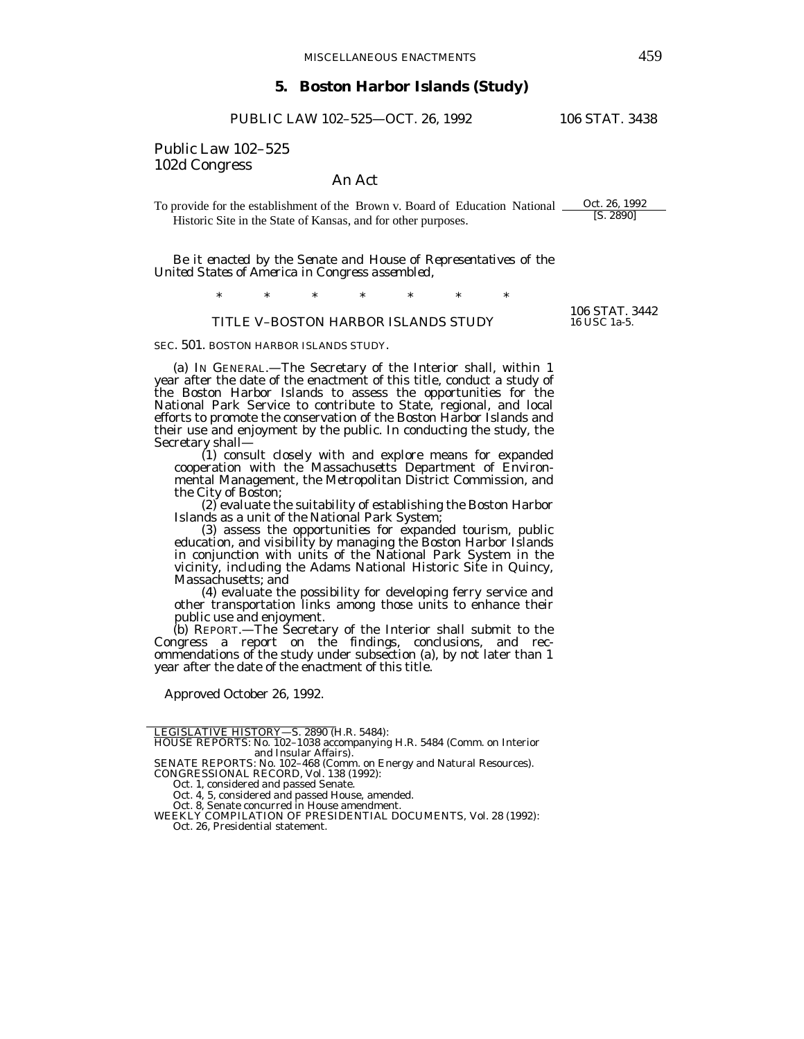# **5. Boston Harbor Islands (Study)**

PUBLIC LAW 102–525—OCT. 26, 1992 106 STAT. 3438

# Public Law 102–525 102d Congress

## An Act

To provide for the establishment of the Brown v. Board of Education National  $\frac{Oct. 26, 1992}{|S. 2890|}$ Historic Site in the State of Kansas, and for other purposes.

*Be it enacted by the Senate and House of Representatives of the United States of America in Congress assembled,* 

\* \* \* \* \* \* \*

## TITLE V–BOSTON HARBOR ISLANDS STUDY

SEC. 501. BOSTON HARBOR ISLANDS STUDY.

 (a) IN GENERAL.—The Secretary of the Interior shall, within 1 year after the date of the enactment of this title, conduct a study of the Boston Harbor Islands to assess the opportunities for the National Park Service to contribute to State, regional, and local efforts to promote the conservation of the Boston Harbor Islands and their use and enjoyment by the public. In conducting the study, the Secretary shall— (1) consult closely with and explore means for expanded

cooperation with the Massachusetts Department of Environmental Management, the Metropolitan District Commission, and the City of Boston;

(2) evaluate the suitability of establishing the Boston Harbor Islands as a unit of the National Park System;<br>(3) assess the opportunities for expanded tourism, public

 (3) assess the opportunities for expanded tourism, public education, and visibility by managing the Boston Harbor Islands in conjunction with units of the National Park System in the vicinity, including the Adams National Historic Site in Quincy,

Massachusetts; and<br>(4) evaluate the possibility for developing ferry service and other transportation links among those units to enhance their public use and enjoyment.<br>(b) REPORT.—The Secretary of the Interior shall submit to the

Congress a report on the findings, conclusions, and recommendations of the study under subsection (a), by not later than 1 year after the date of the enactment of this title.

Approved October 26, 1992.

 Oct. 8, Senate concurred in House amendment. WEEKLY COMPILATION OF PRESIDENTIAL DOCUMENTS, Vol. 28 (1992): Oct. 26, Presidential statement.

106 STAT. 3442 16 USC 1a-5.

LEGISLATIVE HISTORY—S. 2890 (H.R. 5484):<br>HOUSE REPORTS: No. 102–1038 accompanying H.R. 5484 (Comm. on Interior<br>and Insular Affairs).

SENATE REPORTS: No. 102–468 (Comm. on Energy and Natural Resources). CONGRESSIONAL RECORD, Vol. 138 (1992):

Oct. 1, considered and passed Senate.

Oct. 4, 5, considered and passed House, amended.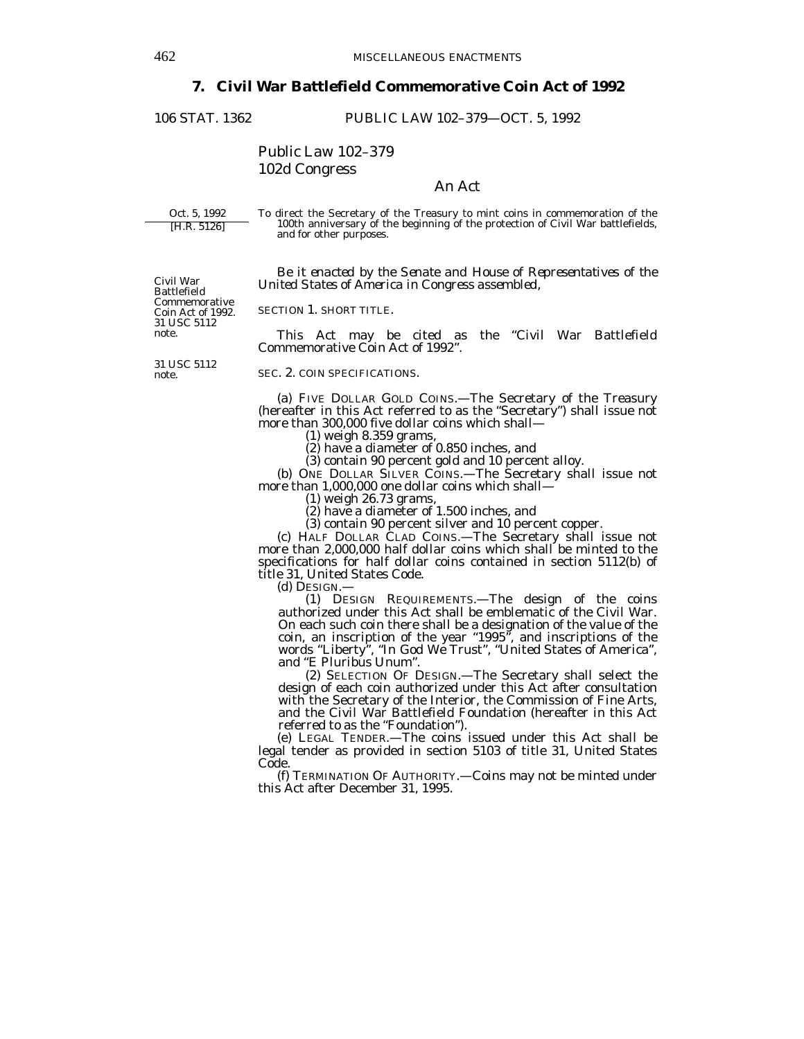# **7. Civil War Battlefield Commemorative Coin Act of 1992**

106 STAT. 1362 PUBLIC LAW 102–379—OCT. 5, 1992

Public Law 102–379 102d Congress

## An Act

Oct. 5, 1992 [H.R. 5126]

Civil War Battlefield Commemorative Coin Act of 1992. 31 USC 5112 note.

To direct the Secretary of the Treasury to mint coins in commemoration of the 100th anniversary of the beginning of the protection of Civil War battlefields, and for other purposes.

 *Be it enacted by the Senate and House of Representatives of the United States of America in Congress assembled,* 

SECTION 1. SHORT TITLE.

 This Act may be cited as the "Civil War Battlefield Commemorative Coin Act of 1992".

31 USC 5112 note.

SEC. 2. COIN SPECIFICATIONS.

 (a) FIVE DOLLAR GOLD COINS.—The Secretary of the Treasury (hereafter in this Act referred to as the "Secretary") shall issue not more than 300,000 five dollar coins which shall—

(1) weigh 8.359 grams,

(2) have a diameter of 0.850 inches, and

(3) contain 90 percent gold and 10 percent alloy.

 (b) ONE DOLLAR SILVER COINS.—The Secretary shall issue not more than 1,000,000 one dollar coins which shall—

(1) weigh 26.73 grams,

(2) have a diameter of 1.500 inches, and

(3) contain 90 percent silver and 10 percent copper.

 (c) HALF DOLLAR CLAD COINS.—The Secretary shall issue not more than 2,000,000 half dollar coins which shall be minted to the specifications for half dollar coins contained in section 5112(b) of title 31, United States Code.

(d) DESIGN.—

 (1) DESIGN REQUIREMENTS.—The design of the coins authorized under this Act shall be emblematic of the Civil War. On each such coin there shall be a designation of the value of the coin, an inscription of the year "1995", and inscriptions of the words "Liberty", "In God We Trust", "United States of America", and "E Pluribus Unum".

 (2) SELECTION OF DESIGN.—The Secretary shall select the design of each coin authorized under this Act after consultation with the Secretary of the Interior, the Commission of Fine Arts, and the Civil War Battlefield Foundation (hereafter in this Act referred to as the "Foundation").

 (e) LEGAL TENDER.—The coins issued under this Act shall be legal tender as provided in section 5103 of title 31, United States Code.

 (f) TERMINATION OF AUTHORITY.—Coins may not be minted under this Act after December 31, 1995.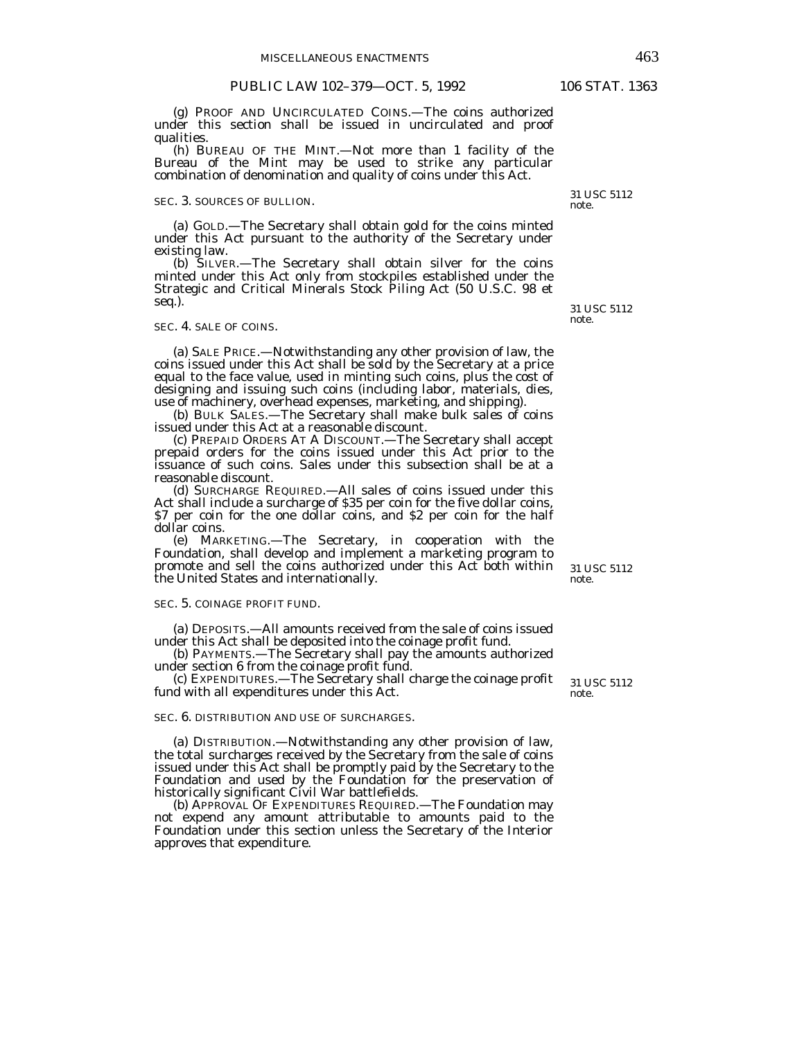(g) PROOF AND UNCIRCULATED COINS.—The coins authorized under this section shall be issued in uncirculated and proof qualities.

 (h) BUREAU OF THE MINT.—Not more than 1 facility of the Bureau of the Mint may be used to strike any particular combination of denomination and quality of coins under this Act.

## SEC. 3. SOURCES OF BULLION.

 (a) GOLD.—The Secretary shall obtain gold for the coins minted under this Act pursuant to the authority of the Secretary under existing law.

 (b) SILVER.—The Secretary shall obtain silver for the coins minted under this Act only from stockpiles established under the Strategic and Critical Minerals Stock Piling Act (50 U.S.C. 98 et seq.).

#### SEC. 4. SALE OF COINS.

 (a) SALE PRICE.—Notwithstanding any other provision of law, the coins issued under this Act shall be sold by the Secretary at a price equal to the face value, used in minting such coins, plus the cost of designing and issuing such coins (including labor, materials, dies, use of machinery, overhead expenses, marketing, and shipping).

 (b) BULK SALES.—The Secretary shall make bulk sales of coins issued under this Act at a reasonable discount.

 (c) PREPAID ORDERS AT A DISCOUNT.—The Secretary shall accept prepaid orders for the coins issued under this Act prior to the issuance of such coins. Sales under this subsection shall be at a reasonable discount.

 (d) SURCHARGE REQUIRED.—All sales of coins issued under this Act shall include a surcharge of \$35 per coin for the five dollar coins, \$7 per coin for the one dollar coins, and \$2 per coin for the half dollar coins.

 (e) MARKETING.—The Secretary, in cooperation with the Foundation, shall develop and implement a marketing program to promote and sell the coins authorized under this Act both within the United States and internationally.

#### SEC. 5. COINAGE PROFIT FUND.

 (a) DEPOSITS.—All amounts received from the sale of coins issued under this Act shall be deposited into the coinage profit fund.

 (b) PAYMENTS.—The Secretary shall pay the amounts authorized under section 6 from the coinage profit fund.

 (c) EXPENDITURES.—The Secretary shall charge the coinage profit fund with all expenditures under this Act.

SEC. 6. DISTRIBUTION AND USE OF SURCHARGES.

 (a) DISTRIBUTION.—Notwithstanding any other provision of law, the total surcharges received by the Secretary from the sale of coins issued under this Act shall be promptly paid by the Secretary to the Foundation and used by the Foundation for the preservation of historically significant Civil War battlefields.

 (b) APPROVAL OF EXPENDITURES REQUIRED.—The Foundation may not expend any amount attributable to amounts paid to the Foundation under this section unless the Secretary of the Interior approves that expenditure.

31 USC 5112 note.

31 USC 5112

note.

31 USC 5112

note.

31 USC 5112 note.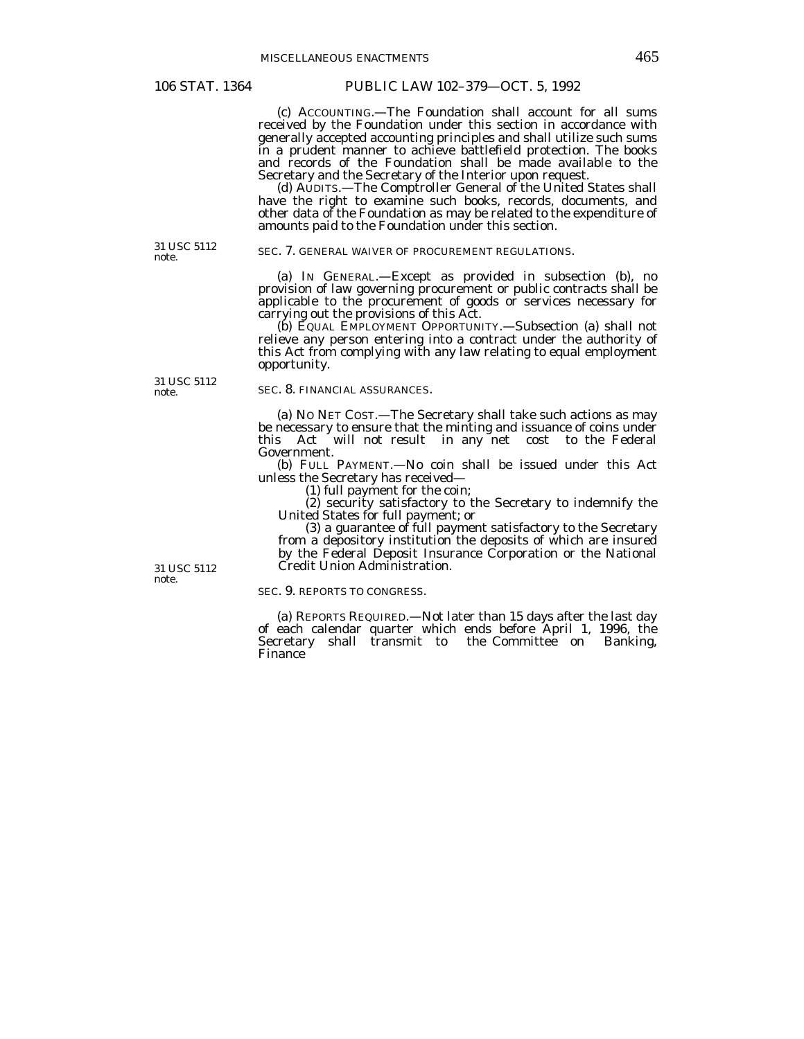(c) ACCOUNTING.—The Foundation shall account for all sums received by the Foundation under this section in accordance with generally accepted accounting principles and shall utilize such sums in a prudent manner to achieve battlefield protection. The books and records of the Foundation shall be made available to the Secretary and the Secretary of the Interior upon request.

 (d) AUDITS.—The Comptroller General of the United States shall have the right to examine such books, records, documents, and other data of the Foundation as may be related to the expenditure of amounts paid to the Foundation under this section.

31 USC 5112 note.

#### SEC. 7. GENERAL WAIVER OF PROCUREMENT REGULATIONS.

 (a) IN GENERAL.—Except as provided in subsection (b), no provision of law governing procurement or public contracts shall be applicable to the procurement of goods or services necessary for carrying out the provisions of this Act.

 (b) EQUAL EMPLOYMENT OPPORTUNITY.—Subsection (a) shall not relieve any person entering into a contract under the authority of this Act from complying with any law relating to equal employment opportunity.

31 USC 5112 note.

#### SEC. 8. FINANCIAL ASSURANCES.

 (a) NO NET COST.—The Secretary shall take such actions as may be necessary to ensure that the minting and issuance of coins under this Act will not result in any net cost to the Federal Government.

 (b) FULL PAYMENT.—No coin shall be issued under this Act unless the Secretary has received—

(1) full payment for the coin;

 (2) security satisfactory to the Secretary to indemnify the United States for full payment; or

 (3) a guarantee of full payment satisfactory to the Secretary from a depository institution the deposits of which are insured by the Federal Deposit Insurance Corporation or the National Credit Union Administration.

SEC. 9. REPORTS TO CONGRESS.

 (a) REPORTS REQUIRED.—Not later than 15 days after the last day of each calendar quarter which ends before April 1, 1996, the Secretary shall transmit to the Committee on Banking, Finance

31 USC 5112 note.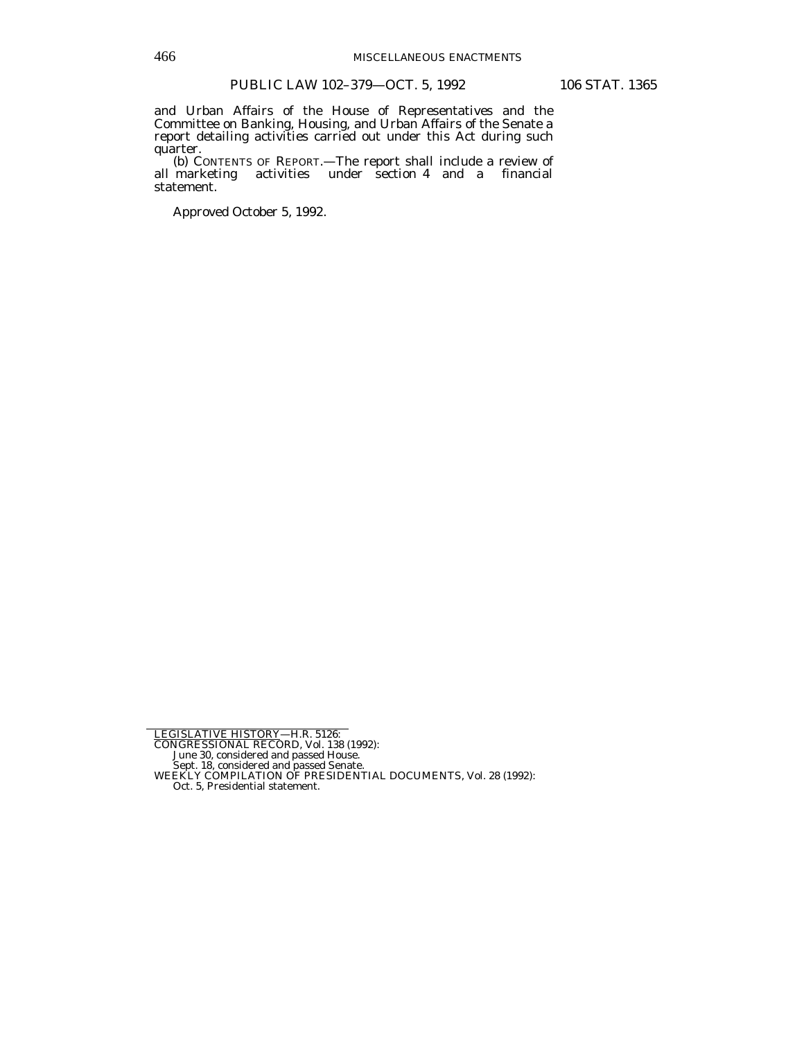and Urban Affairs of the House of Representatives and the Committee on Banking, Housing, and Urban Affairs of the Senate a report detailing activities carried out under this Act during such quarter.

 (b) CONTENTS OF REPORT.—The report shall include a review of all marketing activities under section 4 and a financial statement.

Approved October 5, 1992.

June 30, considered and passed House. Sept. 18, considered and passed Senate. WEEKLY COMPILATION OF PRESIDENTIAL DOCUMENTS, Vol. 28 (1992):

Oct. 5, Presidential statement.

LEGISLATIVE HISTORY—H.R. 5126:<br>CONGRESSIONAL RECORD, Vol. 138 (1992):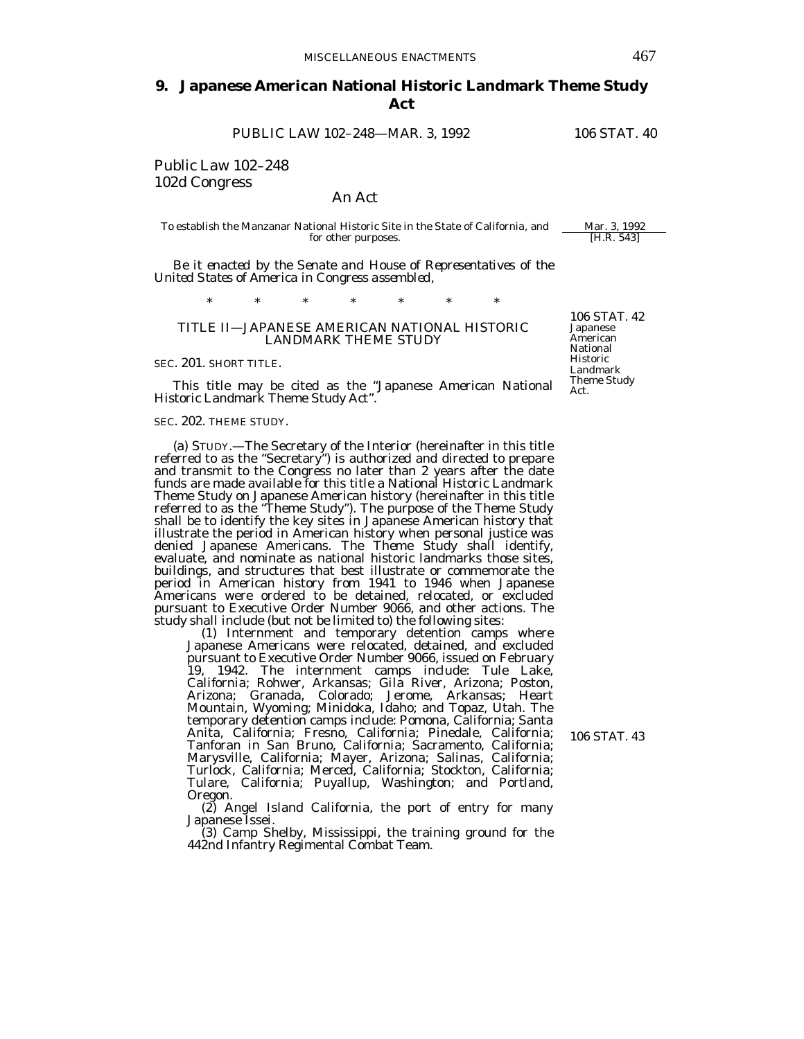# **9. Japanese American National Historic Landmark Theme Study Act**

PUBLIC LAW 102-248-MAR. 3, 1992 106 STAT. 40

Public Law 102–248 102d Congress

## An Act

To establish the Manzanar National Historic Site in the State of California, and Mar. 3, 1992<br>for other purposes. for other purposes.

*Be it enacted by the Senate and House of Representatives of the United States of America in Congress assembled,* 

\* \* \* \* \* \* \*

## TITLE II—JAPANESE AMERICAN NATIONAL HISTORIC LANDMARK THEME STUDY

SEC. 201. SHORT TITLE.

This title may be cited as the "Japanese American National Historic Landmark Theme Study Act".

#### SEC. 202. THEME STUDY.

 (a) STUDY.—The Secretary of the Interior (hereinafter in this title referred to as the "Secretary") is authorized and directed to prepare and transmit to the Congress no later than 2 years after the date funds are made available for this title a National Historic Landmark Theme Study on Japanese American history (hereinafter in this title referred to as the "Theme Study"). The purpose of the Theme Study shall be to identify the key sites in Japanese American history that illustrate the period in American history when personal justice was denied Japanese Americans. The Theme Study shall identify, evaluate, and nominate as national historic landmarks those sites, buildings, and structures that best illustrate or commemorate the period in American history from 1941 to 1946 when Japanese Americans were ordered to be detained, relocated, or excluded pursuant to Executive Order Number 9066, and other actions. The study shall include (but not be limited to) the following sites: (1) Internment and temporary detention camps where

Japanese Americans were relocated, detained, and excluded pursuant to Executive Order Number 9066, issued on February 19, 1942. The internment camps include: Tule Lake, California; Rohwer, Arkansas; Gila River, Arizona; Poston, Arizona; Granada, Colorado; Jerome, Arkansas; Heart Mountain, Wyoming; Minidoka, Idaho; and Topaz, Utah. The temporary detention camps include: Pomona, California; Santa Anita, California; Fresno, California; Pinedale, California; Tanforan in San Bruno, California; Sacramento, California; Marysville, California; Mayer, Arizona; Salinas, California; Turlock, California; Merced, California; Stockton, California; Tulare, California; Puyallup, Washington; and Portland, Oregon.

 (2) Angel Island California, the port of entry for many Japanese Issei.

 (3) Camp Shelby, Mississippi, the training ground for the 442nd Infantry Regimental Combat Team.

106 STAT. 42 Japanese American National Historic Landmark Theme Study Act.

106 STAT. 43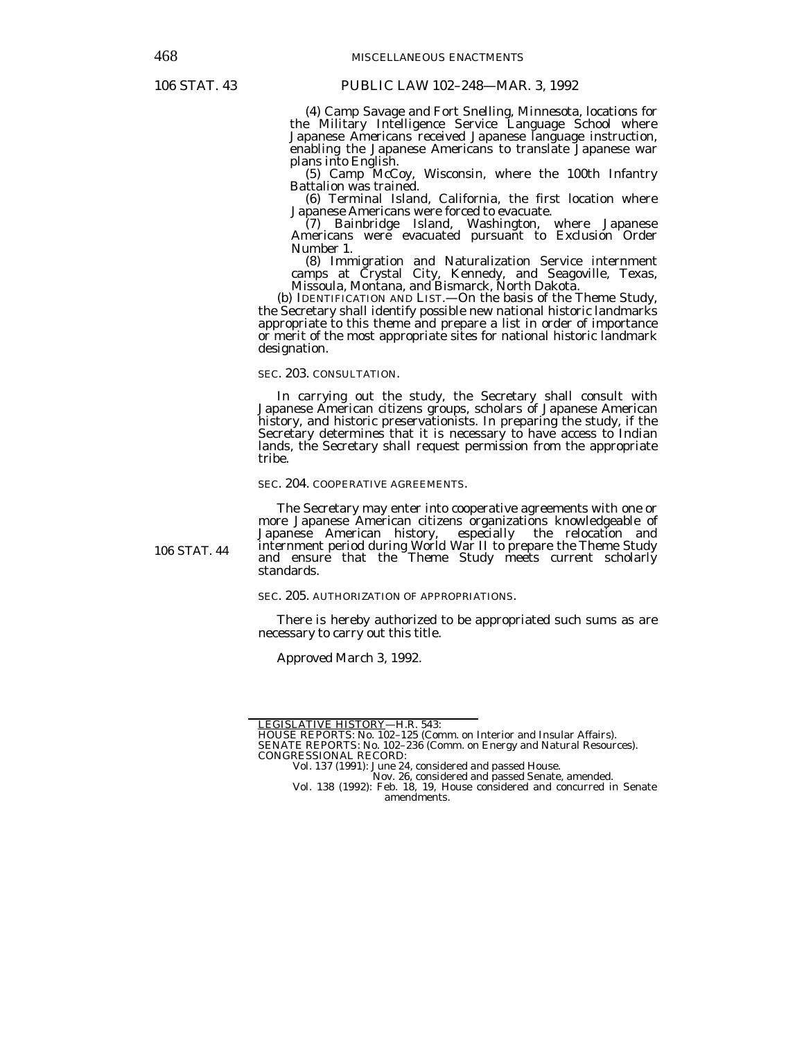106 STAT. 44

 (4) Camp Savage and Fort Snelling, Minnesota, locations for the Military Intelligence Service Language School where Japanese Americans received Japanese language instruction, enabling the Japanese Americans to translate Japanese war plans into English.

(5) Camp McCoy, Wisconsin, where the 100th Infantry Battalion was trained.

 (6) Terminal Island, California, the first location where Japanese Americans were forced to evacuate.

 (7) Bainbridge Island, Washington, where Japanese Americans were evacuated pursuant to Exclusion Order Number 1.

 (8) Immigration and Naturalization Service internment camps at Crystal City, Kennedy, and Seagoville, Texas, Missoula, Montana, and Bismarck, North Dakota.

 (b) IDENTIFICATION AND LIST.—On the basis of the Theme Study, the Secretary shall identify possible new national historic landmarks appropriate to this theme and prepare a list in order of importance or merit of the most appropriate sites for national historic landmark designation.

SEC. 203. CONSULTATION.

 In carrying out the study, the Secretary shall consult with Japanese American citizens groups, scholars of Japanese American history, and historic preservationists. In preparing the study, if the Secretary determines that it is necessary to have access to Indian lands, the Secretary shall request permission from the appropriate tribe.

#### SEC. 204. COOPERATIVE AGREEMENTS.

 The Secretary may enter into cooperative agreements with one or more Japanese American citizens organizations knowledgeable of Japanese American history, especially the relocation and especially the relocation and internment period during World War II to prepare the Theme Study and ensure that the Theme Study meets current scholarly standards.

SEC. 205. AUTHORIZATION OF APPROPRIATIONS.

 There is hereby authorized to be appropriated such sums as are necessary to carry out this title.

Approved March 3, 1992.

LEGISLATIVE HISTORY—H.R. 543:

HOUSE REPORTS: No. 102–125 (Comm. on Interior and Insular Affairs).

SENATE REPORTS: No. 102–236 (Comm. on Energy and Natural Resources). CONGRESSIONAL RECORD:

Vol. 137 (1991): June 24, considered and passed House.

Nov. 26, considered and passed Senate, amended. Vol. 138 (1992): Feb. 18, 19, House considered and concurred in Senate amendments.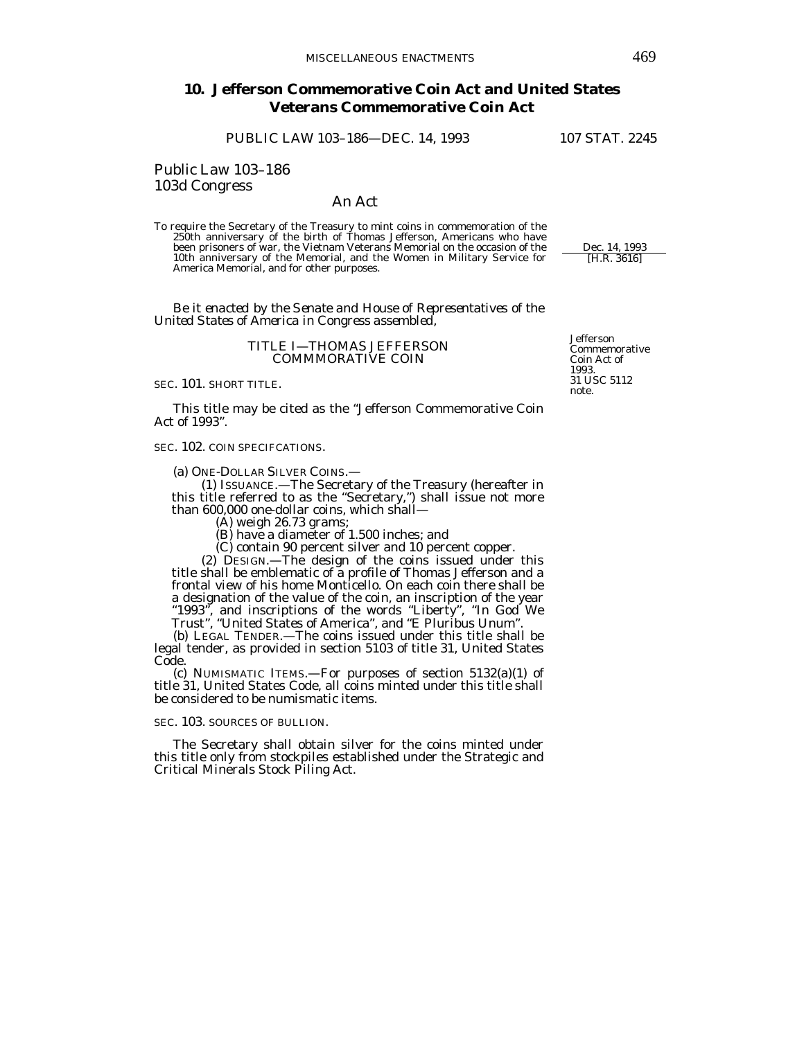# **10. Jefferson Commemorative Coin Act and United States Veterans Commemorative Coin Act**

PUBLIC LAW 103-186-DEC. 14, 1993 107 STAT. 2245

Public Law 103–186 103d Congress

## An Act

To require the Secretary of the Treasury to mint coins in commemoration of the 250th anniversary of the birth of Thomas Jefferson, Americans who have been prisoners of war, the Vietnam Veterans Memorial on the occasion of the 10th anniversary of the Memorial, and the Women in Military Service for America Memorial, and for other purposes.

 *Be it enacted by the Senate and House of Representatives of the United States of America in Congress assembled,* 

## TITLE I—THOMAS JEFFERSON COMMMORATIVE COIN

SEC. 101. SHORT TITLE.

 This title may be cited as the "Jefferson Commemorative Coin Act of 1993".

SEC. 102. COIN SPECIFCATIONS.

(a) ONE-DOLLAR SILVER COINS.—

 (1) ISSUANCE.—The Secretary of the Treasury (hereafter in this title referred to as the "Secretary,") shall issue not more than 600,000 one-dollar coins, which shall—

(A) weigh 26.73 grams;

(B) have a diameter of 1.500 inches; and

(C) contain 90 percent silver and 10 percent copper.

 (2) DESIGN.—The design of the coins issued under this title shall be emblematic of a profile of Thomas Jefferson and a frontal view of his home Monticello. On each coin there shall be a designation of the value of the coin, an inscription of the year "1993", and inscriptions of the words "Liberty", "In God We Trust", "United States of America", and "E Pluribus Unum".

 (b) LEGAL TENDER.—The coins issued under this title shall be legal tender, as provided in section 5103 of title 31, United States Code.

 (c) NUMISMATIC ITEMS.—For purposes of section 5132(a)(1) of title 31, United States Code, all coins minted under this title shall be considered to be numismatic items.

## SEC. 103. SOURCES OF BULLION.

 The Secretary shall obtain silver for the coins minted under this title only from stockpiles established under the Strategic and Critical Minerals Stock Piling Act.

Jefferson Commemorative Coin Act of 1993. 31 USC 5112 note.

Dec. 14, 1993

[H.R. 3616]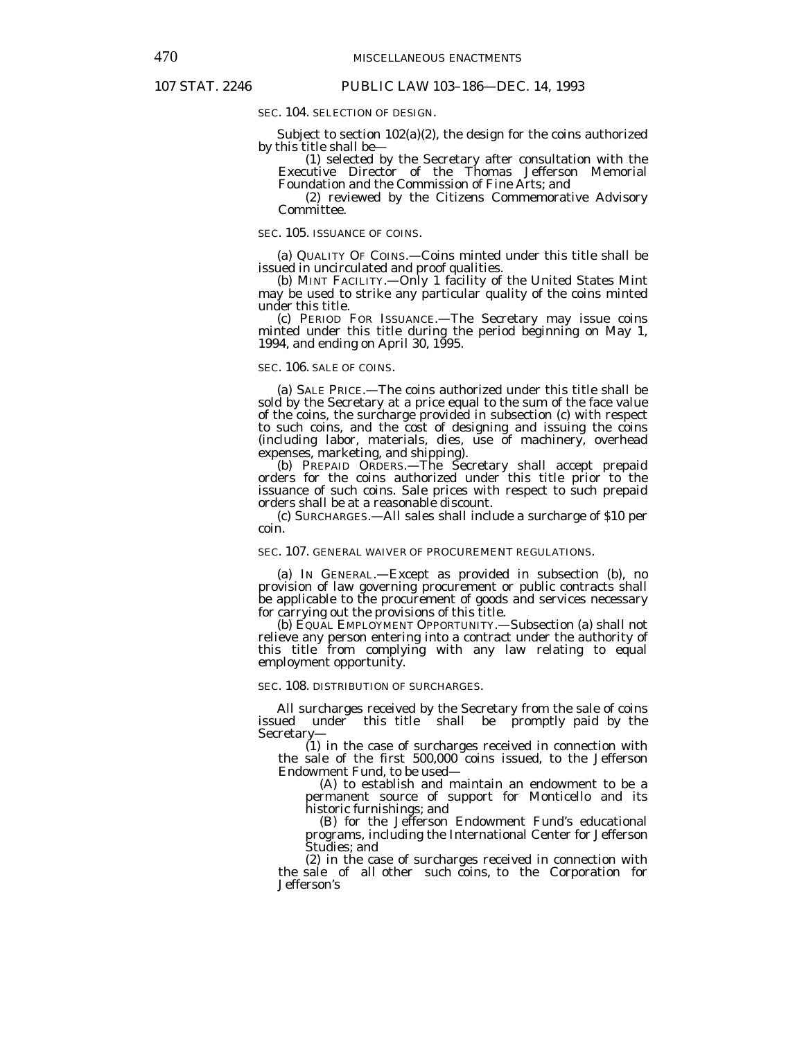SEC. 104. SELECTION OF DESIGN.

 Subject to section 102(a)(2), the design for the coins authorized by this title shall be—

 (1) selected by the Secretary after consultation with the Executive Director of the Thomas Jefferson Memorial Foundation and the Commission of Fine Arts; and

 (2) reviewed by the Citizens Commemorative Advisory Committee.

SEC. 105. ISSUANCE OF COINS.

 (a) QUALITY OF COINS.—Coins minted under this title shall be issued in uncirculated and proof qualities.

 (b) MINT FACILITY.—Only 1 facility of the United States Mint may be used to strike any particular quality of the coins minted under this title.

 (c) PERIOD FOR ISSUANCE.—The Secretary may issue coins minted under this title during the period beginning on May 1, 1994, and ending on April 30, 1995.

## SEC. 106. SALE OF COINS.

 (a) SALE PRICE.—The coins authorized under this title shall be sold by the Secretary at a price equal to the sum of the face value of the coins, the surcharge provided in subsection (c) with respect to such coins, and the cost of designing and issuing the coins (including labor, materials, dies, use of machinery, overhead expenses, marketing, and shipping).

 (b) PREPAID ORDERS.—The Secretary shall accept prepaid orders for the coins authorized under this title prior to the issuance of such coins. Sale prices with respect to such prepaid orders shall be at a reasonable discount.

 (c) SURCHARGES.—All sales shall include a surcharge of \$10 per coin.

## SEC. 107. GENERAL WAIVER OF PROCUREMENT REGULATIONS.

 (a) IN GENERAL.—Except as provided in subsection (b), no provision of law governing procurement or public contracts shall be applicable to the procurement of goods and services necessary for carrying out the provisions of this title.

 (b) EQUAL EMPLOYMENT OPPORTUNITY.—Subsection (a) shall not relieve any person entering into a contract under the authority of this title from complying with any law relating to equal employment opportunity.

## SEC. 108. DISTRIBUTION OF SURCHARGES.

 All surcharges received by the Secretary from the sale of coins issued under this title shall be promptly paid by the Secretary—

 (1) in the case of surcharges received in connection with the sale of the first 500,000 coins issued, to the Jefferson Endowment Fund, to be used—

 (A) to establish and maintain an endowment to be a permanent source of support for Monticello and its historic furnishings; and

 (B) for the Jefferson Endowment Fund's educational programs, including the International Center for Jefferson Studies; and

 (2) in the case of surcharges received in connection with the sale of all other such coins, to the Corporation for Jefferson's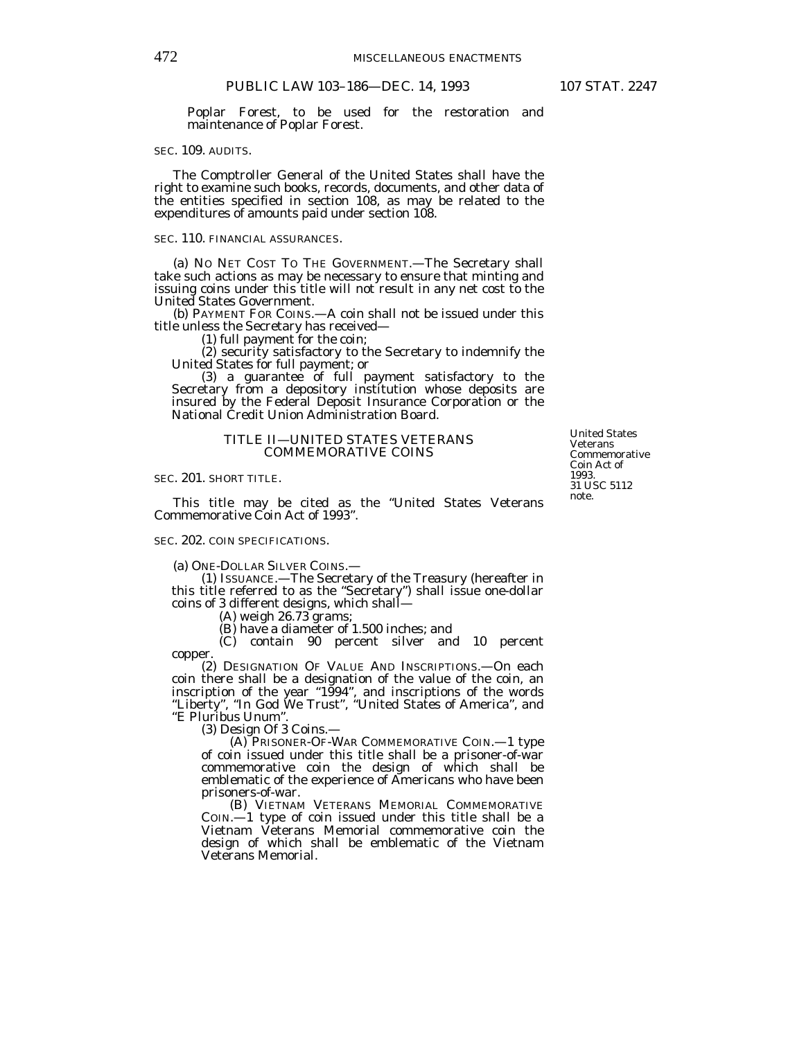Poplar Forest, to be used for the restoration and maintenance of Poplar Forest.

### SEC. 109. AUDITS.

 The Comptroller General of the United States shall have the right to examine such books, records, documents, and other data of the entities specified in section 108, as may be related to the expenditures of amounts paid under section 108.

#### SEC. 110. FINANCIAL ASSURANCES.

 (a) NO NET COST TO THE GOVERNMENT.—The Secretary shall take such actions as may be necessary to ensure that minting and issuing coins under this title will not result in any net cost to the United States Government.

 (b) PAYMENT FOR COINS.—A coin shall not be issued under this title unless the Secretary has received—

(1) full payment for the coin;

 (2) security satisfactory to the Secretary to indemnify the United States for full payment; or

 (3) a guarantee of full payment satisfactory to the Secretary from a depository institution whose deposits are insured by the Federal Deposit Insurance Corporation or the National Credit Union Administration Board.

#### TITLE II—UNITED STATES VETERANS COMMEMORATIVE COINS

SEC. 201. SHORT TITLE.

 This title may be cited as the "United States Veterans Commemorative Coin Act of 1993".

## SEC. 202. COIN SPECIFICATIONS.

(a) ONE-DOLLAR SILVER COINS.—

 (1) ISSUANCE.—The Secretary of the Treasury (hereafter in this title referred to as the "Secretary") shall issue one-dollar coins of 3 different designs, which shall—

(A) weigh 26.73 grams;

(B) have a diameter of 1.500 inches; and

 (C) contain 90 percent silver and 10 percent copper.

 (2) DESIGNATION OF VALUE AND INSCRIPTIONS.—On each coin there shall be a designation of the value of the coin, an inscription of the year "1994", and inscriptions of the words "Liberty", "In God We Trust", "United States of America", and "E Pluribus Unum".

(3) Design Of 3 Coins.—

 (A) PRISONER-OF-WAR COMMEMORATIVE COIN.—1 type of coin issued under this title shall be a prisoner-of-war commemorative coin the design of which shall be emblematic of the experience of Americans who have been prisoners-of-war.

 (B) VIETNAM VETERANS MEMORIAL COMMEMORATIVE COIN.—1 type of coin issued under this title shall be a Vietnam Veterans Memorial commemorative coin the design of which shall be emblematic of the Vietnam Veterans Memorial.

United States Veterans Commemorative Coin Act of 1993. 31 USC 5112 note.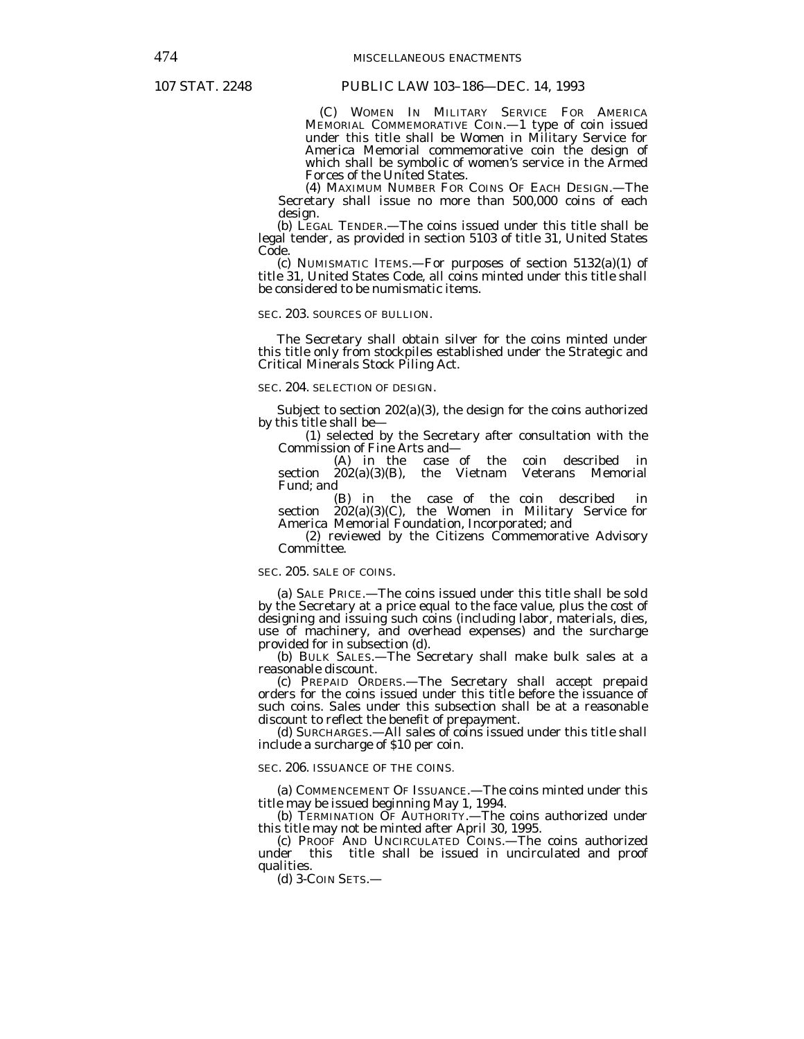(C) WOMEN IN MILITARY SERVICE FOR AMERICA MEMORIAL COMMEMORATIVE COIN.—1 type of coin issued under this title shall be Women in Military Service for America Memorial commemorative coin the design of which shall be symbolic of women's service in the Armed Forces of the United States.

 (4) MAXIMUM NUMBER FOR COINS OF EACH DESIGN.—The Secretary shall issue no more than 500,000 coins of each design.

 (b) LEGAL TENDER.—The coins issued under this title shall be legal tender, as provided in section 5103 of title 31, United States Code.

 (c) NUMISMATIC ITEMS.—For purposes of section 5132(a)(1) of title 31, United States Code, all coins minted under this title shall be considered to be numismatic items.

#### SEC. 203. SOURCES OF BULLION.

 The Secretary shall obtain silver for the coins minted under this title only from stockpiles established under the Strategic and Critical Minerals Stock Piling Act.

## SEC. 204. SELECTION OF DESIGN.

 Subject to section 202(a)(3), the design for the coins authorized by this title shall be—

 (1) selected by the Secretary after consultation with the Commission of Fine Arts and–<br>(A) in the case

case of the coin described in<br>the Vietnam Veterans Memorial section  $202(a)(3)(B)$ , Fund; and

 (B) in the case of the coin described in section 202(a)(3)(C), the Women in Military Service for America Memorial Foundation, Incorporated; and

 (2) reviewed by the Citizens Commemorative Advisory Committee.

## SEC. 205. SALE OF COINS.

 (a) SALE PRICE.—The coins issued under this title shall be sold by the Secretary at a price equal to the face value, plus the cost of designing and issuing such coins (including labor, materials, dies, use of machinery, and overhead expenses) and the surcharge provided for in subsection (d).

 (b) BULK SALES.—The Secretary shall make bulk sales at a reasonable discount.

 (c) PREPAID ORDERS.—The Secretary shall accept prepaid orders for the coins issued under this title before the issuance of such coins. Sales under this subsection shall be at a reasonable discount to reflect the benefit of prepayment.

 (d) SURCHARGES.—All sales of coins issued under this title shall include a surcharge of \$10 per coin.

#### SEC. 206. ISSUANCE OF THE COINS.

 (a) COMMENCEMENT OF ISSUANCE.—The coins minted under this title may be issued beginning May 1, 1994.

 (b) TERMINATION OF AUTHORITY.—The coins authorized under this title may not be minted after April 30, 1995.

 (c) PROOF AND UNCIRCULATED COINS.—The coins authorized under this title shall be issued in uncirculated and proof qualities.

(d) 3-COIN SETS.—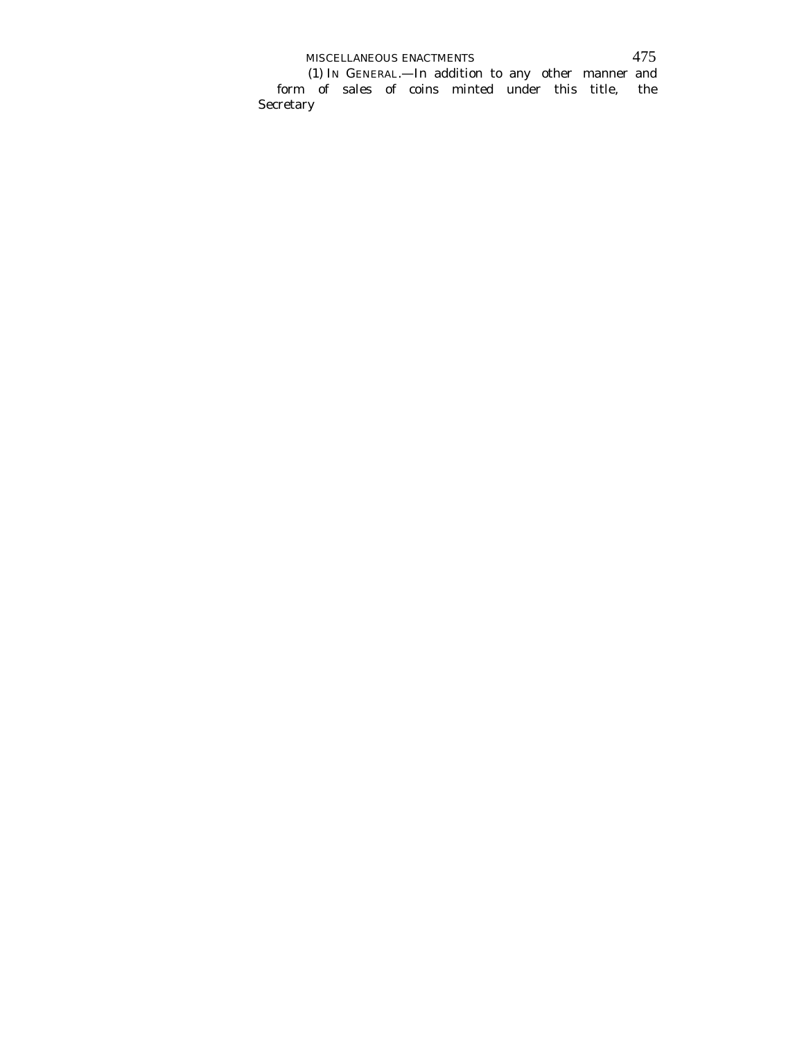MISCELLANEOUS ENACTMENTS 475

 (1) IN GENERAL.—In addition to any other manner and form of sales of coins minted under this title, the Secretary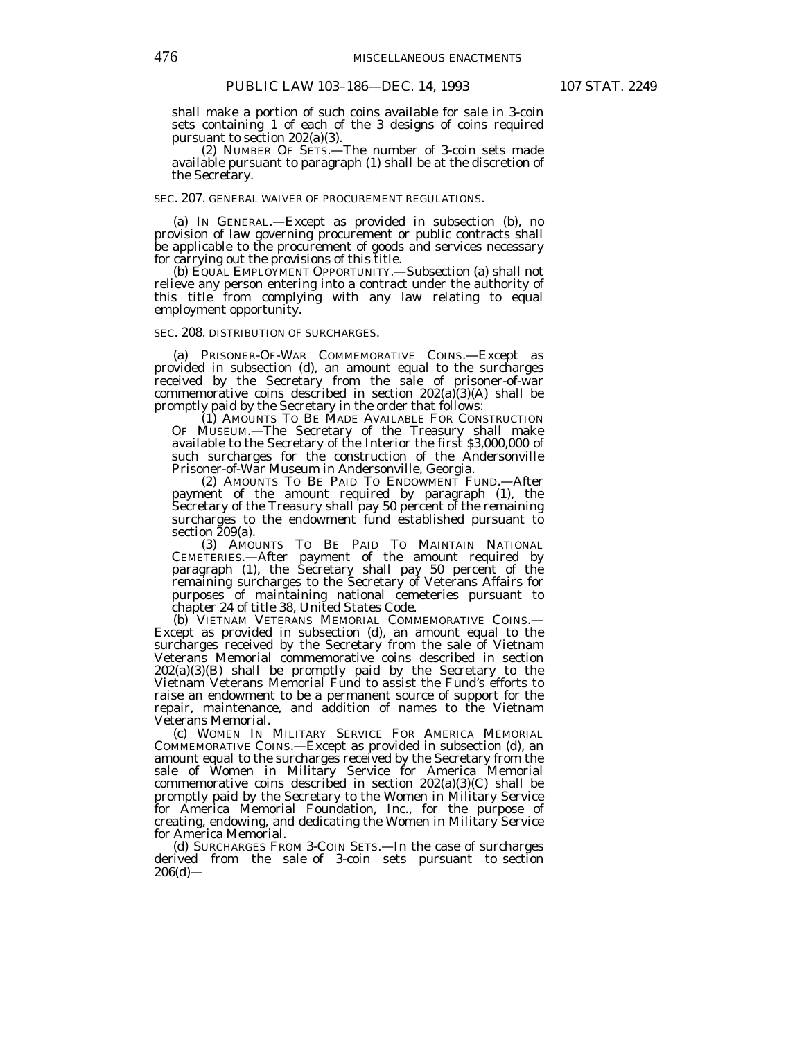shall make a portion of such coins available for sale in 3-coin sets containing 1 of each of the 3 designs of coins required pursuant to section 202(a)(3).

 (2) NUMBER OF SETS.—The number of 3-coin sets made available pursuant to paragraph (1) shall be at the discretion of the Secretary.

#### SEC. 207. GENERAL WAIVER OF PROCUREMENT REGULATIONS.

 (a) IN GENERAL.—Except as provided in subsection (b), no provision of law governing procurement or public contracts shall be applicable to the procurement of goods and services necessary for carrying out the provisions of this title.

 (b) EQUAL EMPLOYMENT OPPORTUNITY.—Subsection (a) shall not relieve any person entering into a contract under the authority of this title from complying with any law relating to equal employment opportunity.

## SEC. 208. DISTRIBUTION OF SURCHARGES.

 (a) PRISONER-OF-WAR COMMEMORATIVE COINS.—Except as provided in subsection (d), an amount equal to the surcharges received by the Secretary from the sale of prisoner-of-war commemorative coins described in section  $202(a)(3)(A)$  shall be promptly paid by the Secretary in the order that follows:

 (1) AMOUNTS TO BE MADE AVAILABLE FOR CONSTRUCTION OF MUSEUM.—The Secretary of the Treasury shall make available to the Secretary of the Interior the first \$3,000,000 of such surcharges for the construction of the Andersonville Prisoner-of-War Museum in Andersonville, Georgia.

 (2) AMOUNTS TO BE PAID TO ENDOWMENT FUND.—After payment of the amount required by paragraph (1), the Secretary of the Treasury shall pay 50 percent of the remaining surcharges to the endowment fund established pursuant to section 209(a).

 (3) AMOUNTS TO BE PAID TO MAINTAIN NATIONAL CEMETERIES.—After payment of the amount required by paragraph (1), the Secretary shall pay 50 percent of the remaining surcharges to the Secretary of Veterans Affairs for purposes of maintaining national cemeteries pursuant to chapter 24 of title 38, United States Code.

 (b) VIETNAM VETERANS MEMORIAL COMMEMORATIVE COINS.— Except as provided in subsection (d), an amount equal to the surcharges received by the Secretary from the sale of Vietnam Veterans Memorial commemorative coins described in section 202(a)(3)(B) shall be promptly paid by the Secretary to the Vietnam Veterans Memorial Fund to assist the Fund's efforts to raise an endowment to be a permanent source of support for the repair, maintenance, and addition of names to the Vietnam Veterans Memorial.

 (c) WOMEN IN MILITARY SERVICE FOR AMERICA MEMORIAL COMMEMORATIVE COINS.—Except as provided in subsection (d), an amount equal to the surcharges received by the Secretary from the sale of Women in Military Service for America Memorial commemorative coins described in section  $202(a)(3)(C)$  shall be promptly paid by the Secretary to the Women in Military Service for America Memorial Foundation, Inc., for the purpose of creating, endowing, and dedicating the Women in Military Service for America Memorial.

 (d) SURCHARGES FROM 3-COIN SETS.—In the case of surcharges derived from the sale of 3-coin sets pursuant to section  $206(d)$ —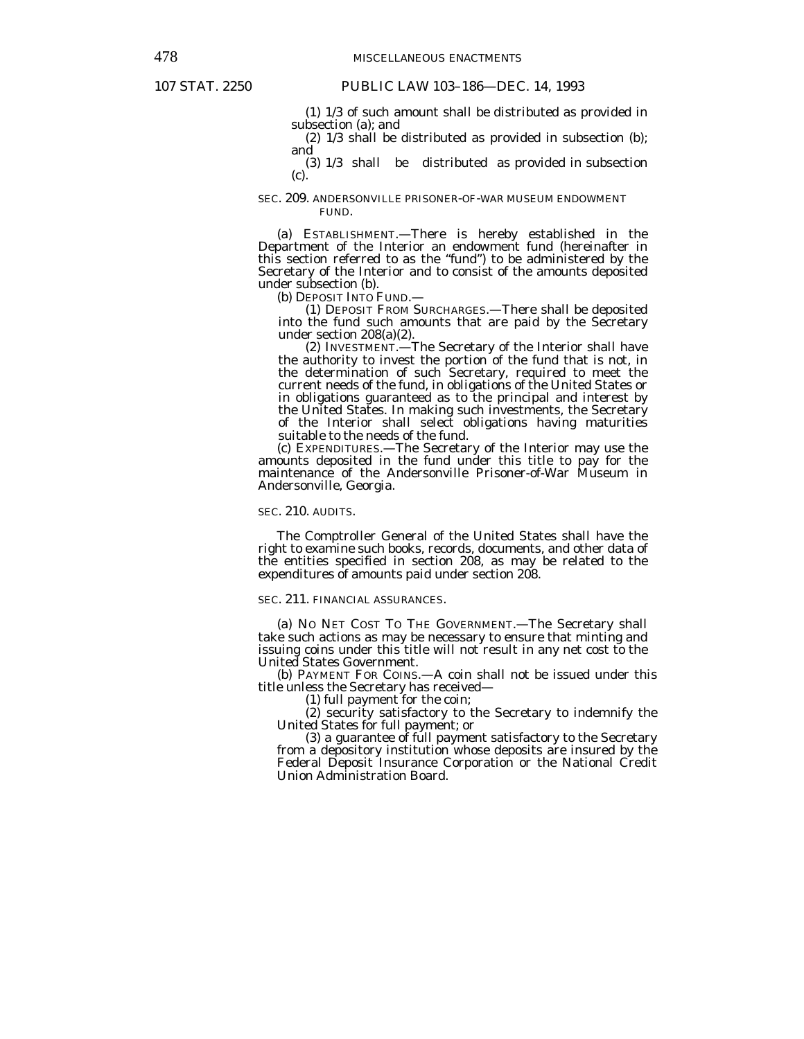(1) 1/3 of such amount shall be distributed as provided in subsection (a); and

 (2) 1/3 shall be distributed as provided in subsection (b); and

 (3) 1/3 shall be distributed as provided in subsection (c).

## SEC. 209. ANDERSONVILLE PRISONER-OF-WAR MUSEUM ENDOWMENT FUND.

 (a) ESTABLISHMENT.—There is hereby established in the Department of the Interior an endowment fund (hereinafter in this section referred to as the "fund") to be administered by the Secretary of the Interior and to consist of the amounts deposited under subsection (b).

(b) DEPOSIT INTO FUND.—

 (1) DEPOSIT FROM SURCHARGES.—There shall be deposited into the fund such amounts that are paid by the Secretary under section 208(a)(2).

 (2) INVESTMENT.—The Secretary of the Interior shall have the authority to invest the portion of the fund that is not, in the determination of such Secretary, required to meet the current needs of the fund, in obligations of the United States or in obligations guaranteed as to the principal and interest by the United States. In making such investments, the Secretary of the Interior shall select obligations having maturities suitable to the needs of the fund.

 (c) EXPENDITURES.—The Secretary of the Interior may use the amounts deposited in the fund under this title to pay for the maintenance of the Andersonville Prisoner-of-War Museum in Andersonville, Georgia.

#### SEC. 210. AUDITS.

 The Comptroller General of the United States shall have the right to examine such books, records, documents, and other data of the entities specified in section 208, as may be related to the expenditures of amounts paid under section 208.

## SEC. 211. FINANCIAL ASSURANCES.

 (a) NO NET COST TO THE GOVERNMENT.—The Secretary shall take such actions as may be necessary to ensure that minting and issuing coins under this title will not result in any net cost to the United States Government.

 (b) PAYMENT FOR COINS.—A coin shall not be issued under this title unless the Secretary has received—

(1) full payment for the coin;

 (2) security satisfactory to the Secretary to indemnify the United States for full payment; or

 (3) a guarantee of full payment satisfactory to the Secretary from a depository institution whose deposits are insured by the Federal Deposit Insurance Corporation or the National Credit Union Administration Board.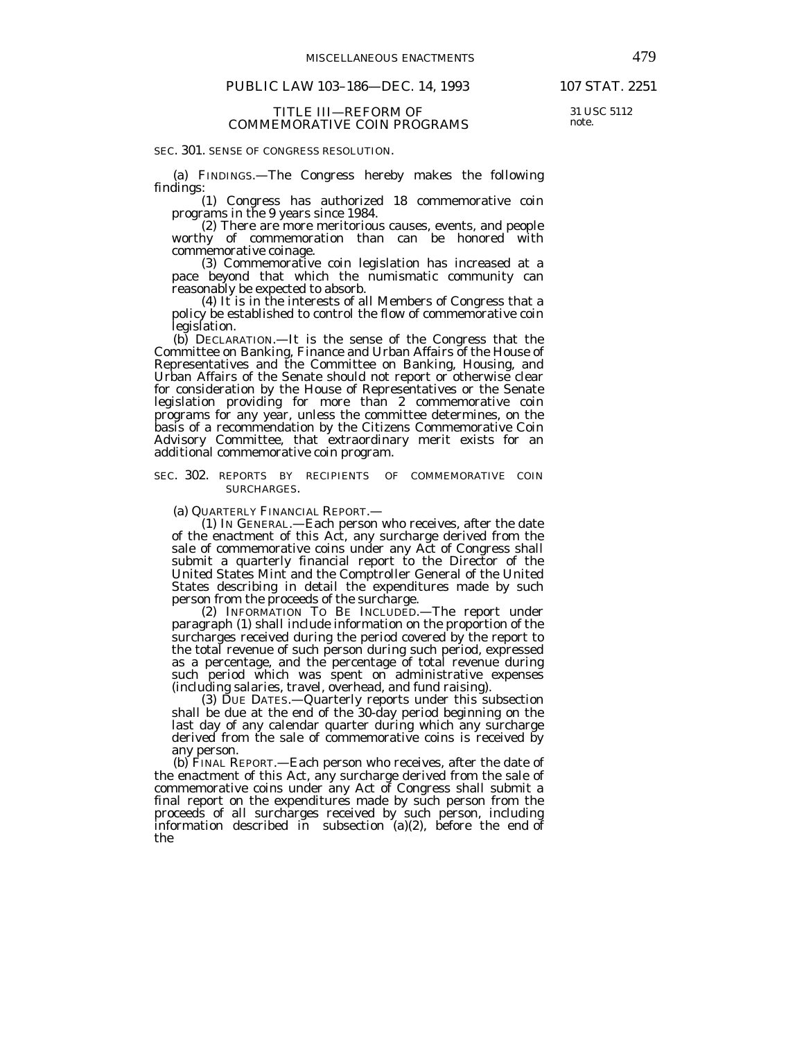## PUBLIC LAW 103-186-DEC. 14, 1993 107 STAT. 2251

#### TITLE III—REFORM OF COMMEMORATIVE COIN PROGRAMS

SEC. 301. SENSE OF CONGRESS RESOLUTION.

 (a) FINDINGS.—The Congress hereby makes the following findings:

 (1) Congress has authorized 18 commemorative coin programs in the 9 years since 1984.

 (2) There are more meritorious causes, events, and people worthy of commemoration than can be honored with commemorative coinage.

 (3) Commemorative coin legislation has increased at a pace beyond that which the numismatic community can reasonably be expected to absorb.

 (4) It is in the interests of all Members of Congress that a policy be established to control the flow of commemorative coin legislation.

 (b) DECLARATION.—It is the sense of the Congress that the Committee on Banking, Finance and Urban Affairs of the House of Representatives and the Committee on Banking, Housing, and Urban Affairs of the Senate should not report or otherwise clear for consideration by the House of Representatives or the Senate legislation providing for more than 2 commemorative coin programs for any year, unless the committee determines, on the basis of a recommendation by the Citizens Commemorative Coin Advisory Committee, that extraordinary merit exists for an additional commemorative coin program.

## SEC. 302. REPORTS BY RECIPIENTS OF COMMEMORATIVE COIN SURCHARGES.

(a) QUARTERLY FINANCIAL REPORT.—

 (1) IN GENERAL.—Each person who receives, after the date of the enactment of this Act, any surcharge derived from the sale of commemorative coins under any Act of Congress shall submit a quarterly financial report to the Director of the United States Mint and the Comptroller General of the United States describing in detail the expenditures made by such person from the proceeds of the surcharge.

 (2) INFORMATION TO BE INCLUDED.—The report under paragraph (1) shall include information on the proportion of the surcharges received during the period covered by the report to the total revenue of such person during such period, expressed as a percentage, and the percentage of total revenue during such period which was spent on administrative expenses (including salaries, travel, overhead, and fund raising).

 (3) DUE DATES.—Quarterly reports under this subsection shall be due at the end of the 30-day period beginning on the last day of any calendar quarter during which any surcharge derived from the sale of commemorative coins is received by any person.

 (b) FINAL REPORT.—Each person who receives, after the date of the enactment of this Act, any surcharge derived from the sale of commemorative coins under any Act of Congress shall submit a final report on the expenditures made by such person from the proceeds of all surcharges received by such person, including information described in subsection (a)(2), before the end of the

31 USC 5112 note.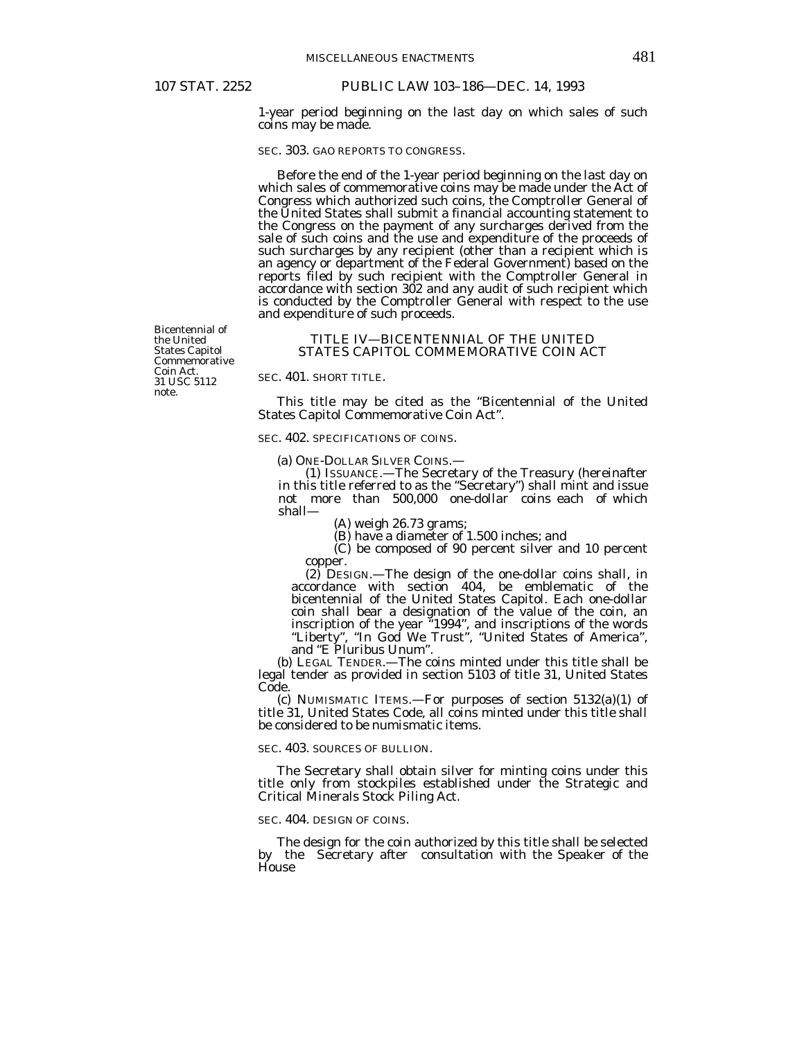1-year period beginning on the last day on which sales of such coins may be made.

### SEC. 303. GAO REPORTS TO CONGRESS.

 Before the end of the 1-year period beginning on the last day on which sales of commemorative coins may be made under the Act of Congress which authorized such coins, the Comptroller General of the United States shall submit a financial accounting statement to the Congress on the payment of any surcharges derived from the sale of such coins and the use and expenditure of the proceeds of such surcharges by any recipient (other than a recipient which is an agency or department of the Federal Government) based on the reports filed by such recipient with the Comptroller General in accordance with section 302 and any audit of such recipient which is conducted by the Comptroller General with respect to the use and expenditure of such proceeds.

Bicentennial of the United States Capitol Commemorative Coin Act. 31 USC 5112 note.

## TITLE IV—BICENTENNIAL OF THE UNITED STATES CAPITOL COMMEMORATIVE COIN ACT

## SEC. 401. SHORT TITLE.

 This title may be cited as the "Bicentennial of the United States Capitol Commemorative Coin Act".

### SEC. 402. SPECIFICATIONS OF COINS.

(a) ONE-DOLLAR SILVER COINS.—

 (1) ISSUANCE.—The Secretary of the Treasury (hereinafter in this title referred to as the "Secretary") shall mint and issue not more than 500,000 one-dollar coins each of which shall—

(A) weigh 26.73 grams;

(B) have a diameter of 1.500 inches; and

 (C) be composed of 90 percent silver and 10 percent copper.

 (2) DESIGN.—The design of the one-dollar coins shall, in accordance with section 404, be emblematic of the bicentennial of the United States Capitol. Each one-dollar coin shall bear a designation of the value of the coin, an inscription of the year "1994", and inscriptions of the words "Liberty", "In God We Trust", "United States of America", and "E Pluribus Unum".

 (b) LEGAL TENDER.—The coins minted under this title shall be legal tender as provided in section 5103 of title 31, United States Code.

 (c) NUMISMATIC ITEMS.—For purposes of section 5132(a)(1) of title 31, United States Code, all coins minted under this title shall be considered to be numismatic items.

## SEC. 403. SOURCES OF BULLION.

 The Secretary shall obtain silver for minting coins under this title only from stockpiles established under the Strategic and Critical Minerals Stock Piling Act.

### SEC. 404. DESIGN OF COINS.

 The design for the coin authorized by this title shall be selected by the Secretary after consultation with the Speaker of the House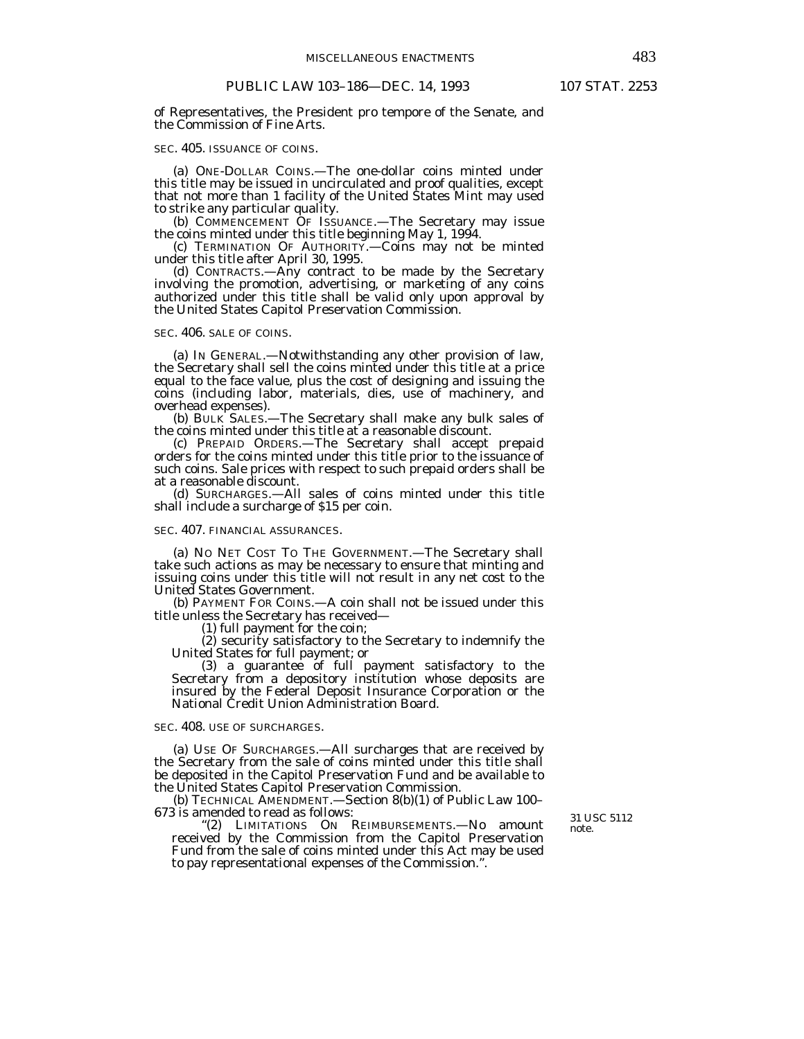of Representatives, the President pro tempore of the Senate, and the Commission of Fine Arts.

#### SEC. 405. ISSUANCE OF COINS.

 (a) ONE-DOLLAR COINS.—The one-dollar coins minted under this title may be issued in uncirculated and proof qualities, except that not more than 1 facility of the United States Mint may used to strike any particular quality.

 (b) COMMENCEMENT OF ISSUANCE.—The Secretary may issue the coins minted under this title beginning May 1, 1994.

 (c) TERMINATION OF AUTHORITY.—Coins may not be minted under this title after April 30, 1995.

 (d) CONTRACTS.—Any contract to be made by the Secretary involving the promotion, advertising, or marketing of any coins authorized under this title shall be valid only upon approval by the United States Capitol Preservation Commission.

#### SEC. 406. SALE OF COINS.

 (a) IN GENERAL.—Notwithstanding any other provision of law, the Secretary shall sell the coins minted under this title at a price equal to the face value, plus the cost of designing and issuing the coins (including labor, materials, dies, use of machinery, and overhead expenses).

 (b) BULK SALES.—The Secretary shall make any bulk sales of the coins minted under this title at a reasonable discount.

 (c) PREPAID ORDERS.—The Secretary shall accept prepaid orders for the coins minted under this title prior to the issuance of such coins. Sale prices with respect to such prepaid orders shall be at a reasonable discount.

 (d) SURCHARGES.—All sales of coins minted under this title shall include a surcharge of \$15 per coin.

#### SEC. 407. FINANCIAL ASSURANCES.

 (a) NO NET COST TO THE GOVERNMENT.—The Secretary shall take such actions as may be necessary to ensure that minting and issuing coins under this title will not result in any net cost to the United States Government.

 (b) PAYMENT FOR COINS.—A coin shall not be issued under this title unless the Secretary has received—

(1) full payment for the coin;

 (2) security satisfactory to the Secretary to indemnify the United States for full payment; or

 (3) a guarantee of full payment satisfactory to the Secretary from a depository institution whose deposits are insured by the Federal Deposit Insurance Corporation or the National Credit Union Administration Board.

SEC. 408. USE OF SURCHARGES.

 (a) USE OF SURCHARGES.—All surcharges that are received by the Secretary from the sale of coins minted under this title shall be deposited in the Capitol Preservation Fund and be available to the United States Capitol Preservation Commission.

 (b) TECHNICAL AMENDMENT.—Section 8(b)(1) of Public Law 100– 673 is amended to read as follows:

"(2) LIMITATIONS ON REIMBURSEMENTS.—No amount received by the Commission from the Capitol Preservation Fund from the sale of coins minted under this Act may be used to pay representational expenses of the Commission.".

31 USC 5112 note.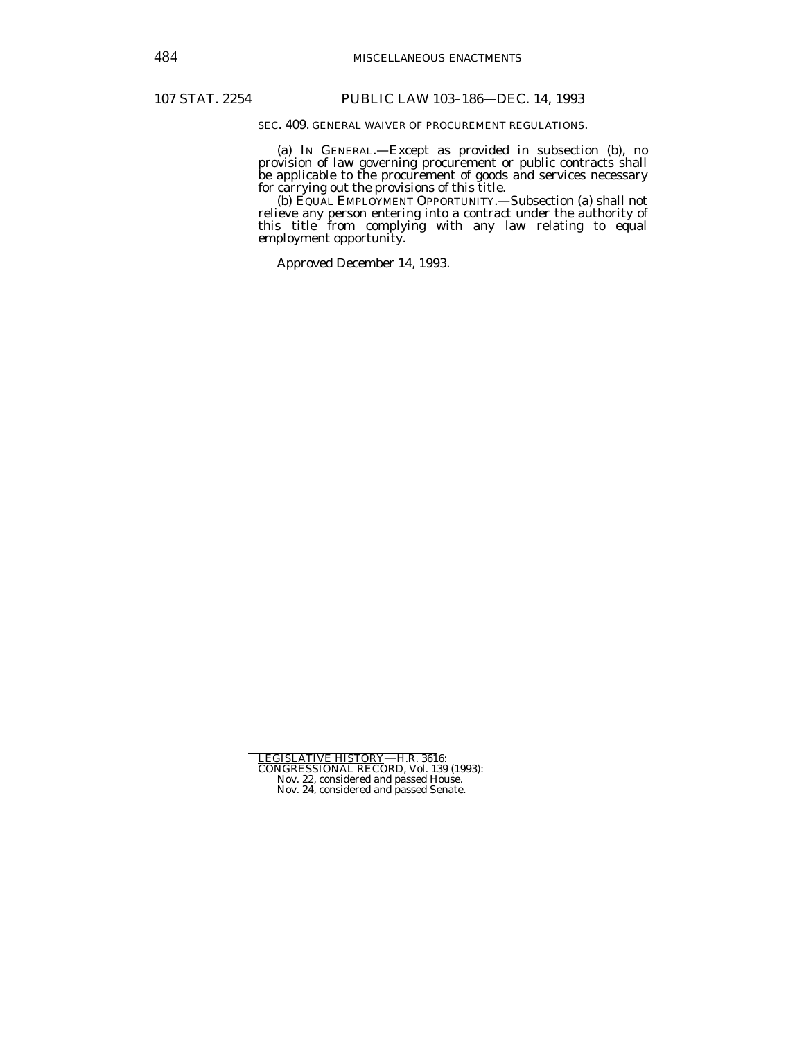SEC. 409. GENERAL WAIVER OF PROCUREMENT REGULATIONS.

 (a) IN GENERAL.—Except as provided in subsection (b), no provision of law governing procurement or public contracts shall be applicable to the procurement of goods and services necessary for carrying out the provisions of this title.

 (b) EQUAL EMPLOYMENT OPPORTUNITY.—Subsection (a) shall not relieve any person entering into a contract under the authority of this title from complying with any law relating to equal employment opportunity.

Approved December 14, 1993.

LEGISLATIVE HISTORY—H.R. 3616: CONGRESSIONAL RECORD, Vol. 139 (1993): Nov. 22, considered and passed House. Nov. 24, considered and passed Senate.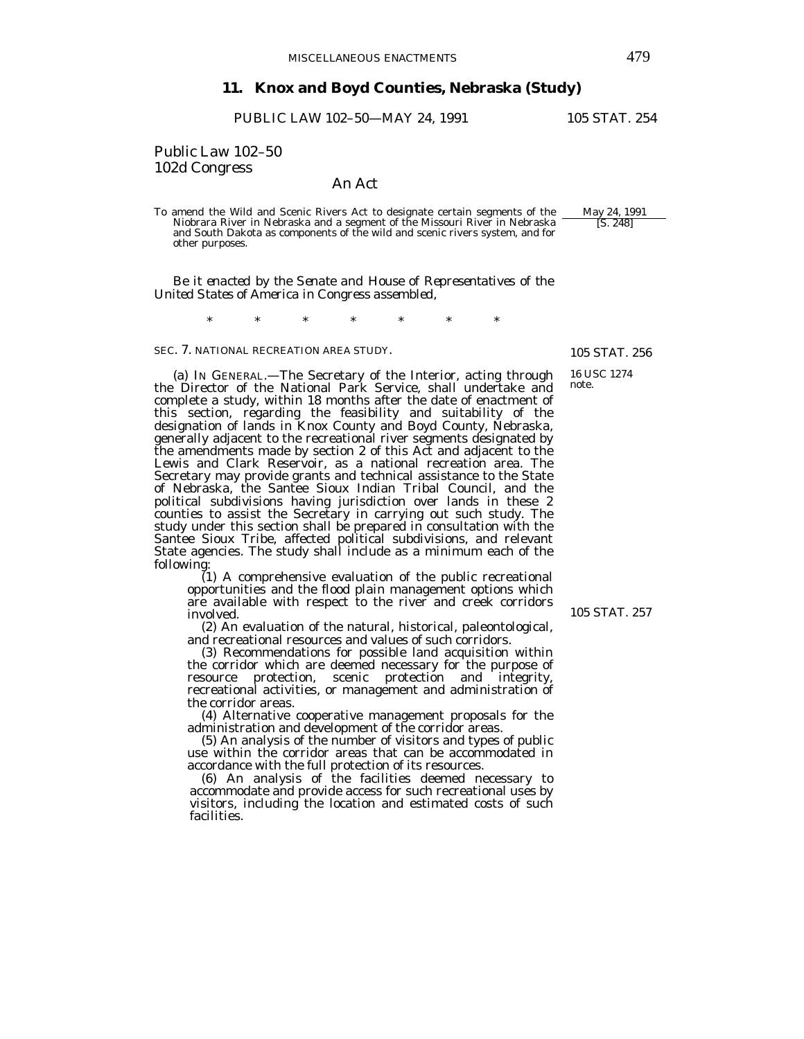# **11. Knox and Boyd Counties, Nebraska (Study)**

PUBLIC LAW 102-50-MAY 24, 1991 105 STAT. 254

Public Law 102–50

## An Act

To amend the Wild and Scenic Rivers Act to designate certain segments of the May 24, 1991 Niobrara River in Nebraska and a segment of the Missouri River in Nebraska and South Dakota as components of the wild and scenic rivers system, and for other purposes.

*Be it enacted by the Senate and House of Representatives of the United States of America in Congress assembled,* 

\* \* \* \* \* \* \*

SEC. 7. NATIONAL RECREATION AREA STUDY.

 (a) IN GENERAL.—The Secretary of the Interior, acting through the Director of the National Park Service, shall undertake and complete a study, within 18 months after the date of enactment of this section, regarding the feasibility and suitability of the designation of lands in Knox County and Boyd County, Nebraska, generally adjacent to the recreational river segments designated by the amendments made by section 2 of this Act and adjacent to the Lewis and Clark Reservoir, as a national recreation area. The Secretary may provide grants and technical assistance to the State of Nebraska, the Santee Sioux Indian Tribal Council, and the political subdivisions having jurisdiction over lands in these 2 counties to assist the Secretary in carrying out such study. The study under this section shall be prepared in consultation with the Santee Sioux Tribe, affected political subdivisions, and relevant State agencies. The study shall include as a minimum each of the following:

 (1) A comprehensive evaluation of the public recreational opportunities and the flood plain management options which are available with respect to the river and creek corridors involved.

 (2) An evaluation of the natural, historical, paleontological, and recreational resources and values of such corridors.

 (3) Recommendations for possible land acquisition within the corridor which are deemed necessary for the purpose of resource protection, scenic protection and integrity, recreational activities, or management and administration of the corridor areas.

 (4) Alternative cooperative management proposals for the administration and development of the corridor areas.

 (5) An analysis of the number of visitors and types of public use within the corridor areas that can be accommodated in accordance with the full protection of its resources.

 (6) An analysis of the facilities deemed necessary to accommodate and provide access for such recreational uses by visitors, including the location and estimated costs of such facilities.

105 STAT. 257

105 STAT. 256

16 USC 1274 note.

[S. 248]

102d Congress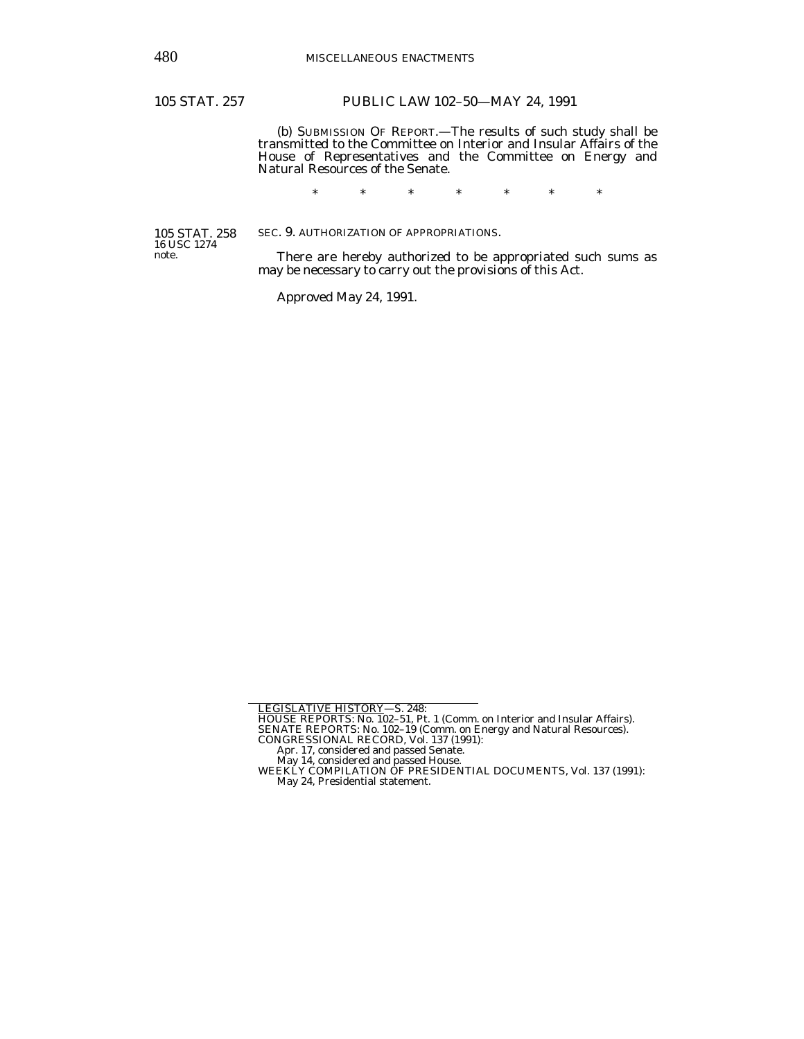# 105 STAT. 257 PUBLIC LAW 102–50—MAY 24, 1991

(b) SUBMISSION OF REPORT.—The results of such study shall be transmitted to the Committee on Interior and Insular Affairs of the House of Representatives and the Committee on Energy and Natural Resources of the Senate.

\* \* \* \* \* \* \*

SEC. 9. AUTHORIZATION OF APPROPRIATIONS.

105 STAT. 258 16 USC 1274 note.

 There are hereby authorized to be appropriated such sums as may be necessary to carry out the provisions of this Act.

Approved May 24, 1991.

<sup>&</sup>lt;u>LEGISLATIVE HISTORY</u>—S. 248:<br>HOUSE REPORTS: No. 102–51, Pt. 1 (Comm. on Interior and Insular Affairs).<br>SENATE REPORTS: No. 102–19 (Comm. on Energy and Natural Resources).<br>CONGRESSIONAL RECORD, Vol. 137 (1991):<br>Apr. 17, co

May 14, considered and passed House. WEEKLY COMPILATION OF PRESIDENTIAL DOCUMENTS, Vol. 137 (1991):

May 24, Presidential statement.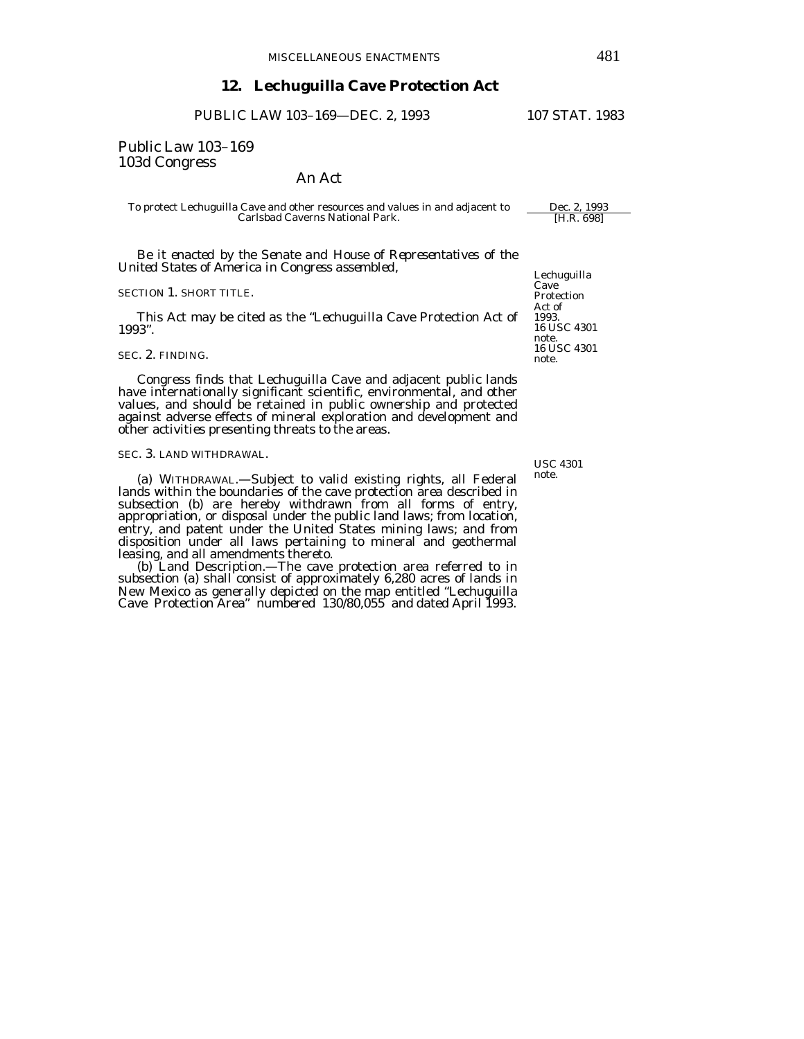# **12. Lechuguilla Cave Protection Act**

PUBLIC LAW 103-169-DEC. 2, 1993 107 STAT. 1983

# Public Law 103–169 103d Congress

## An Act

To protect Lechuguilla Cave and other resources and values in and adjacent to Dec. 2, 1993 Carlsbad Caverns National Park.

*Be it enacted by the Senate and House of Representatives of the United States of America in Congress assembled*,

### SECTION 1. SHORT TITLE.

 This Act may be cited as the "Lechuguilla Cave Protection Act of 1993".

## SEC. 2. FINDING.

 Congress finds that Lechuguilla Cave and adjacent public lands have internationally significant scientific, environmental, and other values, and should be retained in public ownership and protected against adverse effects of mineral exploration and development and other activities presenting threats to the areas.

## SEC. 3. LAND WITHDRAWAL.

 (a) WITHDRAWAL.—Subject to valid existing rights, all Federal lands within the boundaries of the cave protection area described in subsection (b) are hereby withdrawn from all forms of entry, appropriation, or disposal under the public land laws; from location, entry, and patent under the United States mining laws; and from disposition under all laws pertaining to mineral and geothermal leasing, and all amendments thereto.

 (b) Land Description.—The cave protection area referred to in subsection (a) shall consist of approximately 6,280 acres of lands in New Mexico as generally depicted on the map entitled "Lechuguilla Cave Protection Area" numbered 130/80,055 and dated April 1993. Lechuguilla Cave Protection Act of 1993. 16 USC 4301 note. 16 USC 4301 note.

USC 4301 note.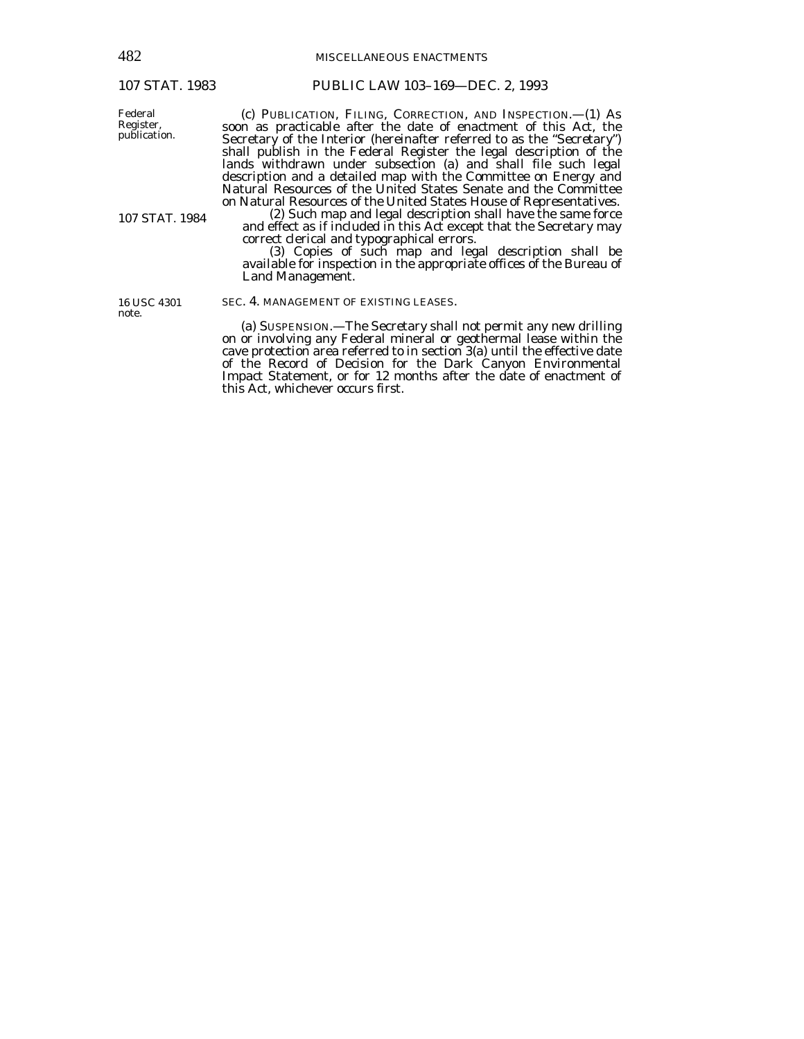Federal Register,

482 MISCELLANEOUS ENACTMENTS

# 107 STAT. 1983 PUBLIC LAW 103–169—DEC. 2, 1993

 (c) PUBLICATION, FILING, CORRECTION, AND INSPECTION.—(1) As soon as practicable after the date of enactment of this Act, the Secretary of the Interior (hereinafter referred to as the "Secretary") shall publish in the Federal Register the legal description of the lands withdrawn under subsection (a) and shall file such legal description and a detailed map with the Committee on Energy and Natural Resources of the United States Senate and the Committee on Natural Resources of the United States House of Representatives. (2) Such map and legal description shall have the same force

and effect as if included in this Act except that the Secretary may

correct clerical and typographical errors.<br>
(3) Copies of such map and legal description shall be available for inspection in the appropriate offices of the Bureau of Land Management.

16 USC 4301 note.

107 STAT. 1984

# SEC. 4. MANAGEMENT OF EXISTING LEASES.

 (a) SUSPENSION.—The Secretary shall not permit any new drilling on or involving any Federal mineral or geothermal lease within the cave protection area referred to in section 3(a) until the effective date of the Record of Decision for the Dark Canyon Environmental Impact Statement, or for 12 months after the date of enactment of this Act, whichever occurs first.

publication.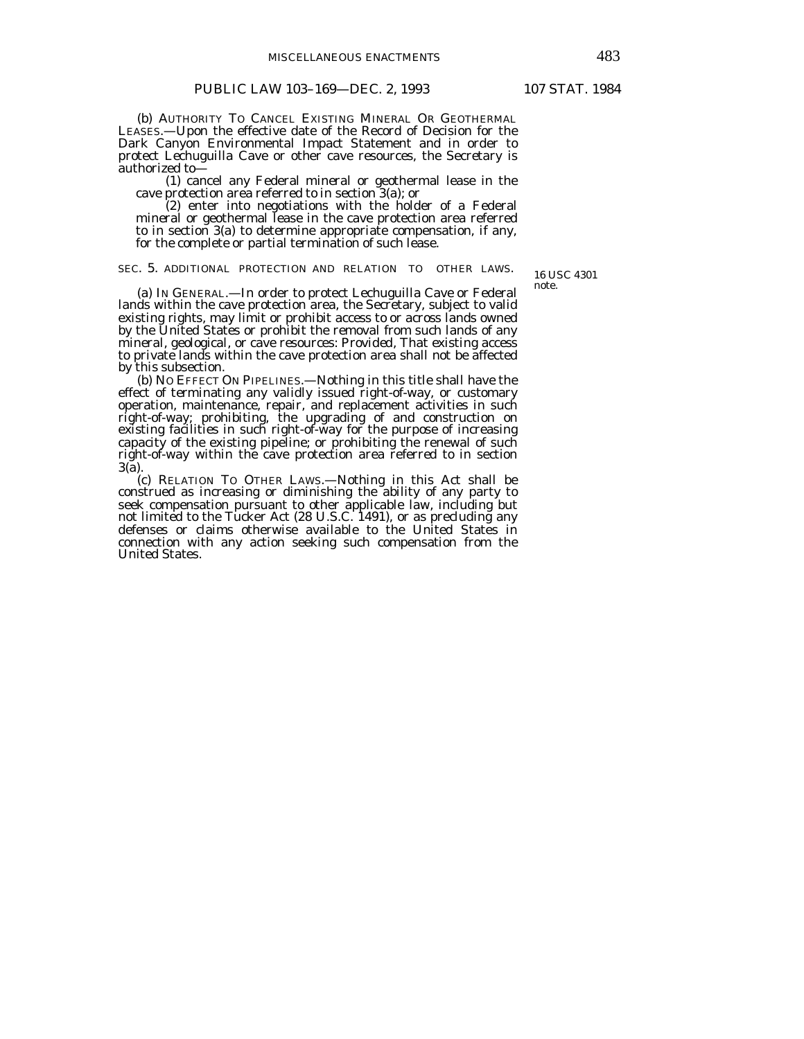(b) AUTHORITY TO CANCEL EXISTING MINERAL OR GEOTHERMAL LEASES.—Upon the effective date of the Record of Decision for the Dark Canyon Environmental Impact Statement and in order to protect Lechuguilla Cave or other cave resources, the Secretary is authorized to—

(1) cancel any Federal mineral or geothermal lease in the cave protection area referred to in section  $3(a)$ ; or (2) enter into negotiations with the holder of a Federal

mineral or geothermal lease in the cave protection area referred to in section 3(a) to determine appropriate compensation, if any, for the complete or partial termination of such lease.

## SEC. 5. ADDITIONAL PROTECTION AND RELATION TO OTHER LAWS.

16 USC 4301 note.

 (a) IN GENERAL.—In order to protect Lechuguilla Cave or Federal lands within the cave protection area, the Secretary, subject to valid existing rights, may limit or prohibit access to or across lands owned by the United States or prohibit the removal from such lands of any mineral, geological, or cave resources: *Provided*, That existing access to private lands within the cave protection area shall not be affected by this subsection.

 (b) NO EFFECT ON PIPELINES.—Nothing in this title shall have the effect of terminating any validly issued right-of-way, or customary operation, maintenance, repair, and replacement activities in such right-of-way; prohibiting, the upgrading of and construction on existing facilities in such right-of-way for the purpose of increasing capacity of the existing pipeline; or prohibiting the renewal of such right-of-way within the cave protection area referred to in section 3(a).<br>(c) RELATION TO OTHER LAWS.—Nothing in this Act shall be

construed as increasing or diminishing the ability of any party to seek compensation pursuant to other applicable law, including but not limited to the Tucker Act (28 U.S.C. 1491), or as precluding any defenses or claims otherwise available to the United States in connection with any action seeking such compensation from the United States.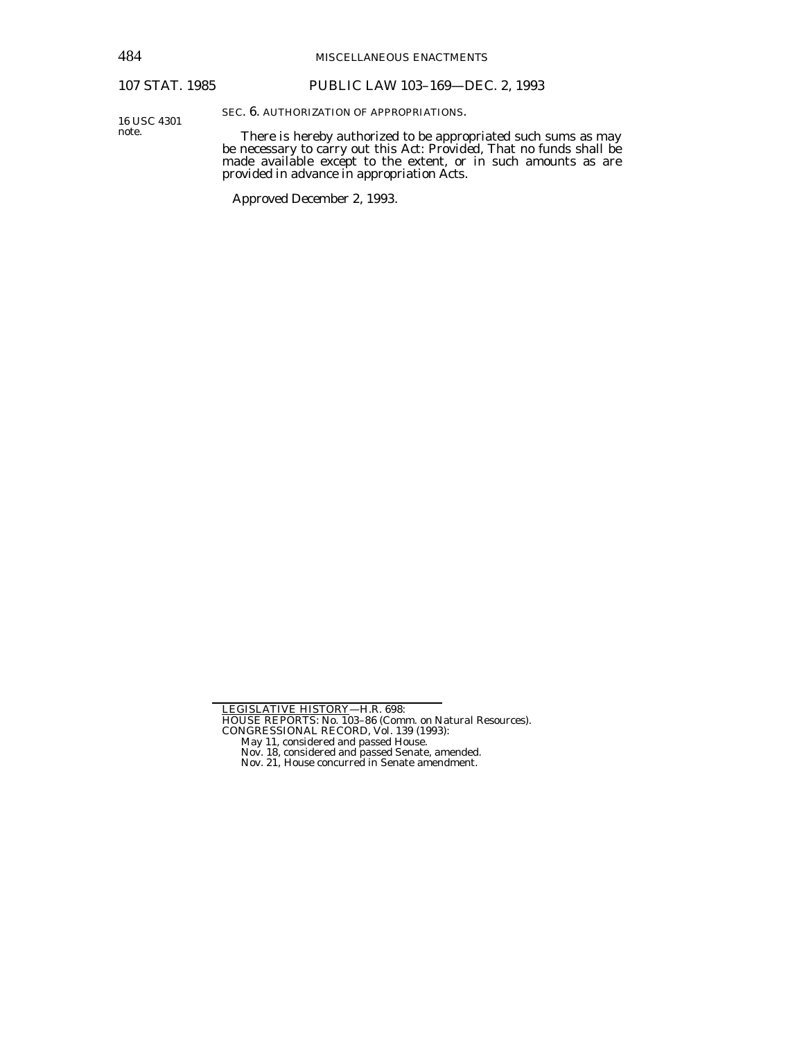# 107 STAT. 1985 PUBLIC LAW 103–169—DEC. 2, 1993

16 USC 4301 note.

SEC. 6. AUTHORIZATION OF APPROPRIATIONS.

 There is hereby authorized to be appropriated such sums as may be necessary to carry out this Act: *Provided*, That no funds shall be made available except to the extent, or in such amounts as are provided in advance in appropriation Acts.

Approved December 2, 1993.

May 11, considered and passed House. Nov. 18, considered and passed Senate, amended. Nov. 21, House concurred in Senate amendment.

LEGISLATIVE HISTORY—H.R. 698:

HOUSE REPORTS: No. 103–86 (Comm. on Natural Resources). CONGRESSIONAL RECORD, Vol. 139 (1993):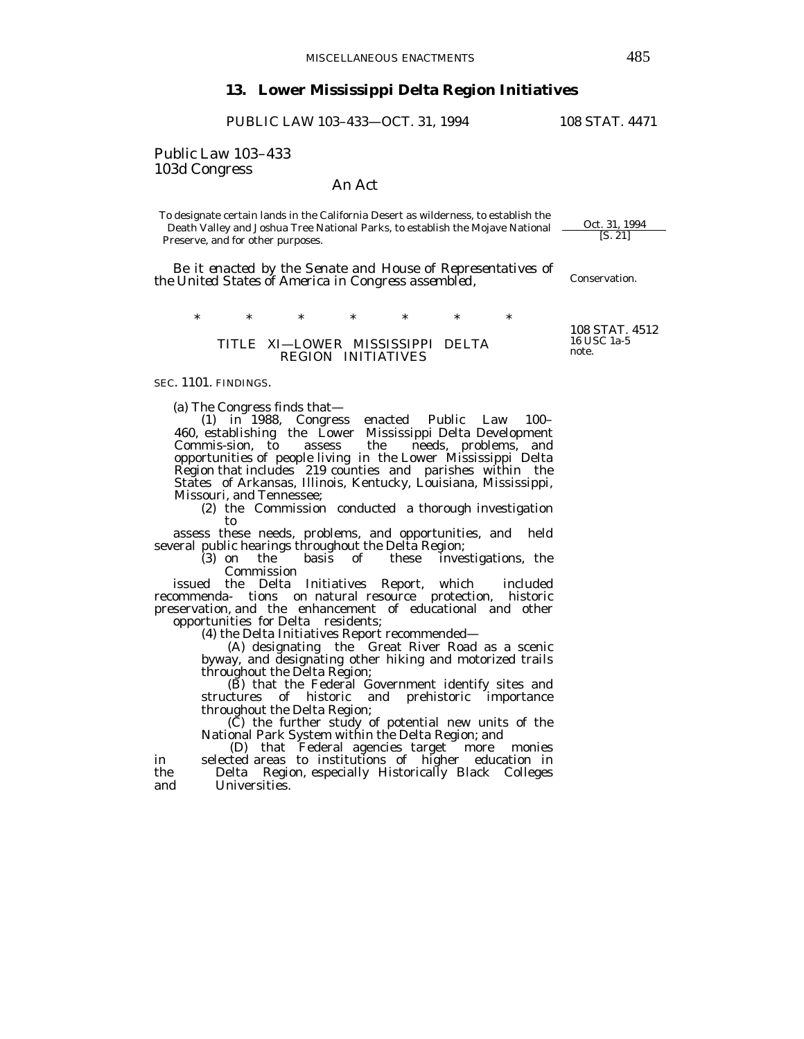# **13. Lower Mississippi Delta Region Initiatives**

PUBLIC LAW 103-433-OCT. 31, 1994 108 STAT. 4471

Public Law 103–433 103d Congress

## An Act

To designate certain lands in the California Desert as wilderness, to establish the<br>Death Valley and Joshua Tree National Parks, to establish the Mojave National <u>Oct. 31, 1994</u><br>[S. 21] Death Valley and Joshua Tree National Parks, to establish the Mojave National Preserve, and for other purposes.

*Be it enacted by the Senate and House of Representatives of the United States of America in Congress assembled,* 

\* \* \* \* \* \* \*

## TITLE XI—LOWER MISSISSIPPI DELTA REGION INITIATIVES

SEC. 1101. FINDINGS.

(a) The Congress finds that—

(1) in 1988, Congress enacted Public Law 100– 460, establishing the Lower Mississippi Delta Development needs, problems, and opportunities of people living in the Lower Mississippi Delta Region that includes 219 counties and parishes within the States of Arkansas, Illinois, Kentucky, Louisiana, Mississippi, Missouri, and Tennessee;

(2) the Commission conducted a thorough investigation to

 assess these needs, problems, and opportunities, and held several public hearings throughout the Delta Region;

(3) on the basis of these investigations, the Commission

 issued the Delta Initiatives Report, which included recommenda- tions on natural resource protection, historic preservation, and the enhancement of educational and other opportunities for Delta residents;

(4) the Delta Initiatives Report recommended—

(A) designating the Great River Road as a scenic byway, and designating other hiking and motorized trails throughout the Delta Region;

 (B) that the Federal Government identify sites and structures of historic and prehistoric importance throughout the Delta Region;

 (C) the further study of potential new units of the National Park System within the Delta Region; and

 (D) that Federal agencies target more monies in selected areas to institutions of higher education in the Delta Region, especially Historically Black Colleges and Universities.

108 STAT. 4512 16 USC 1a-5 note.

Conservation.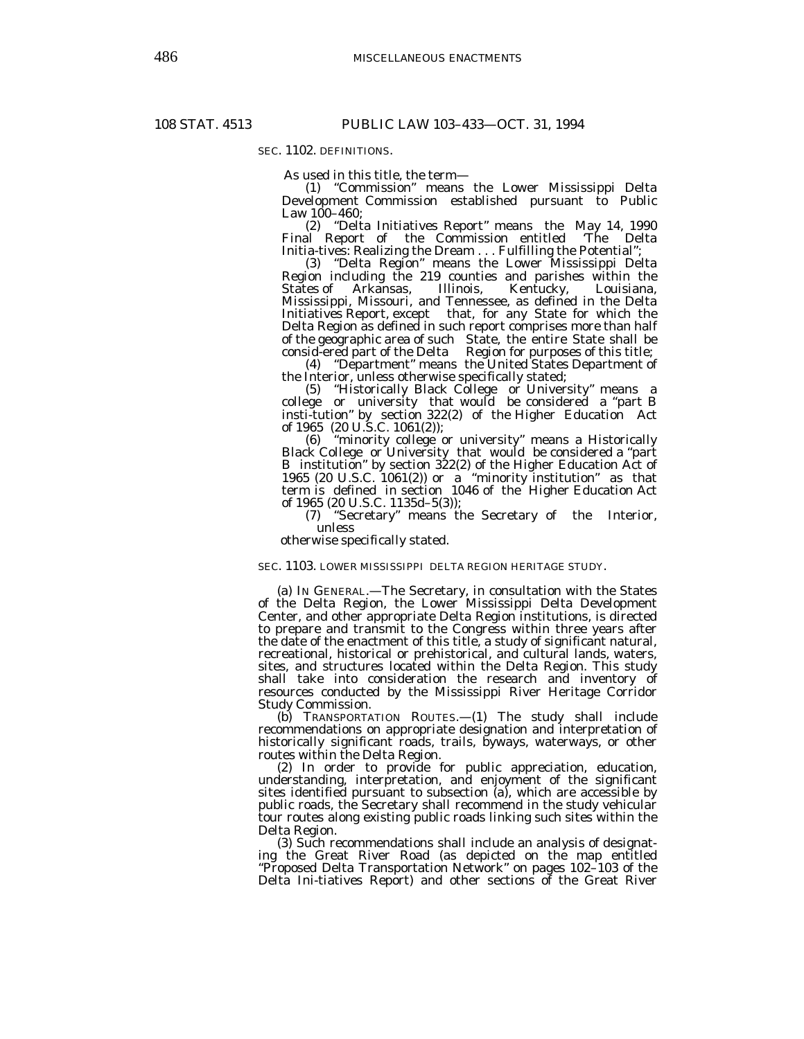SEC. 1102. DEFINITIONS.

As used in this title, the term—

(1) "Commission" means the Lower Mississippi Delta Development Commission established pursuant to Public Law 100–460;

(2) "Delta Initiatives Report" means the May 14, 1990 Final Report of the Commission entitled Initia-tives: Realizing the Dream . . . Fulfilling the Potential";

(3) "Delta Region" means the Lower Mississippi Delta Region including the 219 counties and parishes within the States of Arkansas, Illinois, Kentucky, Louisiana, Arkansas, Mississippi, Missouri, and Tennessee, as defined in the Delta Initiatives Report, except that, for any State for which the Delta Region as defined in such report comprises more than half of the geographic area of such State, the entire State shall be consid-ered part of the Delta Region for purposes of this title;

(4) "Department" means the United States Department of the Interior, unless otherwise specifically stated;

(5) "Historically Black College or University" means a college or university that would be considered a "part B insti-tution" by section 322(2) of the Higher Education Act of 1965 (20 U.S.C. 1061(2));

(6) "minority college or university" means a Historically Black College or University that would be considered a "part B institution" by section 322(2) of the Higher Education Act of 1965 (20 U.S.C. 1061(2)) or a "minority institution" as that term is defined in section 1046 of the Higher Education Act of 1965 (20 U.S.C. 1135d–5(3));

(7) "Secretary" means the Secretary of the Interior, unless

otherwise specifically stated.

SEC. 1103. LOWER MISSISSIPPI DELTA REGION HERITAGE STUDY.

 (a) IN GENERAL.—The Secretary, in consultation with the States of the Delta Region, the Lower Mississippi Delta Development Center, and other appropriate Delta Region institutions, is directed to prepare and transmit to the Congress within three years after the date of the enactment of this title, a study of significant natural, recreational, historical or prehistorical, and cultural lands, waters, sites, and structures located within the Delta Region. This study shall take into consideration the research and inventory of resources conducted by the Mississippi River Heritage Corridor Study Commission.

 (b) TRANSPORTATION ROUTES.—(1) The study shall include recommendations on appropriate designation and interpretation of historically significant roads, trails, byways, waterways, or other routes within the Delta Region.

 (2) In order to provide for public appreciation, education, understanding, interpretation, and enjoyment of the significant sites identified pursuant to subsection (a), which are accessible by public roads, the Secretary shall recommend in the study vehicular tour routes along existing public roads linking such sites within the Delta Region.

 (3) Such recommendations shall include an analysis of designating the Great River Road (as depicted on the map entitled "Proposed Delta Transportation Network" on pages 102–103 of the Delta Ini-tiatives Report) and other sections of the Great River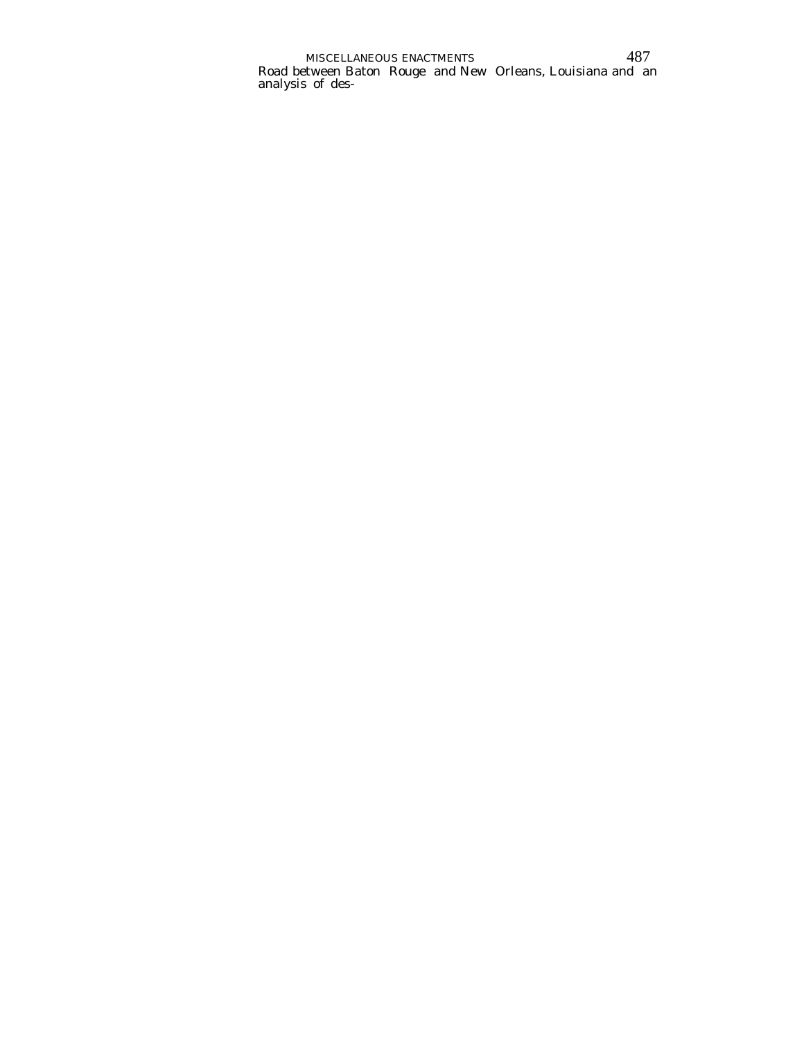MISCELLANEOUS ENACTMENTS 487 Road between Baton Rouge and New Orleans, Louisiana and an analysis of des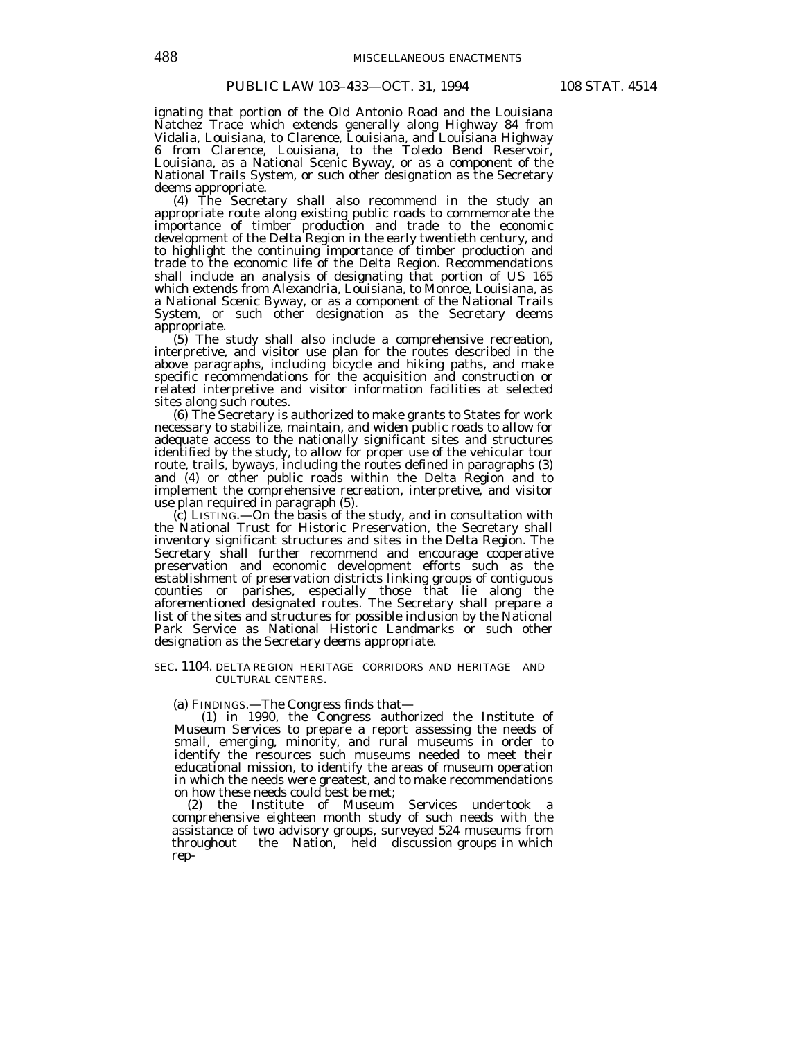ignating that portion of the Old Antonio Road and the Louisiana Natchez Trace which extends generally along Highway 84 from Vidalia, Louisiana, to Clarence, Louisiana, and Louisiana Highway 6 from Clarence, Louisiana, to the Toledo Bend Reservoir, Louisiana, as a National Scenic Byway, or as a component of the National Trails System, or such other designation as the Secretary deems appropriate.

 (4) The Secretary shall also recommend in the study an appropriate route along existing public roads to commemorate the importance of timber production and trade to the economic development of the Delta Region in the early twentieth century, and to highlight the continuing importance of timber production and trade to the economic life of the Delta Region. Recommendations shall include an analysis of designating that portion of US 165 which extends from Alexandria, Louisiana, to Monroe, Louisiana, as a National Scenic Byway, or as a component of the National Trails System, or such other designation as the Secretary deems appropriate.

 (5) The study shall also include a comprehensive recreation, interpretive, and visitor use plan for the routes described in the above paragraphs, including bicycle and hiking paths, and make specific recommendations for the acquisition and construction or related interpretive and visitor information facilities at selected sites along such routes.

 (6) The Secretary is authorized to make grants to States for work necessary to stabilize, maintain, and widen public roads to allow for adequate access to the nationally significant sites and structures identified by the study, to allow for proper use of the vehicular tour route, trails, byways, including the routes defined in paragraphs (3) and (4) or other public roads within the Delta Region and to implement the comprehensive recreation, interpretive, and visitor use plan required in paragraph (5).

 (c) LISTING.—On the basis of the study, and in consultation with the National Trust for Historic Preservation, the Secretary shall inventory significant structures and sites in the Delta Region. The Secretary shall further recommend and encourage cooperative preservation and economic development efforts such as the establishment of preservation districts linking groups of contiguous counties or parishes, especially those that lie along the aforementioned designated routes. The Secretary shall prepare a list of the sites and structures for possible inclusion by the National Park Service as National Historic Landmarks or such other designation as the Secretary deems appropriate.

#### SEC. 1104. DELTA REGION HERITAGE CORRIDORS AND HERITAGE AND CULTURAL CENTERS.

(a) FINDINGS.—The Congress finds that—

 (1) in 1990, the Congress authorized the Institute of Museum Services to prepare a report assessing the needs of small, emerging, minority, and rural museums in order to identify the resources such museums needed to meet their educational mission, to identify the areas of museum operation in which the needs were greatest, and to make recommendations on how these needs could best be met;

 (2) the Institute of Museum Services undertook a comprehensive eighteen month study of such needs with the assistance of two advisory groups, surveyed 524 museums from throughout the Nation, held discussion groups in which rep-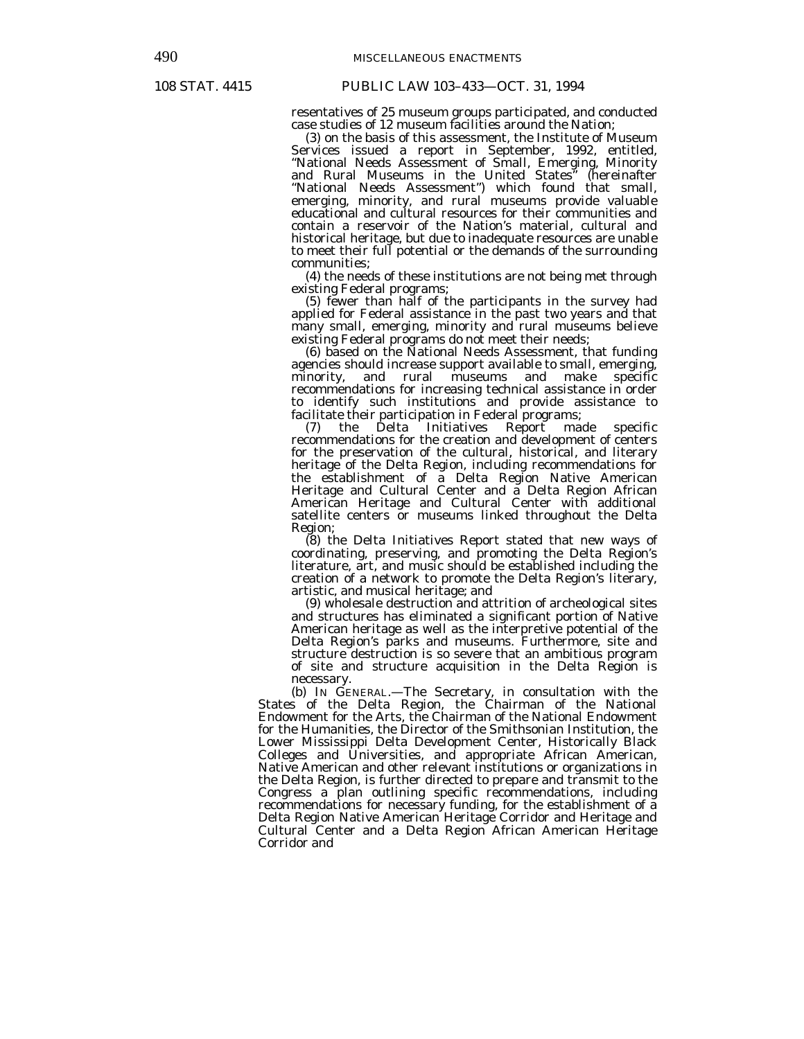resentatives of 25 museum groups participated, and conducted case studies of 12 museum facilities around the Nation;

 (3) on the basis of this assessment, the Institute of Museum Services issued a report in September, 1992, entitled, "National Needs Assessment of Small, Emerging, Minority and Rural Museums in the United States" (hereinafter "National Needs Assessment") which found that small, emerging, minority, and rural museums provide valuable educational and cultural resources for their communities and contain a reservoir of the Nation's material, cultural and historical heritage, but due to inadequate resources are unable to meet their full potential or the demands of the surrounding communities;

 (4) the needs of these institutions are not being met through existing Federal programs;

 (5) fewer than half of the participants in the survey had applied for Federal assistance in the past two years and that many small, emerging, minority and rural museums believe existing Federal programs do not meet their needs;

 (6) based on the National Needs Assessment, that funding agencies should increase support available to small, emerging, minority, and rural museums and make specific recommendations for increasing technical assistance in order to identify such institutions and provide assistance to facilitate their participation in Federal programs;

 (7) the Delta Initiatives Report made specific recommendations for the creation and development of centers for the preservation of the cultural, historical, and literary heritage of the Delta Region, including recommendations for the establishment of a Delta Region Native American Heritage and Cultural Center and a Delta Region African American Heritage and Cultural Center with additional satellite centers or museums linked throughout the Delta Region;

 (8) the Delta Initiatives Report stated that new ways of coordinating, preserving, and promoting the Delta Region's literature, art, and music should be established including the creation of a network to promote the Delta Region's literary, artistic, and musical heritage; and

 (9) wholesale destruction and attrition of archeological sites and structures has eliminated a significant portion of Native American heritage as well as the interpretive potential of the Delta Region's parks and museums. Furthermore, site and structure destruction is so severe that an ambitious program of site and structure acquisition in the Delta Region is necessary. (b) IN GENERAL.—The Secretary, in consultation with the

States of the Delta Region, the Chairman of the National Endowment for the Arts, the Chairman of the National Endowment for the Humanities, the Director of the Smithsonian Institution, the Lower Mississippi Delta Development Center, Historically Black Colleges and Universities, and appropriate African American, Native American and other relevant institutions or organizations in the Delta Region, is further directed to prepare and transmit to the Congress a plan outlining specific recommendations, including recommendations for necessary funding, for the establishment of a Delta Region Native American Heritage Corridor and Heritage and Cultural Center and a Delta Region African American Heritage Corridor and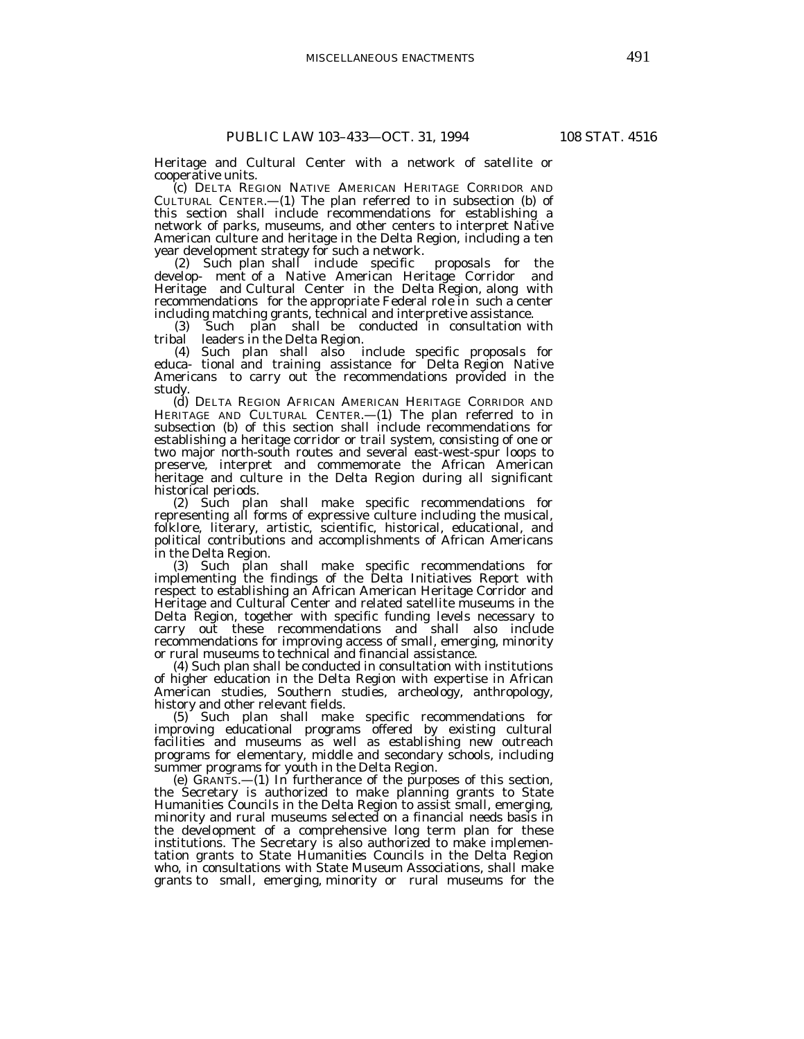Heritage and Cultural Center with a network of satellite or cooperative units.

 (c) DELTA REGION NATIVE AMERICAN HERITAGE CORRIDOR AND CULTURAL CENTER.—(1) The plan referred to in subsection (b) of this section shall include recommendations for establishing a network of parks, museums, and other centers to interpret Native American culture and heritage in the Delta Region, including a ten year development strategy for such a network.

 (2) Such plan shall include specific proposals for the develop- ment of a Native American Heritage Corridor and Heritage and Cultural Center in the Delta Region, along with recommendations for the appropriate Federal role in such a center including matching grants, technical and interpretive assistance.

Such plan shall be conducted in consultation with (3) Such plan shall be c<br>tribal leaders in the Delta Region.

 (4) Such plan shall also include specific proposals for educa- tional and training assistance for Delta Region Native Americans to carry out the recommendations provided in the study.

 (d) DELTA REGION AFRICAN AMERICAN HERITAGE CORRIDOR AND HERITAGE AND CULTURAL CENTER.—(1) The plan referred to in subsection (b) of this section shall include recommendations for establishing a heritage corridor or trail system, consisting of one or two major north-south routes and several east-west-spur loops to preserve, interpret and commemorate the African American heritage and culture in the Delta Region during all significant historical periods.

 (2) Such plan shall make specific recommendations for representing all forms of expressive culture including the musical, folklore, literary, artistic, scientific, historical, educational, and political contributions and accomplishments of African Americans in the Delta Region.

 (3) Such plan shall make specific recommendations for implementing the findings of the Delta Initiatives Report with respect to establishing an African American Heritage Corridor and Heritage and Cultural Center and related satellite museums in the Delta Region, together with specific funding levels necessary to carry out these recommendations and shall also include recommendations for improving access of small, emerging, minority or rural museums to technical and financial assistance.

 (4) Such plan shall be conducted in consultation with institutions of higher education in the Delta Region with expertise in African American studies, Southern studies, archeology, anthropology, history and other relevant fields.

 (5) Such plan shall make specific recommendations for improving educational programs offered by existing cultural facilities and museums as well as establishing new outreach programs for elementary, middle and secondary schools, including summer programs for youth in the Delta Region.

 (e) GRANTS.—(1) In furtherance of the purposes of this section, the Secretary is authorized to make planning grants to State Humanities Councils in the Delta Region to assist small, emerging, minority and rural museums selected on a financial needs basis in the development of a comprehensive long term plan for these institutions. The Secretary is also authorized to make implementation grants to State Humanities Councils in the Delta Region who, in consultations with State Museum Associations, shall make grants to small, emerging, minority or rural museums for the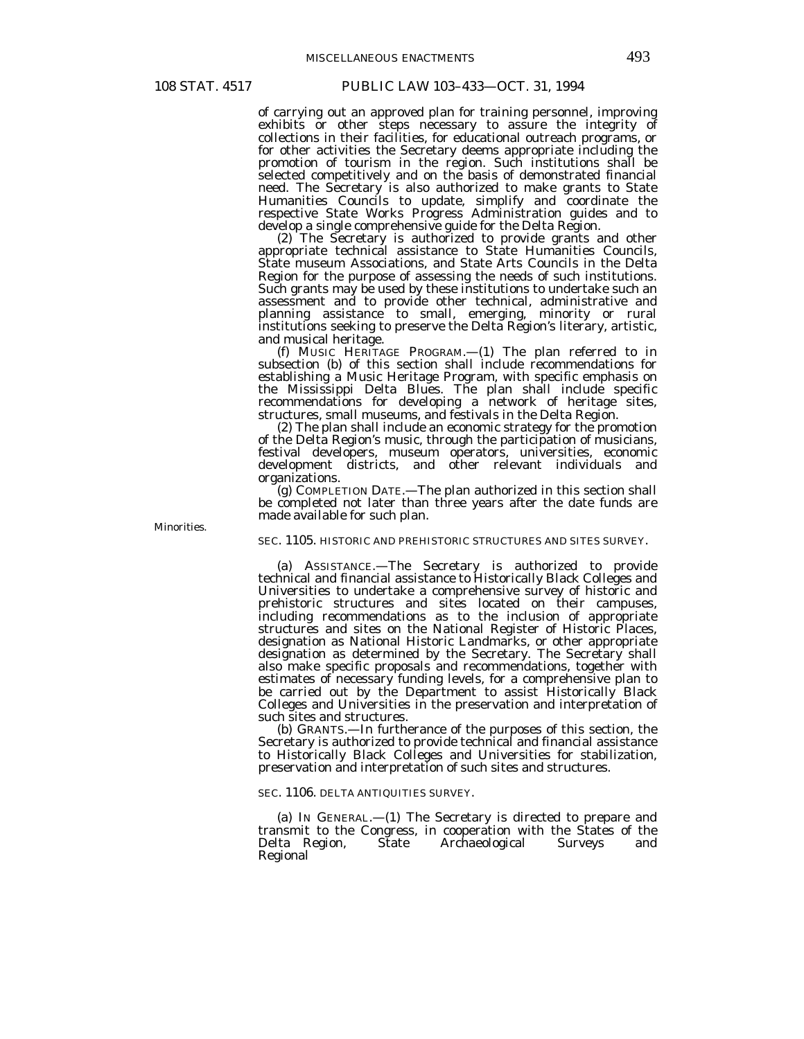of carrying out an approved plan for training personnel, improving exhibits or other steps necessary to assure the integrity of collections in their facilities, for educational outreach programs, or for other activities the Secretary deems appropriate including the promotion of tourism in the region. Such institutions shall be selected competitively and on the basis of demonstrated financial need. The Secretary is also authorized to make grants to State Humanities Councils to update, simplify and coordinate the respective State Works Progress Administration guides and to develop a single comprehensive guide for the Delta Region.

 (2) The Secretary is authorized to provide grants and other appropriate technical assistance to State Humanities Councils, State museum Associations, and State Arts Councils in the Delta Region for the purpose of assessing the needs of such institutions. Such grants may be used by these institutions to undertake such an assessment and to provide other technical, administrative and planning assistance to small, emerging, minority or rural institutions seeking to preserve the Delta Region's literary, artistic, and musical heritage.

 (f) MUSIC HERITAGE PROGRAM.—(1) The plan referred to in subsection (b) of this section shall include recommendations for establishing a Music Heritage Program, with specific emphasis on the Mississippi Delta Blues. The plan shall include specific recommendations for developing a network of heritage sites, structures, small museums, and festivals in the Delta Region.

 (2) The plan shall include an economic strategy for the promotion of the Delta Region's music, through the participation of musicians, festival developers, museum operators, universities, economic development districts, and other relevant individuals and organizations.

 (g) COMPLETION DATE.—The plan authorized in this section shall be completed not later than three years after the date funds are made available for such plan.

Minorities.

SEC. 1105. HISTORIC AND PREHISTORIC STRUCTURES AND SITES SURVEY.

 (a) ASSISTANCE.—The Secretary is authorized to provide technical and financial assistance to Historically Black Colleges and Universities to undertake a comprehensive survey of historic and prehistoric structures and sites located on their campuses, including recommendations as to the inclusion of appropriate structures and sites on the National Register of Historic Places, designation as National Historic Landmarks, or other appropriate designation as determined by the Secretary. The Secretary shall also make specific proposals and recommendations, together with estimates of necessary funding levels, for a comprehensive plan to be carried out by the Department to assist Historically Black Colleges and Universities in the preservation and interpretation of such sites and structures.

 (b) GRANTS.—In furtherance of the purposes of this section, the Secretary is authorized to provide technical and financial assistance to Historically Black Colleges and Universities for stabilization, preservation and interpretation of such sites and structures.

SEC. 1106. DELTA ANTIQUITIES SURVEY.

 (a) IN GENERAL.—(1) The Secretary is directed to prepare and transmit to the Congress, in cooperation with the States of the Delta Region, State Archaeological Surveys and Regional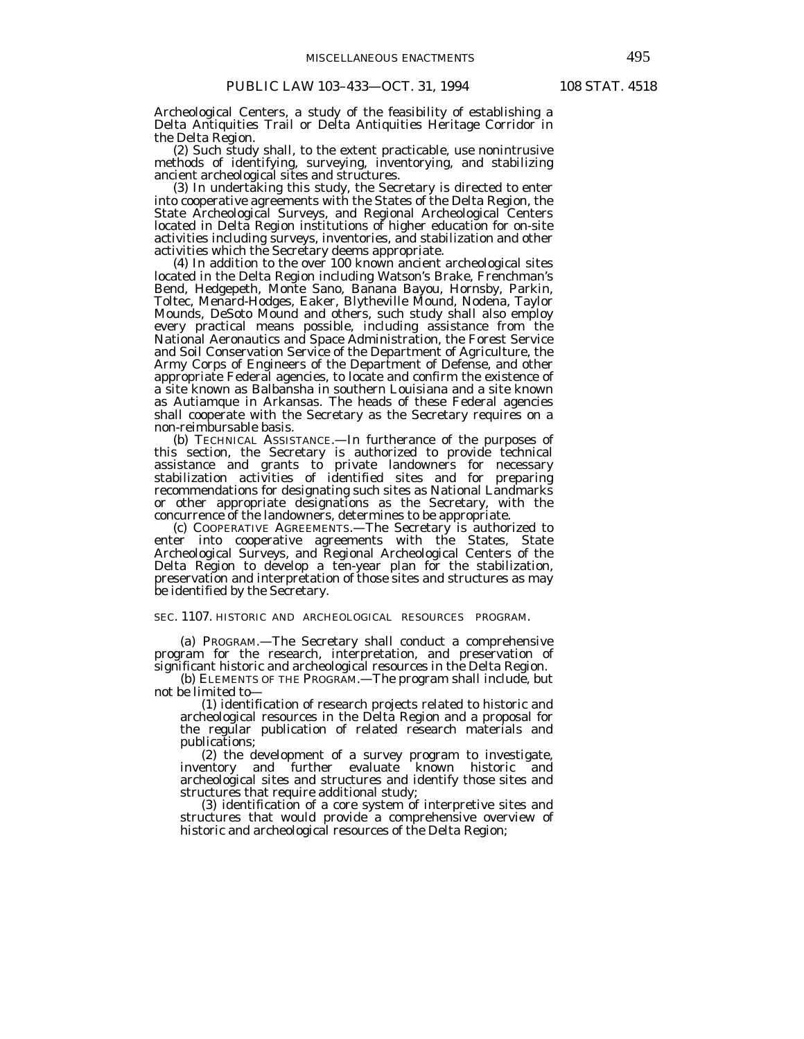Archeological Centers, a study of the feasibility of establishing a Delta Antiquities Trail or Delta Antiquities Heritage Corridor in the Delta Region.

 (2) Such study shall, to the extent practicable, use nonintrusive methods of identifying, surveying, inventorying, and stabilizing ancient archeological sites and structures.

 (3) In undertaking this study, the Secretary is directed to enter into cooperative agreements with the States of the Delta Region, the State Archeological Surveys, and Regional Archeological Centers located in Delta Region institutions of higher education for on-site activities including surveys, inventories, and stabilization and other activities which the Secretary deems appropriate.

 (4) In addition to the over 100 known ancient archeological sites located in the Delta Region including Watson's Brake, Frenchman's Bend, Hedgepeth, Monte Sano, Banana Bayou, Hornsby, Parkin, Toltec, Menard-Hodges, Eaker, Blytheville Mound, Nodena, Taylor Mounds, DeSoto Mound and others, such study shall also employ every practical means possible, including assistance from the National Aeronautics and Space Administration, the Forest Service and Soil Conservation Service of the Department of Agriculture, the Army Corps of Engineers of the Department of Defense, and other appropriate Federal agencies, to locate and confirm the existence of a site known as Balbansha in southern Louisiana and a site known as Autiamque in Arkansas. The heads of these Federal agencies shall cooperate with the Secretary as the Secretary requires on a non-reimbursable basis.

 (b) TECHNICAL ASSISTANCE.—In furtherance of the purposes of this section, the Secretary is authorized to provide technical assistance and grants to private landowners for necessary stabilization activities of identified sites and for preparing recommendations for designating such sites as National Landmarks or other appropriate designations as the Secretary, with the concurrence of the landowners, determines to be appropriate.

 (c) COOPERATIVE AGREEMENTS.—The Secretary is authorized to enter into cooperative agreements with the States, State Archeological Surveys, and Regional Archeological Centers of the Delta Region to develop a ten-year plan for the stabilization, preservation and interpretation of those sites and structures as may be identified by the Secretary.

SEC. 1107. HISTORIC AND ARCHEOLOGICAL RESOURCES PROGRAM.

 (a) PROGRAM.—The Secretary shall conduct a comprehensive program for the research, interpretation, and preservation of significant historic and archeological resources in the Delta Region.

(b) ELEMENTS OF THE PROGRAM.—The program shall include, but not be limited to—

(1) identification of research projects related to historic and archeological resources in the Delta Region and a proposal for the regular publication of related research materials and publications;

 (2) the development of a survey program to investigate, inventory and further evaluate known historic and archeological sites and structures and identify those sites and structures that require additional study;

 (3) identification of a core system of interpretive sites and structures that would provide a comprehensive overview of historic and archeological resources of the Delta Region;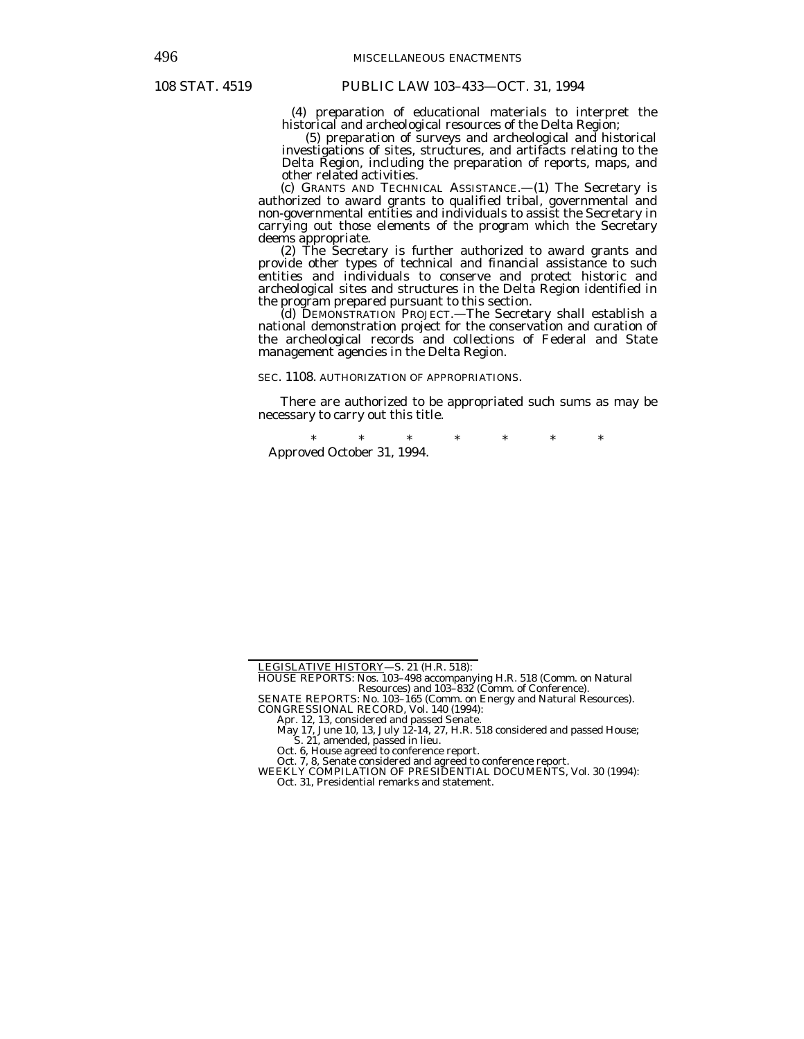(4) preparation of educational materials to interpret the historical and archeological resources of the Delta Region;

 (5) preparation of surveys and archeological and historical investigations of sites, structures, and artifacts relating to the Delta Region, including the preparation of reports, maps, and other related activities.

 (c) GRANTS AND TECHNICAL ASSISTANCE.—(1) The Secretary is authorized to award grants to qualified tribal, governmental and non-governmental entities and individuals to assist the Secretary in carrying out those elements of the program which the Secretary deems appropriate.

 (2) The Secretary is further authorized to award grants and provide other types of technical and financial assistance to such entities and individuals to conserve and protect historic and archeological sites and structures in the Delta Region identified in the program prepared pursuant to this section.

 (d) DEMONSTRATION PROJECT.—The Secretary shall establish a national demonstration project for the conservation and curation of the archeological records and collections of Federal and State management agencies in the Delta Region.

SEC. 1108. AUTHORIZATION OF APPROPRIATIONS.

 There are authorized to be appropriated such sums as may be necessary to carry out this title.

\* \* \* \* \* \* \* Approved October 31, 1994.

SENATE REPORTS: No. 103–165 (Comm. on Energy and Natural Resources).

CONGRESSIONAL RECORD, Vol. 140 (1994):<br>
Apr. 12, 13, considered and passed Senate.<br>
May 17, June 10, 13, July 12-14, 27, H.R. 518 considered and passed House;<br>
S. 21, amended, passed in lieu.<br>
Oct. 6, House agreed to confe

Oct. 7, 8, Senate considered and agreed to conference report.

WEEKLY COMPILATION OF PRESIDENTIAL DOCUMENTS, Vol. 30 (1994): Oct. 31, Presidential remarks and statement.

LEGISLATIVE HISTORY—S. 21 (H.R. 518):

HOUSE REPORTS: Nos. 103–498 accompanying H.R. 518 (Comm. on Natural Resources) and 103–832 (Comm. of Conference).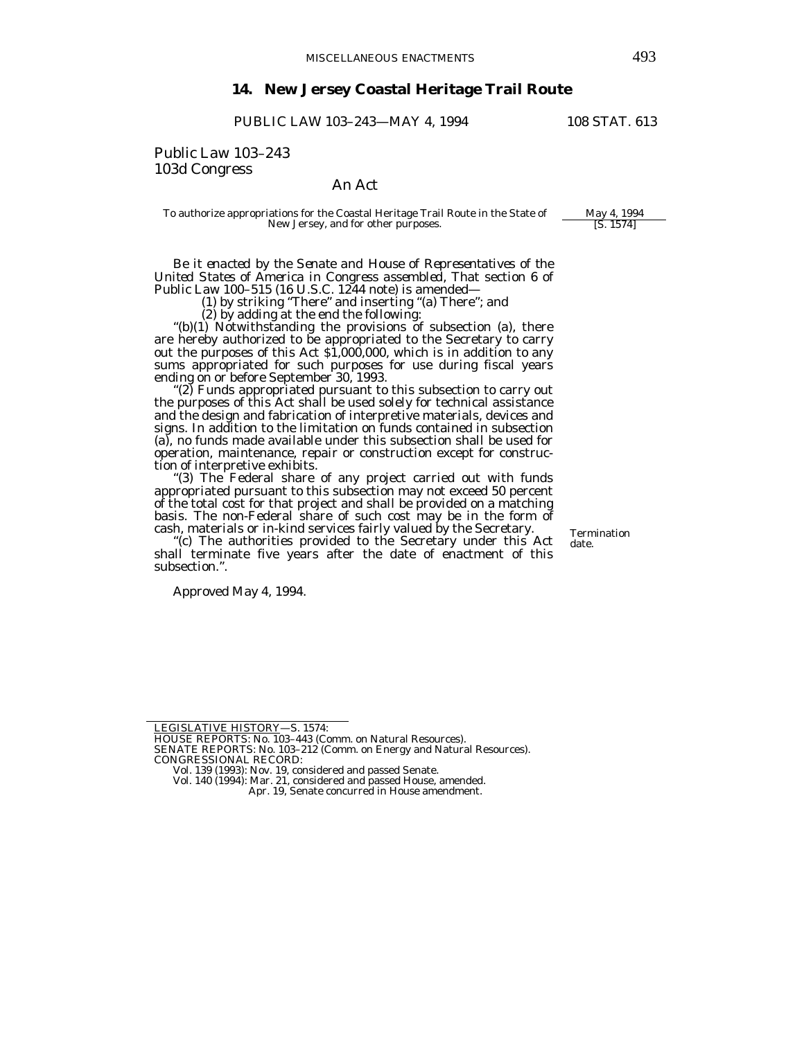# **14. New Jersey Coastal Heritage Trail Route**

PUBLIC LAW 103-243-MAY 4, 1994 108 STAT. 613

Public Law 103–243 103d Congress

# An Act

To authorize appropriations for the Coastal Heritage Trail Route in the State of May 4, 1994<br>New Jersey, and for other purposes. [S. 1574] New Jersey, and for other purposes.

*Be it enacted by the Senate and House of Representatives of the United States of America in Congress assembled*, That section 6 of Public Law 100–515 (16 U.S.C. 1244 note) is amended—

(1) by striking "There" and inserting "(a) There"; and

 $(2)$  by adding at the end the following:<br>"(b)(1) Notwithstanding the provisions of subsection (a), there are hereby authorized to be appropriated to the Secretary to carry out the purposes of this Act \$1,000,000, which is in addition to any sums appropriated for such purposes for use during fiscal years ending on or before September 30, 1993.

"(2) Funds appropriated pursuant to this subsection to carry out the purposes of this Act shall be used solely for technical assistance and the design and fabrication of interpretive materials, devices and signs. In addition to the limitation on funds contained in subsection (a), no funds made available under this subsection shall be used for operation, maintenance, repair or construction except for construction of interpretive exhibits.

"(3) The Federal share of any project carried out with funds appropriated pursuant to this subsection may not exceed 50 percent of the total cost for that project and shall be provided on a matching basis. The non-Federal share of such cost may be in the form of cash, materials or in-kind services fairly valued by the Secretary.

"(c) The authorities provided to the Secretary under this Act shall terminate five years after the date of enactment of this subsection.".

Approved May 4, 1994.

Termination date.

LEGISLATIVE HISTORY—S. 1574:

HOUSE REPORTS: No. 103–443 (Comm. on Natural Resources).

SENATE REPORTS: No. 103–212 (Comm. on Energy and Natural Resources). CONGRESSIONAL RECORD:

Vol. 139 (1993): Nov. 19, considered and passed Senate.

Vol. 140 (1994): Mar. 21, considered and passed House, amended.

Apr. 19, Senate concurred in House amendment.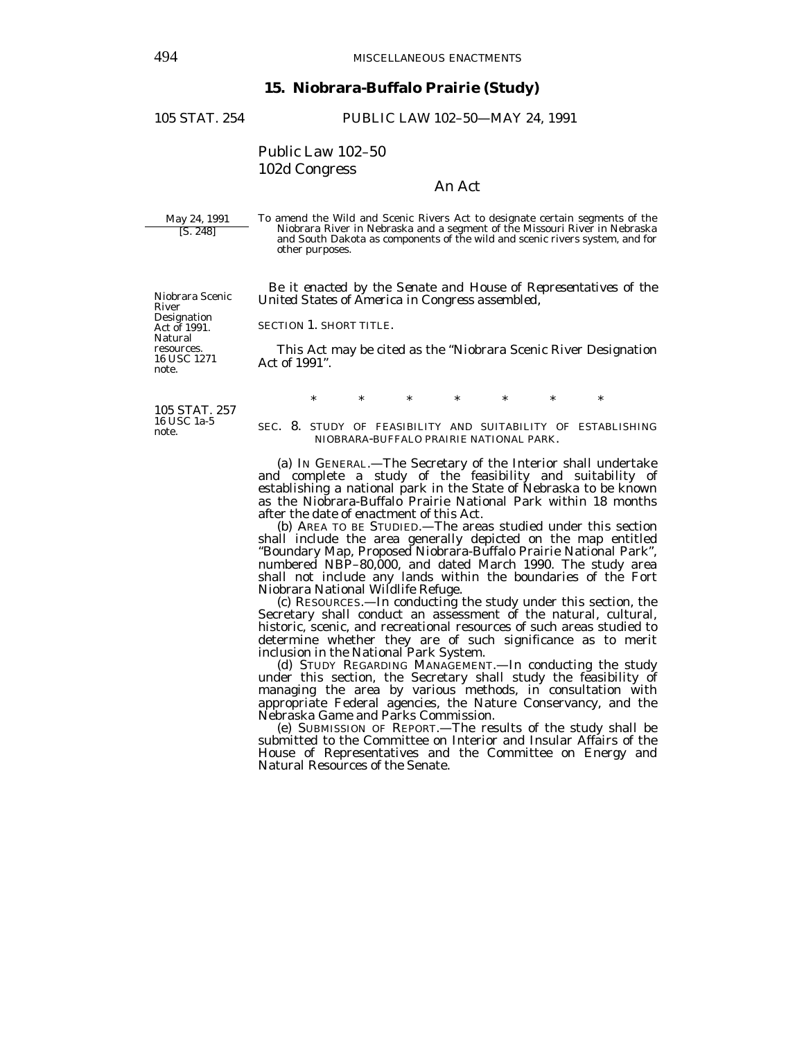## **15. Niobrara-Buffalo Prairie (Study)**

105 STAT. 254 PUBLIC LAW 102–50—MAY 24, 1991

Public Law 102–50 102d Congress

# An Act

May 24, 1991 [S. 248]

Niobrara Scenic

River Designation Act of 1991. Natural resources. 16 USC 1271 note.

To amend the Wild and Scenic Rivers Act to designate certain segments of the Niobrara River in Nebraska and a segment of the Missouri River in Nebraska and South Dakota as components of the wild and scenic rivers system, and for other purposes.

 *Be it enacted by the Senate and House of Representatives of the United States of America in Congress assembled,* 

SECTION 1. SHORT TITLE.

 This Act may be cited as the "Niobrara Scenic River Designation Act of 1991".

105 STAT. 257 16 USC 1a-5 note.

\* \* \* \* \* \* \*

SEC. 8. STUDY OF FEASIBILITY AND SUITABILITY OF ESTABLISHING NIOBRARA-BUFFALO PRAIRIE NATIONAL PARK.

 (a) IN GENERAL.—The Secretary of the Interior shall undertake and complete a study of the feasibility and suitability of establishing a national park in the State of Nebraska to be known as the Niobrara-Buffalo Prairie National Park within 18 months after the date of enactment of this Act.

 (b) AREA TO BE STUDIED.—The areas studied under this section shall include the area generally depicted on the map entitled "Boundary Map, Proposed Niobrara-Buffalo Prairie National Park", numbered NBP–80,000, and dated March 1990. The study area shall not include any lands within the boundaries of the Fort Niobrara National Wildlife Refuge.

 (c) RESOURCES.—In conducting the study under this section, the Secretary shall conduct an assessment of the natural, cultural, historic, scenic, and recreational resources of such areas studied to determine whether they are of such significance as to merit inclusion in the National Park System.

 (d) STUDY REGARDING MANAGEMENT.—In conducting the study under this section, the Secretary shall study the feasibility of managing the area by various methods, in consultation with appropriate Federal agencies, the Nature Conservancy, and the Nebraska Game and Parks Commission.

 (e) SUBMISSION OF REPORT.—The results of the study shall be submitted to the Committee on Interior and Insular Affairs of the House of Representatives and the Committee on Energy and Natural Resources of the Senate.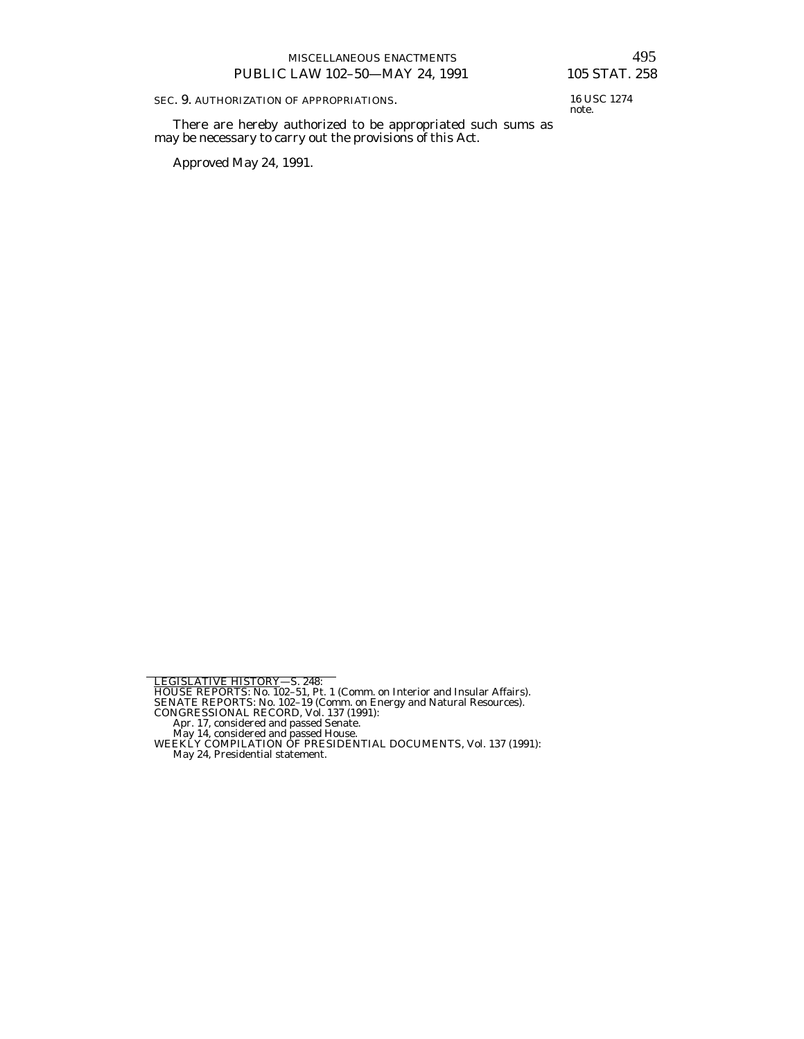SEC. 9. AUTHORIZATION OF APPROPRIATIONS.

 There are hereby authorized to be appropriated such sums as may be necessary to carry out the provisions of this Act.

Approved May 24, 1991.

16 USC 1274 note.

- 
- 
- 
- 

LEGISLATIVE HISTORY—S. 248:<br>HOUSE REPORTS: No. 102–51, Pt. 1 (Comm. on Interior and Insular Affairs).<br>SENATE REPORTS: No. 102–19 (Comm. on Energy and Natural Resources).<br>CONGRESSIONAL RECORD, Vol. 137 (1991):<br>Apr. 17, cons

May 24, Presidential statement.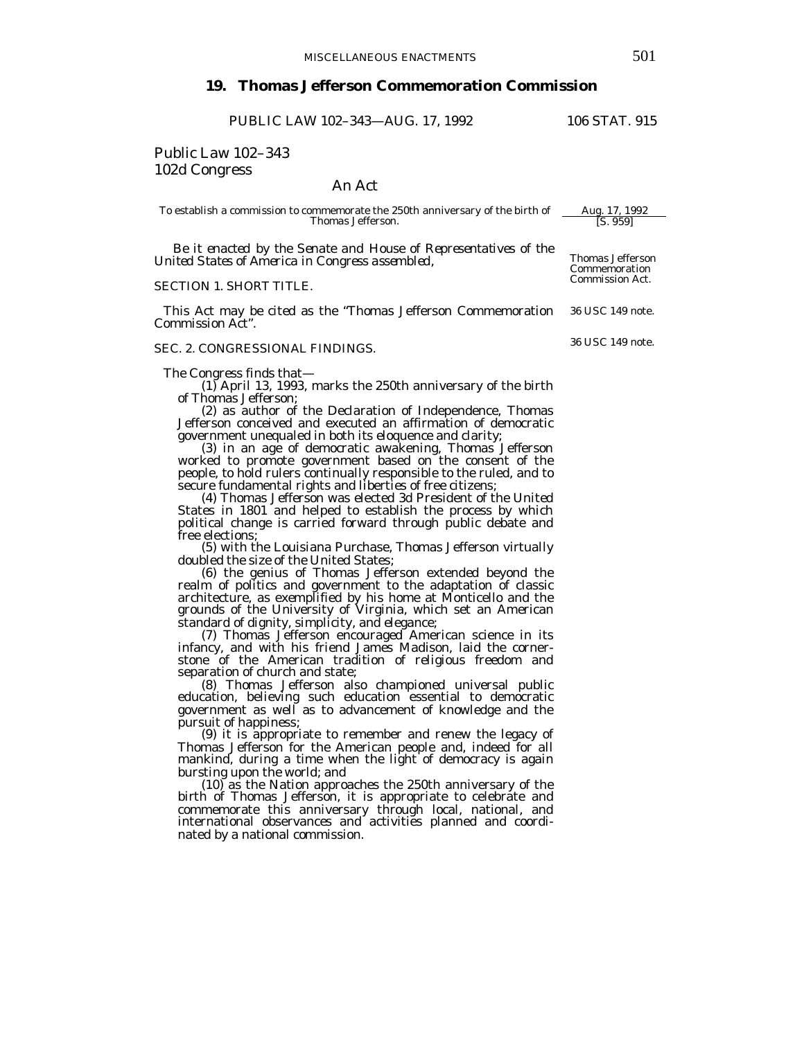# **19. Thomas Jefferson Commemoration Commission**

PUBLIC LAW 102–343—AUG. 17, 1992 106 STAT. 915

Public Law 102–343 102d Congress

An Act

To establish a commission to commemorate the 250th anniversary of the birth of  $\frac{\text{Aug. 17, 1992}}{\text{IS. 959}}$ Thomas Jefferson.

*Be it enacted by the Senate and House of Representatives of the United States of America in Congress assembled,* 

### SECTION 1. SHORT TITLE.

This Act may be cited as the "Thomas Jefferson Commemoration 36 USC 149 note. Commission Act".

#### SEC. 2. CONGRESSIONAL FINDINGS.

The Congress finds that—

(1) April 13, 1993, marks the 250th anniversary of the birth of Thomas Jefferson;

(2) as author of the Declaration of Independence, Thomas Jefferson conceived and executed an affirmation of democratic government unequaled in both its eloquence and clarity;<br>(3) in an age of democratic awakening, Thomas Jefferson

worked to promote government based on the consent of the people, to hold rulers continually responsible to the ruled, and to secure fundamental rights and liberties of free citizens; (4) Thomas Jefferson was elected 3d President of the United

States in 1801 and helped to establish the process by which political change is carried forward through public debate and free elections;

(5) with the Louisiana Purchase, Thomas Jefferson virtually doubled the size of the United States;

(6) the genius of Thomas Jefferson extended beyond the realm of politics and government to the adaptation of classic architecture, as exemplified by his home at Monticello and the grounds of the University of Virginia, which set an American standard of dignity, simplicity, and elegance;

(7) Thomas Jefferson encouraged American science in its infancy, and with his friend James Madison, laid the cornerstone of the American tradition of religious freedom and separation of church and state;<br>(8) Thomas Jefferson also championed universal public

education, believing such education essential to democratic government as well as to advancement of knowledge and the

pursuit of happiness; (9) it is appropriate to remember and renew the legacy of Thomas Jefferson for the American people and, indeed for all mankind, during a time when the light of democracy is again bursting upon the world; and<br>(10) as the Nation approaches the 250th anniversary of the

birth of Thomas Jefferson, it is appropriate to celebrate and commemorate this anniversary through local, national, and international observances and activities planned and coordinated by a national commission.

Thomas Jefferson Commemoration Commission Act.

36 USC 149 note.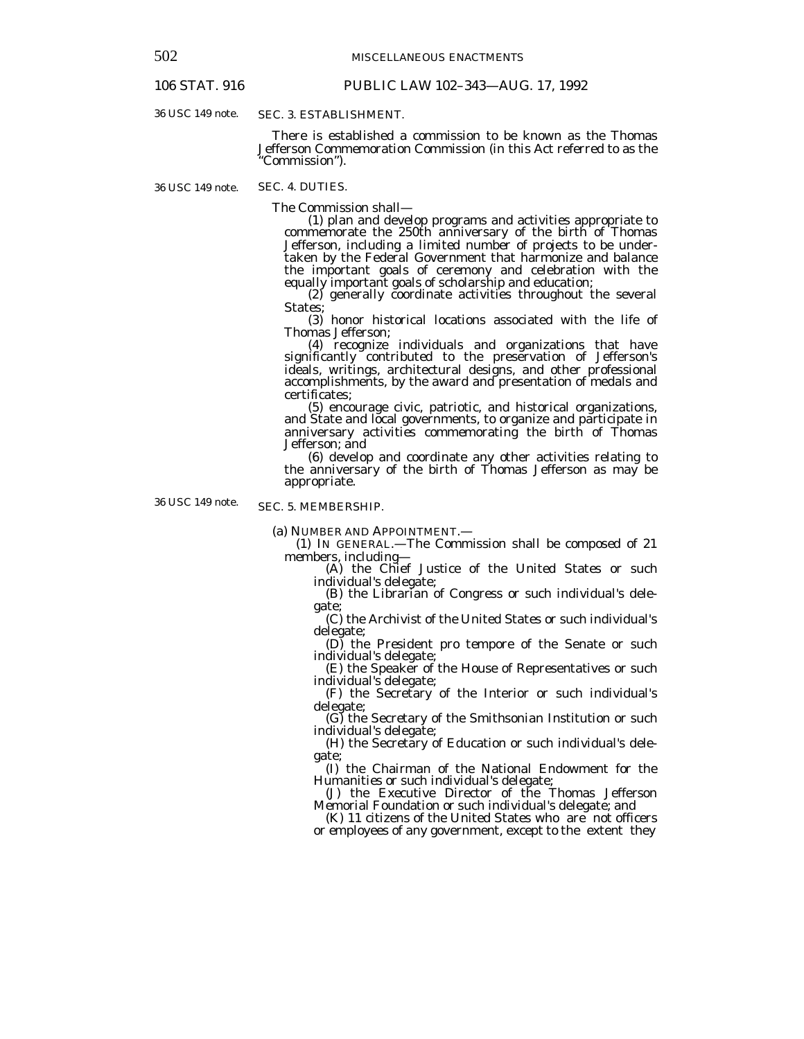# 106 STAT. 916 PUBLIC LAW 102–343—AUG. 17, 1992

36 USC 149 note.

## SEC. 3. ESTABLISHMENT.

 There is established a commission to be known as the Thomas Jefferson Commemoration Commission (in this Act referred to as the "Commission").

36 USC 149 note.

SEC. 4. DUTIES.

The Commission shall— (1) plan and develop programs and activities appropriate to commemorate the 250th anniversary of the birth of Thomas Jefferson, including a limited number of projects to be undertaken by the Federal Government that harmonize and balance the important goals of ceremony and celebration with the

 $(2)$  generally coordinate activities throughout the several States;

(3) honor historical locations associated with the life of Thomas Jefferson;

(4) recognize individuals and organizations that have significantly contributed to the preservation of Jefferson's ideals, writings, architectural designs, and other professional accomplishments, by the award and presentation of medals and certificates;<br>(5) encourage civic, patriotic, and historical organizations,

and State and local governments, to organize and participate in anniversary activities commemorating the birth of Thomas Jefferson; and

(6) develop and coordinate any other activities relating to the anniversary of the birth of Thomas Jefferson as may be appropriate.

36 USC 149 note.

## SEC. 5. MEMBERSHIP.

(a) NUMBER AND APPOINTMENT.—

(1) IN GENERAL.—The Commission shall be composed of 21

(A) the Chief Justice of the United States or such individual's delegate;

(B) the Librarian of Congress or such individual's delegate;

(C) the Archivist of the United States or such individual's delegate;

(D) the President pro tempore of the Senate or such individual's delegate;

(E) the Speaker of the House of Representatives or such individual's delegate;

(F) the Secretary of the Interior or such individual's delegate;

(G) the Secretary of the Smithsonian Institution or such individual's delegate;

(H) the Secretary of Education or such individual's delegate;

(I) the Chairman of the National Endowment for the Humanities or such individual's delegate;

(J) the Executive Director of the Thomas Jefferson Memorial Foundation or such individual's delegate; and

(K) 11 citizens of the United States who are not officers or employees of any government, except to the extent they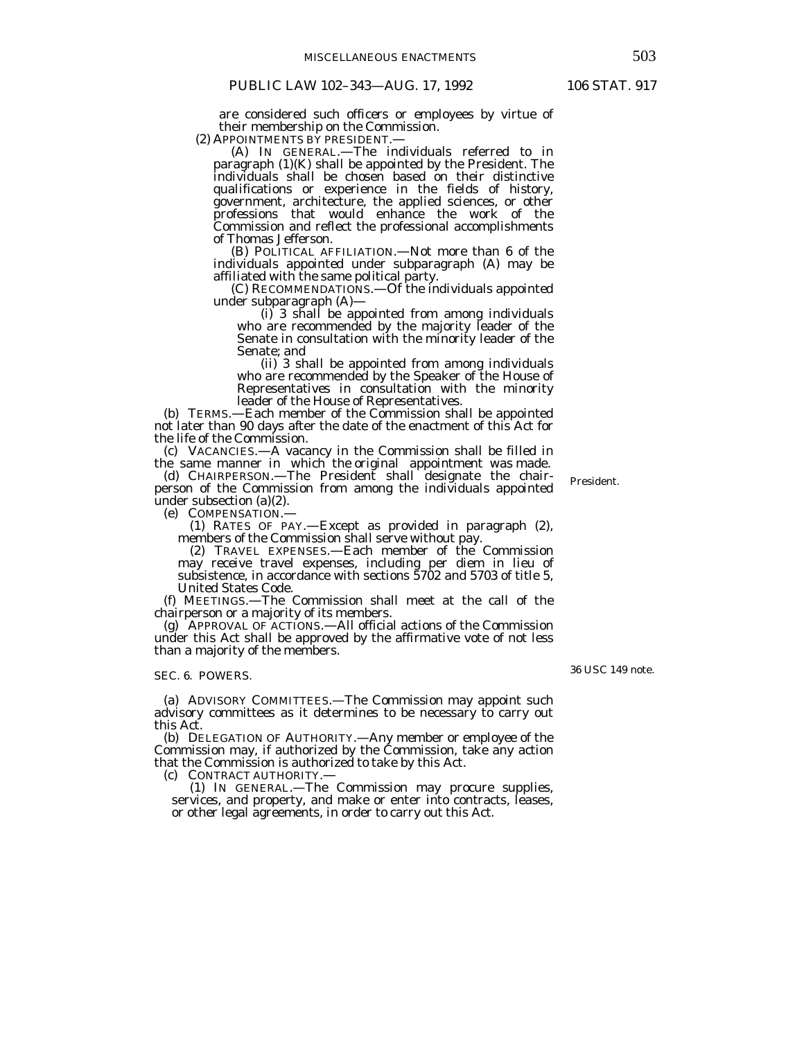are considered such officers or employees by virtue of their membership on the Commission.<br>(2) APPOINTMENTS BY PRESIDENT.—

(A) IN GENERAL.—The individuals referred to in paragraph (1)(K) shall be appointed by the President. The individuals shall be chosen based on their distinctive qualifications or experience in the fields of history, government, architecture, the applied sciences, or other professions that would enhance the work of the Commission and reflect the professional accomplishments of Thomas Jefferson.

 (B) POLITICAL AFFILIATION.—Not more than 6 of the individuals appointed under subparagraph (A) may be affiliated with the same political party.<br>
(C) RECOMMENDATIONS.—Of the individuals appointed

under subparagraph  $(A)$ —<br>(i) 3 shall be appointed from among individuals who are recommended by the majority leader of the Senate in consultation with the minority leader of the Senate; and

(ii) 3 shall be appointed from among individuals who are recommended by the Speaker of the House of Representatives in consultation with the minority leader of the House of Representatives.

(b) TERMS.—Each member of the Commission shall be appointed not later than 90 days after the date of the enactment of this Act for the life of the Commission.

(c) VACANCIES.—A vacancy in the Commission shall be filled in the same manner in which the original appointment was made.

(d) CHAIRPERSON.—The President shall designate the chairperson of the Commission from among the individuals appointed under subsection (a)(2).<br>(e) COMPENSATION.—

(1) RATES OF PAY.—Except as provided in paragraph (2), members of the Commission shall serve without pay.

(2) TRAVEL EXPENSES.—Each member of the Commission may receive travel expenses, including per diem in lieu of subsistence, in accordance with sections 5702 and 5703 of title 5, United States Code.

(f) MEETINGS.—The Commission shall meet at the call of the chairperson or a majority of its members.

(g) APPROVAL OF ACTIONS.—All official actions of the Commission under this Act shall be approved by the affirmative vote of not less than a majority of the members.

#### SEC. 6. POWERS.

(a) ADVISORY COMMITTEES.—The Commission may appoint such advisory committees as it determines to be necessary to carry out this Act.<br>(b) DELEGATION OF AUTHORITY.—Any member or employee of the

Commission may, if authorized by the Commission, take any action that the Commission is authorized to take by this Act.<br>(c) CONTRACT AUTHORITY.—

(1) IN GENERAL.—The Commission may procure supplies, services, and property, and make or enter into contracts, leases, or other legal agreements, in order to carry out this Act.

36 USC 149 note.

President.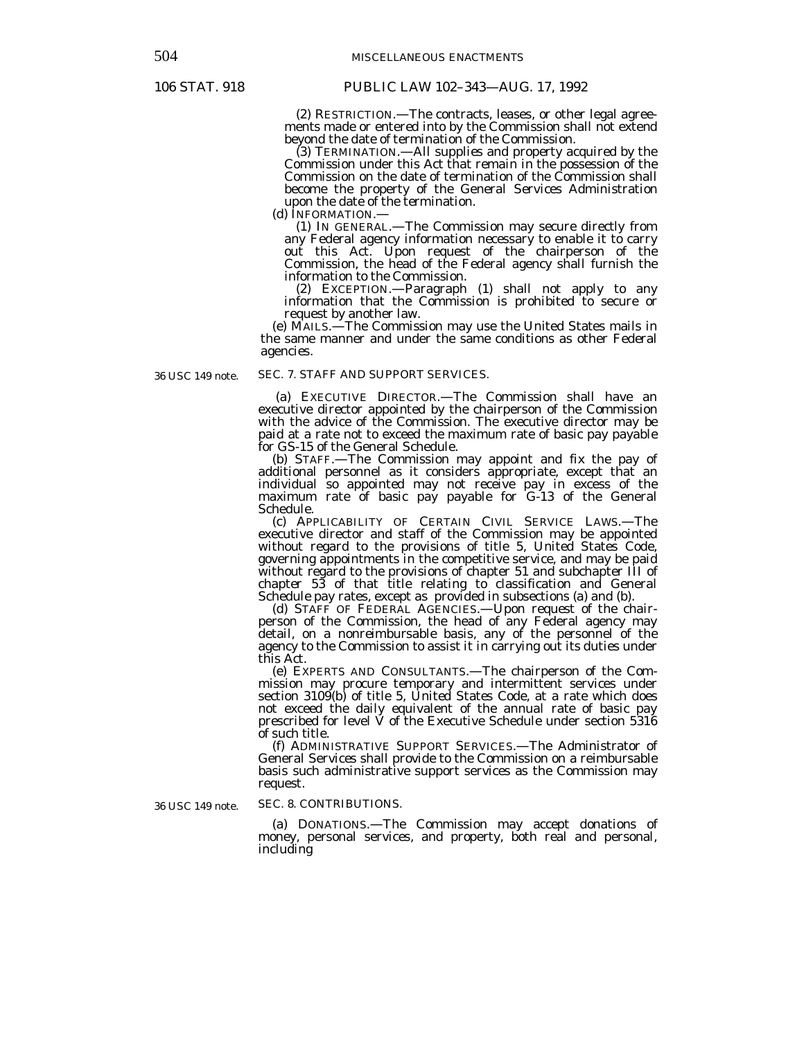(2) RESTRICTION.—The contracts, leases, or other legal agreements made or entered into by the Commission shall not extend beyond the date of termination of the Commission.

(3) TERMINATION.—All supplies and property acquired by the Commission under this Act that remain in the possession of the Commission on the date of termination of the Commission shall become the property of the General Services Administration upon the date of the termination.<br>(d) INFORMATION.—

(1) IN GENERAL.—The Commission may secure directly from any Federal agency information necessary to enable it to carry out this Act. Upon request of the chairperson of the Commission, the head of the Federal agency shall furnish the information to the Commission.

(2) EXCEPTION.—Paragraph (1) shall not apply to any information that the Commission is prohibited to secure or request by another law.

(e) MAILS.—The Commission may use the United States mails in the same manner and under the same conditions as other Federal agencies.

36 USC 149 note.

## SEC. 7. STAFF AND SUPPORT SERVICES.

 (a) EXECUTIVE DIRECTOR.—The Commission shall have an executive director appointed by the chairperson of the Commission with the advice of the Commission. The executive director may be paid at a rate not to exceed the maximum rate of basic pay payable for GS-15 of the General Schedule.

(b) STAFF.—The Commission may appoint and fix the pay of additional personnel as it considers appropriate, except that an individual so appointed may not receive pay in excess of the maximum rate of basic pay payable for G-13 of the General Schedule.

 (c) APPLICABILITY OF CERTAIN CIVIL SERVICE LAWS.—The executive director and staff of the Commission may be appointed without regard to the provisions of title 5, United States Code, governing appointments in the competitive service, and may be paid without regard to the provisions of chapter 51 and subchapter III of chapter 53 of that title relating to classification and General Schedule pay rates, except as provided in subsections (a) and (b).

 (d) STAFF OF FEDERAL AGENCIES.—Upon request of the chairperson of the Commission, the head of any Federal agency may detail, on a nonreimbursable basis, any of the personnel of the agency to the Commission to assist it in carrying out its duties under this Act.

 (e) EXPERTS AND CONSULTANTS.—The chairperson of the Commission may procure temporary and intermittent services under section 3109(b) of title 5, United States Code, at a rate which does not exceed the daily equivalent of the annual rate of basic pay prescribed for level  $\check{V}$  of the Executive Schedule under section 5316 of such title.

 (f) ADMINISTRATIVE SUPPORT SERVICES.—The Administrator of General Services shall provide to the Commission on a reimbursable basis such administrative support services as the Commission may request.

36 USC 149 note.

#### SEC. 8. CONTRIBUTIONS.

 (a) DONATIONS.—The Commission may accept donations of money, personal services, and property, both real and personal, including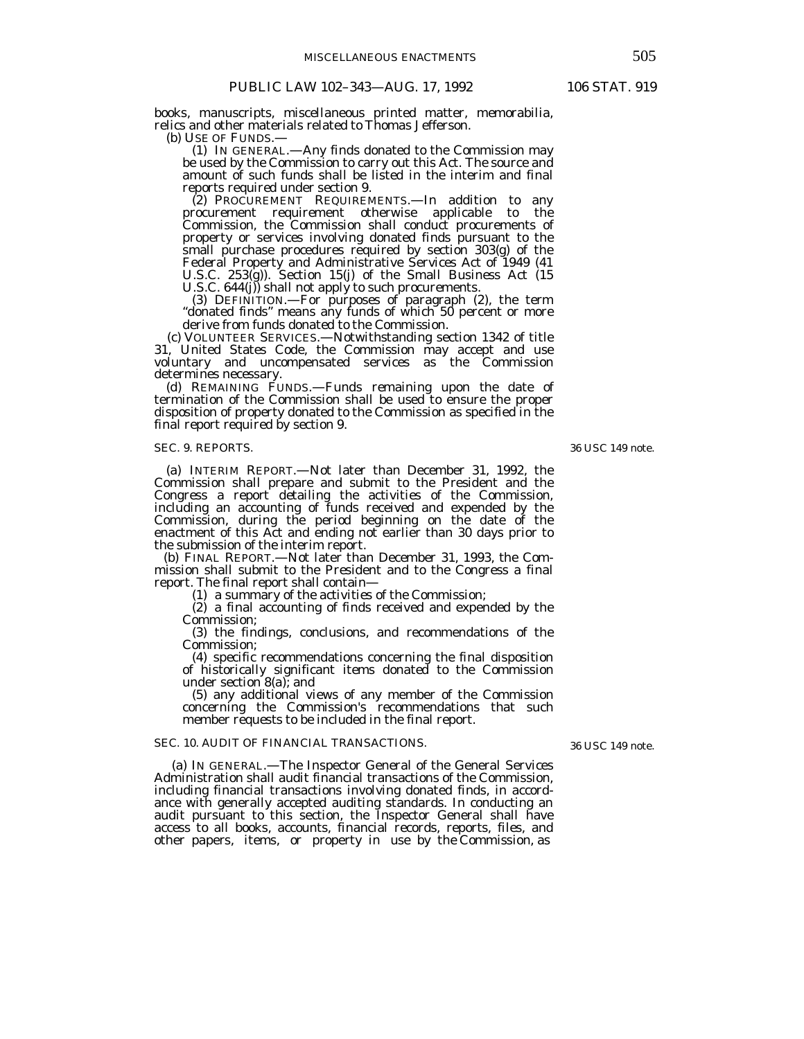books, manuscripts, miscellaneous printed matter, memorabilia, relics and other materials related to Thomas Jefferson.<br>(b) USE OF FUNDS.—

 (b) USE OF FUNDS.— (1) IN GENERAL.—Any finds donated to the Commission may be used by the Commission to carry out this Act. The source and amount of such funds shall be listed in the interim and final reports required under section 9.

(2) PROCUREMENT REQUIREMENTS.—In addition to any procurement requirement otherwise applicable to the Commission, the Commission shall conduct procurements of property or services involving donated finds pursuant to the small purchase procedures required by section 303(g) of the Federal Property and Administrative Services Act of 1949 (41 U.S.C. 253(g)). Section 15(j) of the Small Business Act (15 U.S.C. 644(j)) shall not apply to such procurements.

(3) DEFINITION.—For purposes of paragraph (2), the term "donated finds" means any funds of which 50 percent or more

derive from funds donated to the Commission.<br>
(c) VOLUNTEER SERVICES.—Notwithstanding section 1342 of title 31, United States Code, the Commission may accept and use voluntary and uncompensated services as the Commission determines necessary.

 (d) REMAINING FUNDS.—Funds remaining upon the date of termination of the Commission shall be used to ensure the proper disposition of property donated to the Commission as specified in the final report required by section 9.

## SEC. 9. REPORTS.

(a) INTERIM REPORT.—Not later than December 31, 1992, the Commission shall prepare and submit to the President and the Congress a report detailing the activities of the Commission, including an accounting of funds received and expended by the Commission, during the period beginning on the date of the enactment of this Act and ending not earlier than 30 days prior to the submission of the interim report.

(b) FINAL REPORT.—Not later than December 31, 1993, the Commission shall submit to the President and to the Congress a final

 $r(1)$  a summary of the activities of the Commission;

(2) a final accounting of finds received and expended by the Commission;

(3) the findings, conclusions, and recommendations of the Commission;

(4) specific recommendations concerning the final disposition of historically significant items donated to the Commission under section 8(a); and

(5) any additional views of any member of the Commission concerning the Commission's recommendations that such member requests to be included in the final report.

#### SEC. 10. AUDIT OF FINANCIAL TRANSACTIONS.

36 USC 149 note.

(a) IN GENERAL.—The Inspector General of the General Services Administration shall audit financial transactions of the Commission, including financial transactions involving donated finds, in accordance with generally accepted auditing standards. In conducting an audit pursuant to this section, the Inspector General shall have access to all books, accounts, financial records, reports, files, and other papers, items, or property in use by the Commission, as

36 USC 149 note.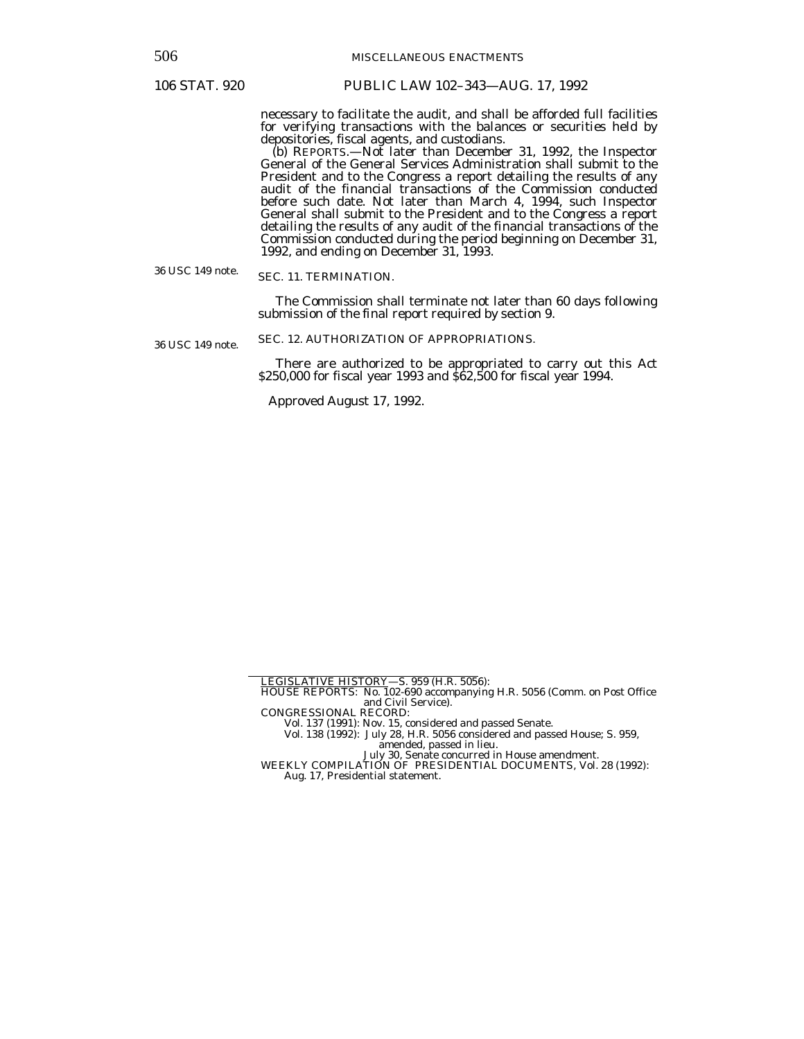506 MISCELLANEOUS ENACTMENTS

# 106 STAT. 920 PUBLIC LAW 102–343—AUG. 17, 1992

necessary to facilitate the audit, and shall be afforded full facilities for verifying transactions with the balances or securities held by depositories, fiscal agents, and custodians.

 (b) REPORTS.—Not later than December 31, 1992, the Inspector General of the General Services Administration shall submit to the President and to the Congress a report detailing the results of any audit of the financial transactions of the Commission conducted before such date. Not later than March 4, 1994, such Inspector General shall submit to the President and to the Congress a report detailing the results of any audit of the financial transactions of the Commission conducted during the period beginning on December 31, 1992, and ending on December 31, 1993.

36 USC 149 note. SEC. 11. TERMINATION.

> The Commission shall terminate not later than 60 days following submission of the final report required by section 9.

36 USC 149 note. SEC. 12. AUTHORIZATION OF APPROPRIATIONS.

> There are authorized to be appropriated to carry out this Act \$250,000 for fiscal year 1993 and \$62,500 for fiscal year 1994.

Approved August 17, 1992.

July 30, Senate concurred in House amendment.

LEGISLATIVE HISTORY—S. 959 (H.R. 5056):

HOUSE REPORTS: No. 102-690 accompanying H.R. 5056 (Comm. on Post Office and Civil Service).

CONGRESSIONAL RECORD:

Vol. 137 (1991): Nov. 15, considered and passed Senate.

Vol. 138 (1992): July 28, H.R. 5056 considered and passed House; S. 959,

amended, passed in lieu.

WEEKLY COMPILATION OF PRESIDENTIAL DOCUMENTS, Vol. 28 (1992): Aug. 17, Presidential statement.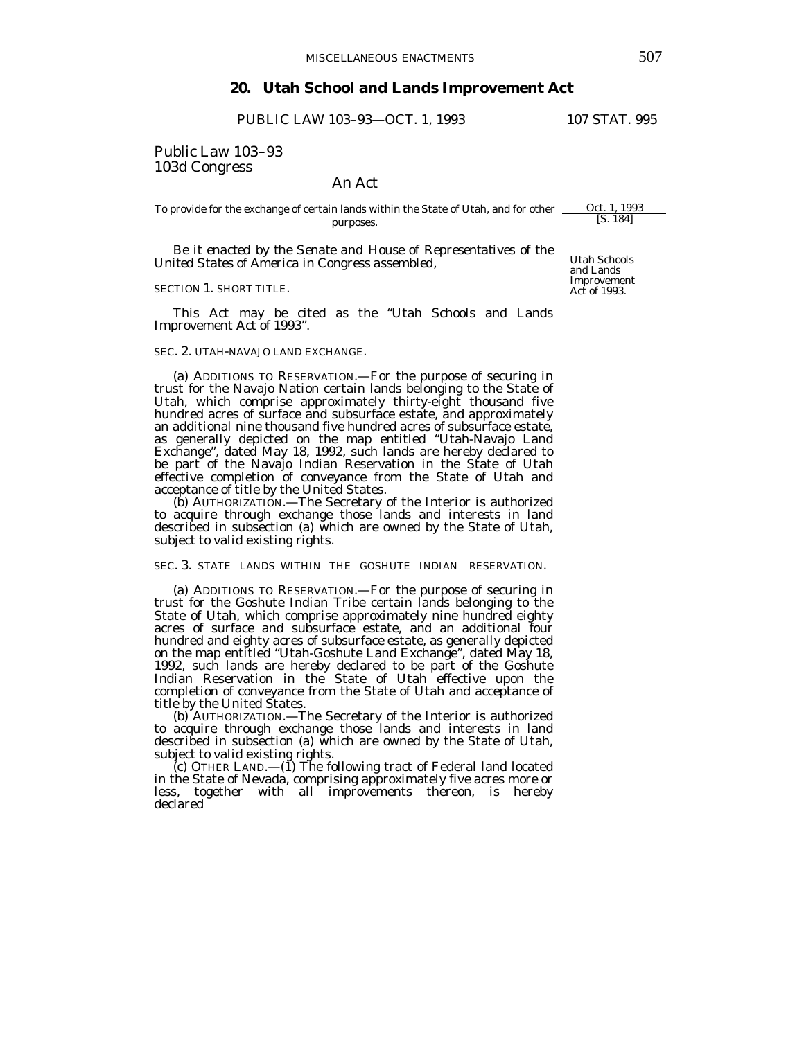## **20. Utah School and Lands Improvement Act**

PUBLIC LAW 103-93-OCT. 1, 1993 107 STAT. 995

Public Law 103–93 103d Congress

# An Act

To provide for the exchange of certain lands within the State of Utah, and for other \_\_\_\_\_Oct. 1, 1993 purposes. [S. 184]

 *Be it enacted by the Senate and House of Representatives of the United States of America in Congress assembled*,

## SECTION 1. SHORT TITLE.

 This Act may be cited as the "Utah Schools and Lands Improvement Act of 1993".

### SEC. 2. UTAH-NAVAJO LAND EXCHANGE.

 (a) ADDITIONS TO RESERVATION.—For the purpose of securing in trust for the Navajo Nation certain lands belonging to the State of Utah, which comprise approximately thirty-eight thousand five hundred acres of surface and subsurface estate, and approximately an additional nine thousand five hundred acres of subsurface estate, as generally depicted on the map entitled "Utah-Navajo Land Exchange", dated May 18, 1992, such lands are hereby declared to be part of the Navajo Indian Reservation in the State of Utah effective completion of conveyance from the State of Utah and acceptance of title by the United States.

 (b) AUTHORIZATION.—The Secretary of the Interior is authorized to acquire through exchange those lands and interests in land described in subsection (a) which are owned by the State of Utah, subject to valid existing rights.

## SEC. 3. STATE LANDS WITHIN THE GOSHUTE INDIAN RESERVATION.

 (a) ADDITIONS TO RESERVATION.—For the purpose of securing in trust for the Goshute Indian Tribe certain lands belonging to the State of Utah, which comprise approximately nine hundred eighty acres of surface and subsurface estate, and an additional four hundred and eighty acres of subsurface estate, as generally depicted on the map entitled "Utah-Goshute Land Exchange", dated May 18, 1992, such lands are hereby declared to be part of the Goshute Indian Reservation in the State of Utah effective upon the completion of conveyance from the State of Utah and acceptance of title by the United States.

 (b) AUTHORIZATION.—The Secretary of the Interior is authorized to acquire through exchange those lands and interests in land described in subsection (a) which are owned by the State of Utah, subject to valid existing rights.

(c) OTHER LAND.— $(\tilde{I})$  The following tract of Federal land located in the State of Nevada, comprising approximately five acres more or less, together with all improvements thereon, is hereby declared

Utah Schools and Lands Improvement Act of 1993.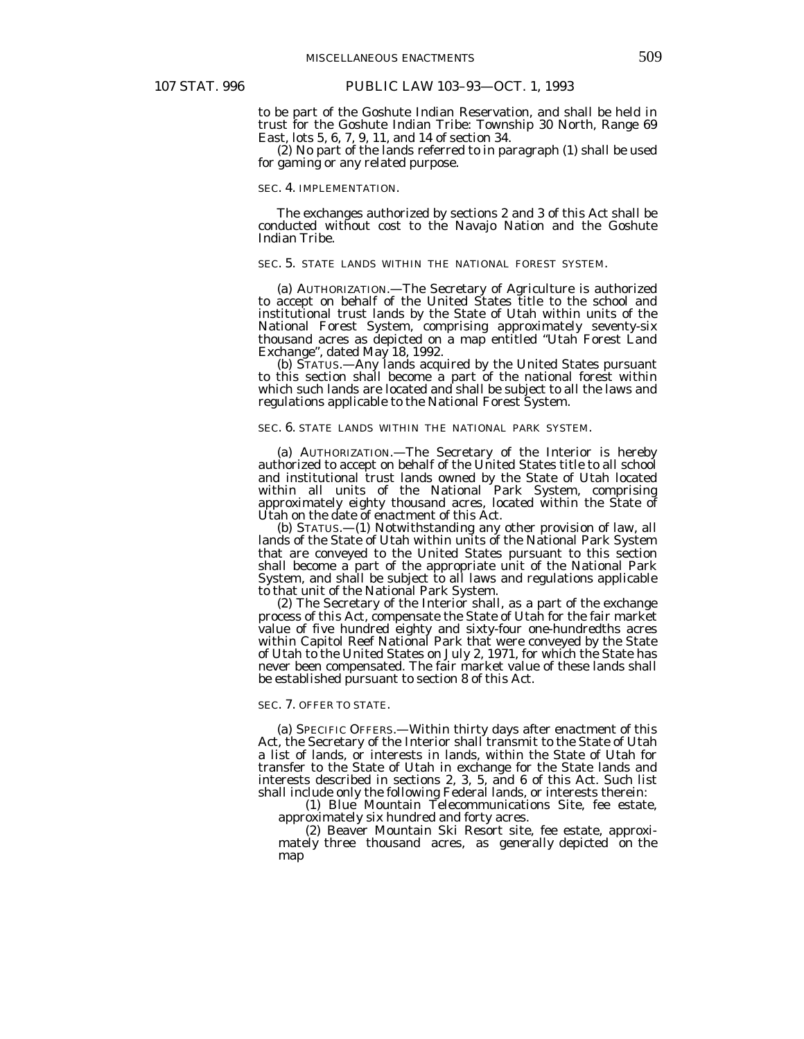to be part of the Goshute Indian Reservation, and shall be held in trust for the Goshute Indian Tribe: Township 30 North, Range 69 East, lots 5, 6, 7, 9, 11, and 14 of section 34.

 (2) No part of the lands referred to in paragraph (1) shall be used for gaming or any related purpose.

#### SEC. 4. IMPLEMENTATION.

 The exchanges authorized by sections 2 and 3 of this Act shall be conducted without cost to the Navajo Nation and the Goshute Indian Tribe.

### SEC. 5. STATE LANDS WITHIN THE NATIONAL FOREST SYSTEM.

 (a) AUTHORIZATION.—The Secretary of Agriculture is authorized to accept on behalf of the United States title to the school and institutional trust lands by the State of Utah within units of the National Forest System, comprising approximately seventy-six thousand acres as depicted on a map entitled "Utah Forest Land Exchange", dated May 18, 1992.

 (b) STATUS.—Any lands acquired by the United States pursuant to this section shall become a part of the national forest within which such lands are located and shall be subject to all the laws and regulations applicable to the National Forest System.

#### SEC. 6. STATE LANDS WITHIN THE NATIONAL PARK SYSTEM.

 (a) AUTHORIZATION.—The Secretary of the Interior is hereby authorized to accept on behalf of the United States title to all school and institutional trust lands owned by the State of Utah located within all units of the National Park System, comprising approximately eighty thousand acres, located within the State of Utah on the date of enactment of this Act.

 (b) STATUS.—(1) Notwithstanding any other provision of law, all lands of the State of Utah within units of the National Park System that are conveyed to the United States pursuant to this section shall become a part of the appropriate unit of the National Park System, and shall be subject to all laws and regulations applicable to that unit of the National Park System.

 (2) The Secretary of the Interior shall, as a part of the exchange process of this Act, compensate the State of Utah for the fair market value of five hundred eighty and sixty-four one-hundredths acres within Capitol Reef National Park that were conveyed by the State of Utah to the United States on July 2, 1971, for which the State has never been compensated. The fair market value of these lands shall be established pursuant to section 8 of this Act.

#### SEC. 7. OFFER TO STATE.

 (a) SPECIFIC OFFERS.—Within thirty days after enactment of this Act, the Secretary of the Interior shall transmit to the State of Utah a list of lands, or interests in lands, within the State of Utah for transfer to the State of Utah in exchange for the State lands and interests described in sections 2, 3, 5, and 6 of this Act. Such list shall include only the following Federal lands, or interests therein:

 (1) Blue Mountain Telecommunications Site, fee estate, approximately six hundred and forty acres.

 (2) Beaver Mountain Ski Resort site, fee estate, approximately three thousand acres, as generally depicted on the map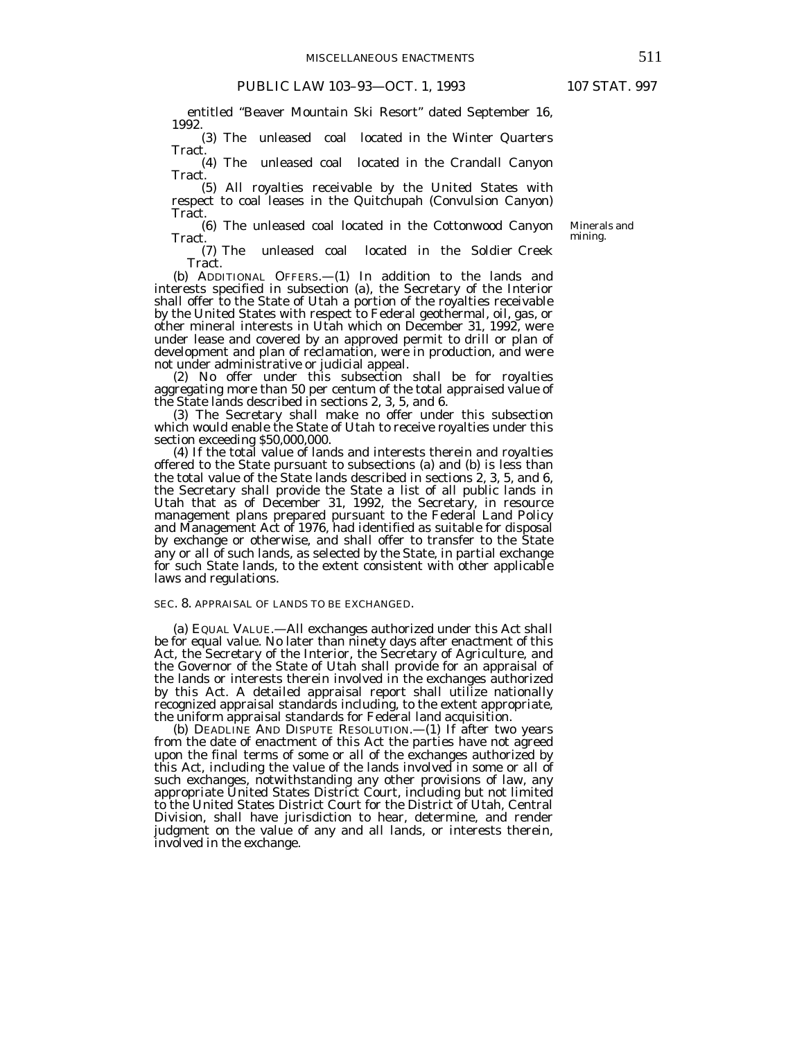entitled "Beaver Mountain Ski Resort" dated September 16, 1992.

 (3) The unleased coal located in the Winter Quarters Tract.

 (4) The unleased coal located in the Crandall Canyon Tract.<br>(5) All royalties receivable by the United States with

respect to coal leases in the Quitchupah (Convulsion Canyon) Tract.

 (6) The unleased coal located in the Cottonwood Canyon Tract.

 (7) The unleased coal located in the Soldier Creek Tract.

 (b) ADDITIONAL OFFERS.—(1) In addition to the lands and interests specified in subsection (a), the Secretary of the Interior shall offer to the State of Utah a portion of the royalties receivable by the United States with respect to Federal geothermal, oil, gas, or other mineral interests in Utah which on December 31, 1992, were under lease and covered by an approved permit to drill or plan of development and plan of reclamation, were in production, and were not under administrative or judicial appeal.

 (2) No offer under this subsection shall be for royalties aggregating more than 50 per centum of the total appraised value of the State lands described in sections 2, 3, 5, and 6.

 (3) The Secretary shall make no offer under this subsection which would enable the State of Utah to receive royalties under this section exceeding \$50,000,000.

 (4) If the total value of lands and interests therein and royalties offered to the State pursuant to subsections (a) and (b) is less than the total value of the State lands described in sections 2, 3, 5, and 6, the Secretary shall provide the State a list of all public lands in Utah that as of December 31, 1992, the Secretary, in resource management plans prepared pursuant to the Federal Land Policy and Management Act of 1976, had identified as suitable for disposal by exchange or otherwise, and shall offer to transfer to the State any or all of such lands, as selected by the State, in partial exchange for such State lands, to the extent consistent with other applicable laws and regulations.

## SEC. 8. APPRAISAL OF LANDS TO BE EXCHANGED.

 (a) EQUAL VALUE.—All exchanges authorized under this Act shall be for equal value. No later than ninety days after enactment of this Act, the Secretary of the Interior, the Secretary of Agriculture, and the Governor of the State of Utah shall provide for an appraisal of the lands or interests therein involved in the exchanges authorized by this Act. A detailed appraisal report shall utilize nationally recognized appraisal standards including, to the extent appropriate, the uniform appraisal standards for Federal land acquisition.

 (b) DEADLINE AND DISPUTE RESOLUTION.—(1) If after two years from the date of enactment of this Act the parties have not agreed upon the final terms of some or all of the exchanges authorized by this Act, including the value of the lands involved in some or all of such exchanges, notwithstanding any other provisions of law, any appropriate United States District Court, including but not limited to the United States District Court for the District of Utah, Central Division, shall have jurisdiction to hear, determine, and render judgment on the value of any and all lands, or interests therein, involved in the exchange.

Minerals and mining.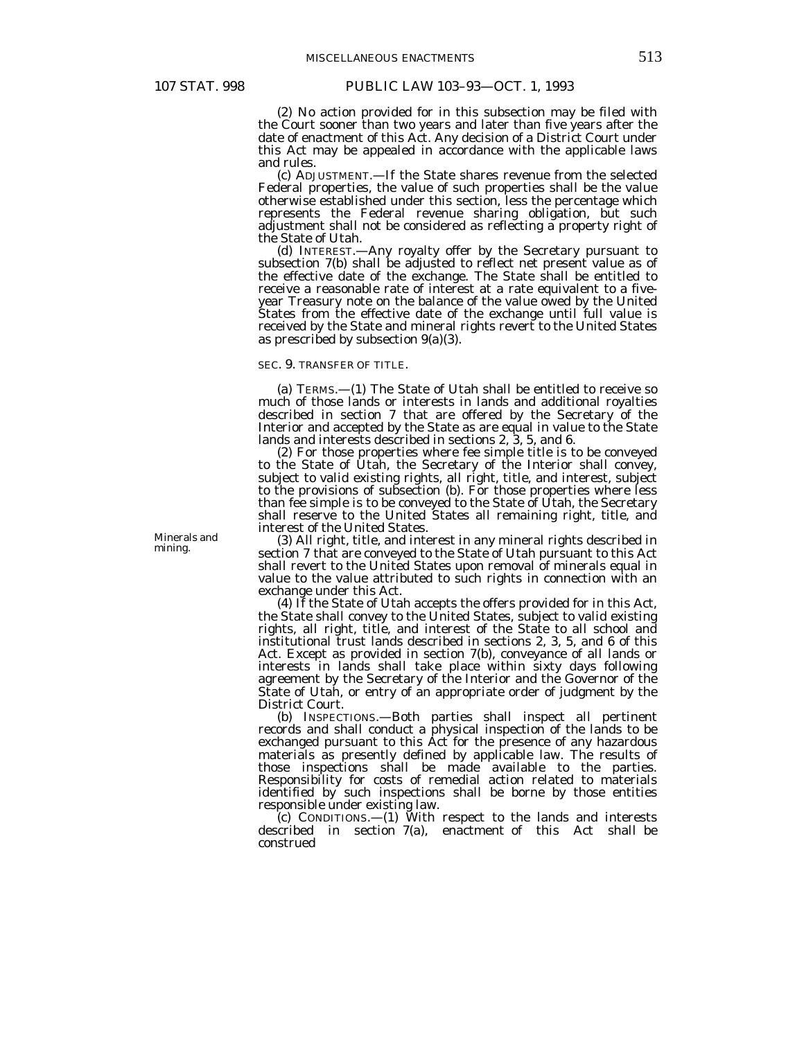(2) No action provided for in this subsection may be filed with the Court sooner than two years and later than five years after the date of enactment of this Act. Any decision of a District Court under this Act may be appealed in accordance with the applicable laws and rules.

 (c) ADJUSTMENT.—If the State shares revenue from the selected Federal properties, the value of such properties shall be the value otherwise established under this section, less the percentage which represents the Federal revenue sharing obligation, but such adjustment shall not be considered as reflecting a property right of the State of Utah.

 (d) INTEREST.—Any royalty offer by the Secretary pursuant to subsection 7(b) shall be adjusted to reflect net present value as of the effective date of the exchange. The State shall be entitled to receive a reasonable rate of interest at a rate equivalent to a fiveyear Treasury note on the balance of the value owed by the United States from the effective date of the exchange until full value is received by the State and mineral rights revert to the United States as prescribed by subsection  $9(a)(3)$ .

## SEC. 9. TRANSFER OF TITLE.

 (a) TERMS.—(1) The State of Utah shall be entitled to receive so much of those lands or interests in lands and additional royalties described in section 7 that are offered by the Secretary of the Interior and accepted by the State as are equal in value to the State lands and interests described in sections 2, 3, 5, and 6.

 (2) For those properties where fee simple title is to be conveyed to the State of Utah, the Secretary of the Interior shall convey, subject to valid existing rights, all right, title, and interest, subject to the provisions of subsection (b). For those properties where less than fee simple is to be conveyed to the State of Utah, the Secretary shall reserve to the United States all remaining right, title, and interest of the United States.

 (3) All right, title, and interest in any mineral rights described in section 7 that are conveyed to the State of Utah pursuant to this Act shall revert to the United States upon removal of minerals equal in value to the value attributed to such rights in connection with an exchange under this Act.

 (4) If the State of Utah accepts the offers provided for in this Act, the State shall convey to the United States, subject to valid existing rights, all right, title, and interest of the State to all school and institutional trust lands described in sections 2, 3, 5, and 6 of this Act. Except as provided in section 7(b), conveyance of all lands or interests in lands shall take place within sixty days following agreement by the Secretary of the Interior and the Governor of the State of Utah, or entry of an appropriate order of judgment by the District Court.

 (b) INSPECTIONS.—Both parties shall inspect all pertinent records and shall conduct a physical inspection of the lands to be exchanged pursuant to this Act for the presence of any hazardous materials as presently defined by applicable law. The results of those inspections shall be made available to the parties. Responsibility for costs of remedial action related to materials identified by such inspections shall be borne by those entities responsible under existing law.

 (c) CONDITIONS.—(1) With respect to the lands and interests described in section 7(a), enactment of this Act shall be construed

Minerals and mining.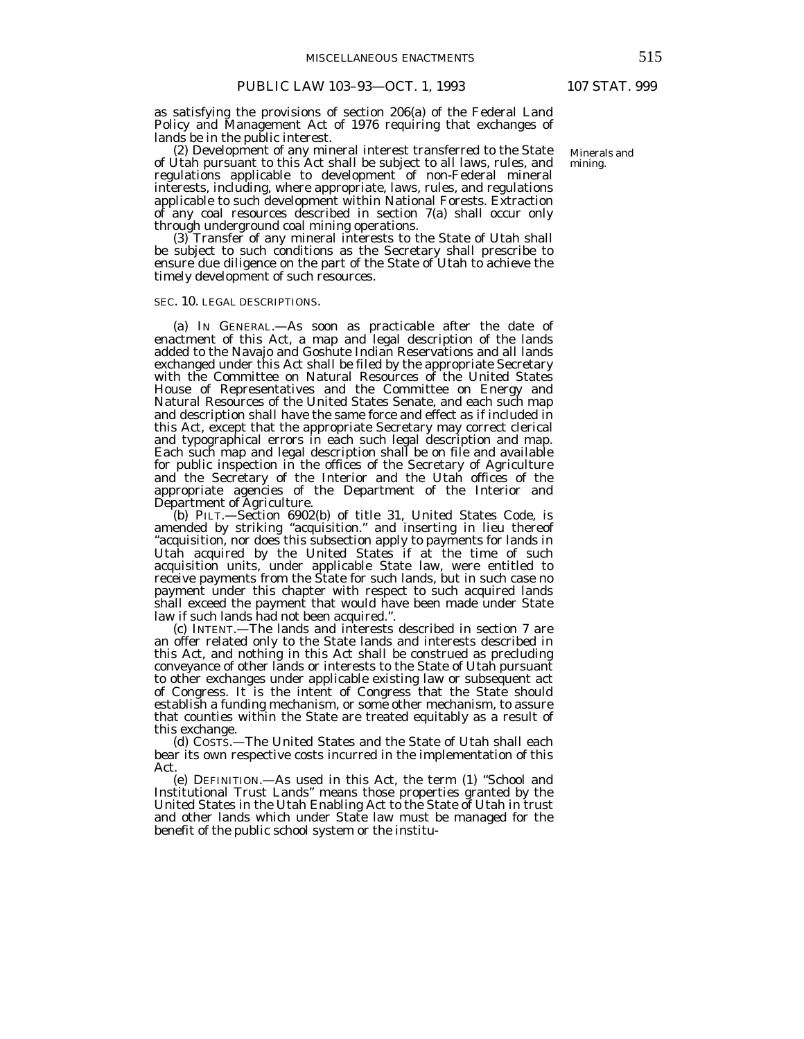as satisfying the provisions of section 206(a) of the Federal Land Policy and Management Act of 1976 requiring that exchanges of lands be in the public interest.

 (2) Development of any mineral interest transferred to the State of Utah pursuant to this Act shall be subject to all laws, rules, and regulations applicable to development of non-Federal mineral interests, including, where appropriate, laws, rules, and regulations applicable to such development within National Forests. Extraction of any coal resources described in section 7(a) shall occur only through underground coal mining operations.

 (3) Transfer of any mineral interests to the State of Utah shall be subject to such conditions as the Secretary shall prescribe to ensure due diligence on the part of the State of Utah to achieve the timely development of such resources.

## SEC. 10. LEGAL DESCRIPTIONS.

 (a) IN GENERAL.—As soon as practicable after the date of enactment of this Act, a map and legal description of the lands added to the Navajo and Goshute Indian Reservations and all lands exchanged under this Act shall be filed by the appropriate Secretary with the Committee on Natural Resources of the United States House of Representatives and the Committee on Energy and Natural Resources of the United States Senate, and each such map and description shall have the same force and effect as if included in this Act, except that the appropriate Secretary may correct clerical and typographical errors in each such legal description and map. Each such map and legal description shall be on file and available for public inspection in the offices of the Secretary of Agriculture and the Secretary of the Interior and the Utah offices of the appropriate agencies of the Department of the Interior and Department of Agriculture.

 (b) PILT.—Section 6902(b) of title 31, United States Code, is amended by striking "acquisition." and inserting in lieu thereof "acquisition, nor does this subsection apply to payments for lands in Utah acquired by the United States if at the time of such acquisition units, under applicable State law, were entitled to receive payments from the State for such lands, but in such case no payment under this chapter with respect to such acquired lands shall exceed the payment that would have been made under State

law if such lands had not been acquired.". (c) INTENT.—The lands and interests described in section 7 are an offer related only to the State lands and interests described in this Act, and nothing in this Act shall be construed as precluding conveyance of other lands or interests to the State of Utah pursuant to other exchanges under applicable existing law or subsequent act of Congress. It is the intent of Congress that the State should establish a funding mechanism, or some other mechanism, to assure that counties within the State are treated equitably as a result of this exchange.

 (d) COSTS.—The United States and the State of Utah shall each bear its own respective costs incurred in the implementation of this Act.

 (e) DEFINITION.—As used in this Act, the term (1) "School and Institutional Trust Lands" means those properties granted by the United States in the Utah Enabling Act to the State of Utah in trust and other lands which under State law must be managed for the benefit of the public school system or the institu-

Minerals and mining.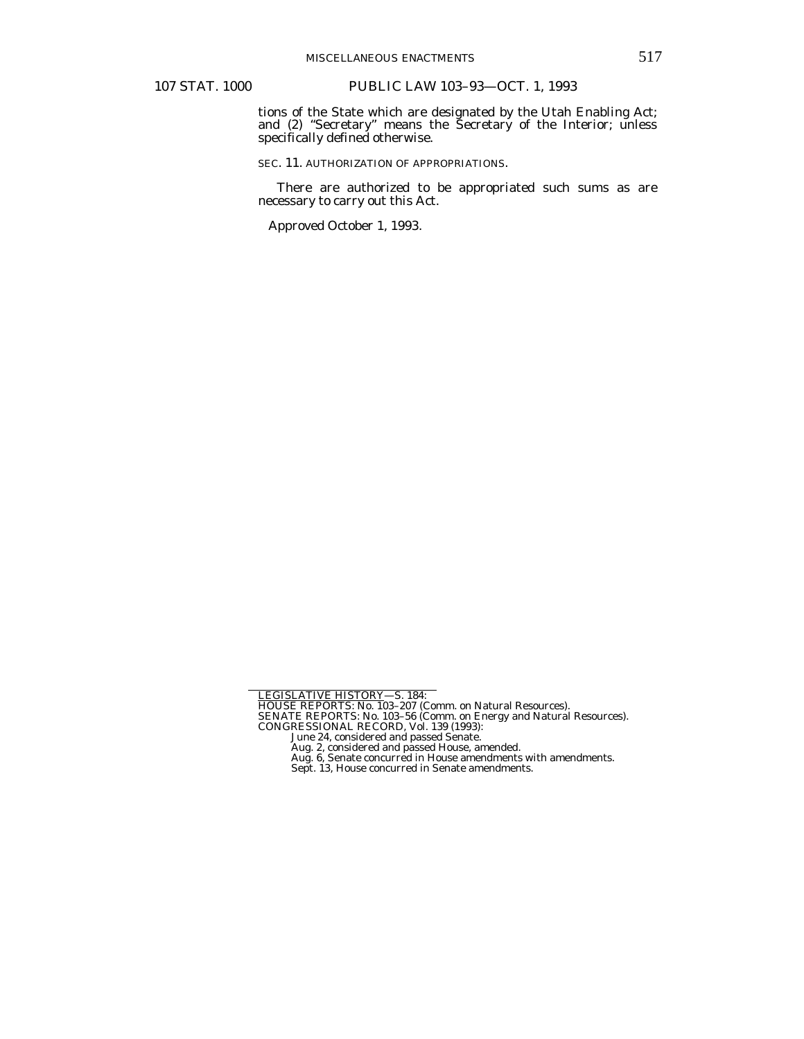tions of the State which are designated by the Utah Enabling Act; and (2) "Secretary" means the Secretary of the Interior; unless specifically defined otherwise.

SEC. 11. AUTHORIZATION OF APPROPRIATIONS.

 There are authorized to be appropriated such sums as are necessary to carry out this Act.

Approved October 1, 1993.

LEGISLATIVE HISTORY—S. 184:<br>HOUSE REPORTS: No. 103–207 (Comm. on Natural Resources).<br>SENATE REPORTS: No. 103–56 (Comm. on Natural Resources).<br>CONGESSIONAL RECORD, Vol. 139 (1993):<br>June 24, considered and passed Senate.<br>Aug

Sept. 13, House concurred in Senate amendments.